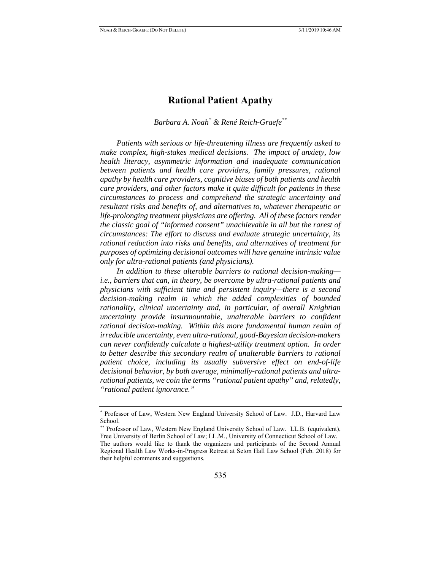# **Rational Patient Apathy**

*Barbara A. Noah\* & René Reich-Graefe\*\**

*Patients with serious or life-threatening illness are frequently asked to make complex, high-stakes medical decisions. The impact of anxiety, low health literacy, asymmetric information and inadequate communication between patients and health care providers, family pressures, rational apathy by health care providers, cognitive biases of both patients and health care providers, and other factors make it quite difficult for patients in these circumstances to process and comprehend the strategic uncertainty and resultant risks and benefits of, and alternatives to, whatever therapeutic or life-prolonging treatment physicians are offering. All of these factors render the classic goal of "informed consent" unachievable in all but the rarest of circumstances: The effort to discuss and evaluate strategic uncertainty, its rational reduction into risks and benefits, and alternatives of treatment for purposes of optimizing decisional outcomes will have genuine intrinsic value only for ultra-rational patients (and physicians).*

*In addition to these alterable barriers to rational decision-making i.e., barriers that can, in theory, be overcome by ultra-rational patients and physicians with sufficient time and persistent inquiry—there is a second decision-making realm in which the added complexities of bounded rationality, clinical uncertainty and, in particular, of overall Knightian uncertainty provide insurmountable, unalterable barriers to confident rational decision-making. Within this more fundamental human realm of irreducible uncertainty, even ultra-rational, good-Bayesian decision-makers can never confidently calculate a highest-utility treatment option. In order to better describe this secondary realm of unalterable barriers to rational patient choice, including its usually subversive effect on end-of-life decisional behavior, by both average, minimally-rational patients and ultrarational patients, we coin the terms "rational patient apathy" and, relatedly, "rational patient ignorance."*

<sup>\*</sup> Professor of Law, Western New England University School of Law. J.D., Harvard Law School.

<sup>\*\*</sup> Professor of Law, Western New England University School of Law. LL.B. (equivalent), Free University of Berlin School of Law; LL.M., University of Connecticut School of Law. The authors would like to thank the organizers and participants of the Second Annual Regional Health Law Works-in-Progress Retreat at Seton Hall Law School (Feb. 2018) for their helpful comments and suggestions.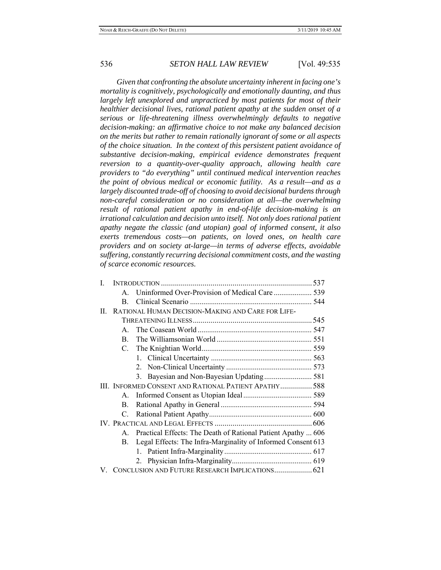*Given that confronting the absolute uncertainty inherent in facing one's mortality is cognitively, psychologically and emotionally daunting, and thus largely left unexplored and unpracticed by most patients for most of their healthier decisional lives, rational patient apathy at the sudden onset of a serious or life-threatening illness overwhelmingly defaults to negative decision-making: an affirmative choice to not make any balanced decision on the merits but rather to remain rationally ignorant of some or all aspects of the choice situation. In the context of this persistent patient avoidance of substantive decision-making, empirical evidence demonstrates frequent reversion to a quantity-over-quality approach, allowing health care providers to "do everything" until continued medical intervention reaches the point of obvious medical or economic futility. As a result—and as a largely discounted trade-off of choosing to avoid decisional burdens through non-careful consideration or no consideration at all—the overwhelming result of rational patient apathy in end-of-life decision-making is an irrational calculation and decision unto itself. Not only does rational patient apathy negate the classic (and utopian) goal of informed consent, it also exerts tremendous costs—on patients, on loved ones, on health care providers and on society at-large—in terms of adverse effects, avoidable suffering, constantly recurring decisional commitment costs, and the wasting of scarce economic resources.* 

| L  |                                                   |                                                              |  |
|----|---------------------------------------------------|--------------------------------------------------------------|--|
|    | $\mathbf{A}$                                      |                                                              |  |
|    | B.                                                |                                                              |  |
| П. | RATIONAL HUMAN DECISION-MAKING AND CARE FOR LIFE- |                                                              |  |
|    |                                                   |                                                              |  |
|    | $\mathbf{A}$                                      |                                                              |  |
|    | B.                                                |                                                              |  |
|    | C.                                                |                                                              |  |
|    |                                                   |                                                              |  |
|    |                                                   |                                                              |  |
|    |                                                   | 3. Bayesian and Non-Bayesian Updating 581                    |  |
|    |                                                   | III. INFORMED CONSENT AND RATIONAL PATIENT APATHY 588        |  |
|    | $\mathsf{A}$ .                                    |                                                              |  |
|    | $\mathbf{B}$ .                                    |                                                              |  |
|    | C.                                                |                                                              |  |
|    |                                                   |                                                              |  |
|    | $\mathbf{A}$                                      | Practical Effects: The Death of Rational Patient Apathy  606 |  |
|    | В.                                                | Legal Effects: The Infra-Marginality of Informed Consent 613 |  |
|    |                                                   |                                                              |  |
|    |                                                   |                                                              |  |
|    |                                                   | V. CONCLUSION AND FUTURE RESEARCH IMPLICATIONS 621           |  |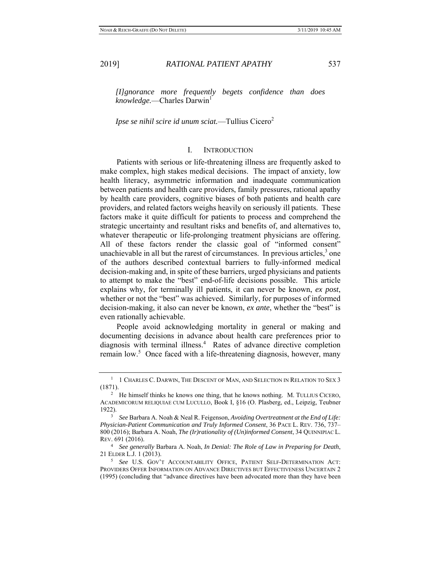*[I]gnorance more frequently begets confidence than does knowledge.*—Charles Darwin<sup>1</sup>

*Ipse se nihil scire id unum sciat.*—Tullius Cicero<sup>2</sup>

### I. INTRODUCTION

Patients with serious or life-threatening illness are frequently asked to make complex, high stakes medical decisions. The impact of anxiety, low health literacy, asymmetric information and inadequate communication between patients and health care providers, family pressures, rational apathy by health care providers, cognitive biases of both patients and health care providers, and related factors weighs heavily on seriously ill patients. These factors make it quite difficult for patients to process and comprehend the strategic uncertainty and resultant risks and benefits of, and alternatives to, whatever therapeutic or life-prolonging treatment physicians are offering. All of these factors render the classic goal of "informed consent" unachievable in all but the rarest of circumstances. In previous articles,  $3$  one of the authors described contextual barriers to fully-informed medical decision-making and, in spite of these barriers, urged physicians and patients to attempt to make the "best" end-of-life decisions possible. This article explains why, for terminally ill patients, it can never be known, *ex post*, whether or not the "best" was achieved. Similarly, for purposes of informed decision-making, it also can never be known, *ex ante*, whether the "best" is even rationally achievable.

People avoid acknowledging mortality in general or making and documenting decisions in advance about health care preferences prior to diagnosis with terminal illness.<sup>4</sup> Rates of advance directive completion remain low.<sup>5</sup> Once faced with a life-threatening diagnosis, however, many

 $^{-1}$  1 CHARLES C. DARWIN, THE DESCENT OF MAN, AND SELECTION IN RELATION TO SEX 3 (1871).

 $12$  He himself thinks he knows one thing, that he knows nothing. M. TULLIUS CICERO, ACADEMICORUM RELIQUIAE CUM LUCULLO, Book I, §16 (O. Plasberg, ed., Leipzig, Teubner

<sup>1922). 3</sup> *See* Barbara A. Noah & Neal R. Feigenson, *Avoiding Overtreatment at the End of Life: Physician-Patient Communication and Truly Informed Consent*, 36 PACE L. REV. 736, 737– 800 (2016); Barbara A. Noah, *The (Ir)rationality of (Un)informed Consent*, 34 QUINNIPIAC L. REV. 691 (2016).

<sup>4</sup> *See generally* Barbara A. Noah, *In Denial: The Role of Law in Preparing for Death*, 21 ELDER L.J. 1 (2013). 5 *See* U.S. GOV'T ACCOUNTABILITY OFFICE, PATIENT SELF-DETERMINATION ACT:

PROVIDERS OFFER INFORMATION ON ADVANCE DIRECTIVES BUT EFFECTIVENESS UNCERTAIN 2 (1995) (concluding that "advance directives have been advocated more than they have been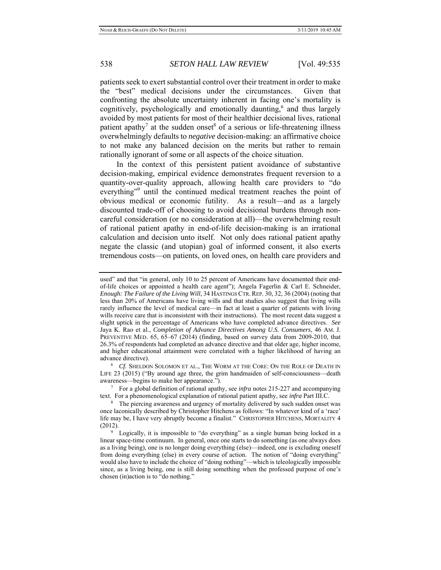patients seek to exert substantial control over their treatment in order to make the "best" medical decisions under the circumstances. Given that confronting the absolute uncertainty inherent in facing one's mortality is cognitively, psychologically and emotionally daunting,<sup>6</sup> and thus largely avoided by most patients for most of their healthier decisional lives, rational patient apathy<sup>7</sup> at the sudden onset<sup>8</sup> of a serious or life-threatening illness overwhelmingly defaults to *negative* decision-making: an affirmative choice to not make any balanced decision on the merits but rather to remain rationally ignorant of some or all aspects of the choice situation.

In the context of this persistent patient avoidance of substantive decision-making, empirical evidence demonstrates frequent reversion to a quantity-over-quality approach, allowing health care providers to "do everything"<sup>9</sup> until the continued medical treatment reaches the point of obvious medical or economic futility. As a result—and as a largely discounted trade-off of choosing to avoid decisional burdens through noncareful consideration (or no consideration at all)—the overwhelming result of rational patient apathy in end-of-life decision-making is an irrational calculation and decision unto itself. Not only does rational patient apathy negate the classic (and utopian) goal of informed consent, it also exerts tremendous costs—on patients, on loved ones, on health care providers and

LIFE 23 (2015) ("By around age three, the grim handmaiden of self-consciousness—death

awareness—begins to make her appearance.").<br><sup>7</sup> For a global definition of rational apathy, see *infra* notes 215-227 and accompanying text. For a phenomenological explanation of rational patient apathy, see *infra* Part I

used" and that "in general, only 10 to 25 percent of Americans have documented their endof-life choices or appointed a health care agent"); Angela Fagerlin & Carl E. Schneider, *Enough: The Failure of the Living Will*, 34 HASTINGS CTR. REP. 30, 32, 36 (2004) (noting that less than 20% of Americans have living wills and that studies also suggest that living wills rarely influence the level of medical care—in fact at least a quarter of patients with living wills receive care that is inconsistent with their instructions). The most recent data suggest a slight uptick in the percentage of Americans who have completed advance directives. *See* Jaya K. Rao et al., *Completion of Advance Directives Among U.S. Consumers*, 46 AM. J. PREVENTIVE MED. 65, 65–67 (2014) (finding, based on survey data from 2009-2010, that 26.3% of respondents had completed an advance directive and that older age, higher income, and higher educational attainment were correlated with a higher likelihood of having an advance directive).<br><sup>6</sup> *Cf.* SHELDON SOLOMON ET AL., THE WORM AT THE CORE: ON THE ROLE OF DEATH IN

<sup>&</sup>lt;sup>8</sup> The piercing awareness and urgency of mortality delivered by such sudden onset was once laconically described by Christopher Hitchens as follows: "In whatever kind of a 'race' life may be, I have very abruptly become a finalist." CHRISTOPHER HITCHENS, MORTALITY 4 (2012).<br><sup>9</sup> Logically, it is impossible to "do everything" as a single human being locked in a

linear space-time continuum. In general, once one starts to do something (as one always does as a living being), one is no longer doing everything (else)—indeed, one is excluding oneself from doing everything (else) in every course of action. The notion of "doing everything" would also have to include the choice of "doing nothing"—which is teleologically impossible since, as a living being, one is still doing something when the professed purpose of one's chosen (in)action is to "do nothing."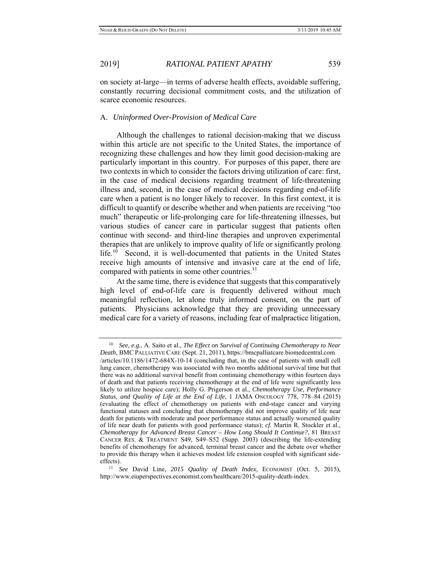on society at-large—in terms of adverse health effects, avoidable suffering, constantly recurring decisional commitment costs, and the utilization of scarce economic resources.

### A. *Uninformed Over-Provision of Medical Care*

Although the challenges to rational decision-making that we discuss within this article are not specific to the United States, the importance of recognizing these challenges and how they limit good decision-making are particularly important in this country. For purposes of this paper, there are two contexts in which to consider the factors driving utilization of care: first, in the case of medical decisions regarding treatment of life-threatening illness and, second, in the case of medical decisions regarding end-of-life care when a patient is no longer likely to recover. In this first context, it is difficult to quantify or describe whether and when patients are receiving "too much" therapeutic or life-prolonging care for life-threatening illnesses, but various studies of cancer care in particular suggest that patients often continue with second- and third-line therapies and unproven experimental therapies that are unlikely to improve quality of life or significantly prolong life.<sup>10</sup> Second, it is well-documented that patients in the United States receive high amounts of intensive and invasive care at the end of life, compared with patients in some other countries.<sup>11</sup>

At the same time, there is evidence that suggests that this comparatively high level of end-of-life care is frequently delivered without much meaningful reflection, let alone truly informed consent, on the part of patients. Physicians acknowledge that they are providing unnecessary medical care for a variety of reasons, including fear of malpractice litigation,

<sup>10</sup> *See, e.g.*, A. Saito et al., *The Effect on Survival of Continuing Chemotherapy to Near Death*, BMC PALLIATIVE CARE (Sept. 21, 2011), https://bmcpalliatcare.biomedcentral.com /articles/10.1186/1472-684X-10-14 (concluding that, in the case of patients with small cell lung cancer, chemotherapy was associated with two months additional survival time but that there was no additional survival benefit from continuing chemotherapy within fourteen days of death and that patients receiving chemotherapy at the end of life were significantly less likely to utilize hospice care); Holly G. Prigerson et al., *Chemotherapy Use, Performance Status, and Quality of Life at the End of Life*, 1 JAMA ONCOLOGY 778, 778–84 (2015) (evaluating the effect of chemotherapy on patients with end-stage cancer and varying functional statuses and concluding that chemotherapy did not improve quality of life near death for patients with moderate and poor performance status and actually worsened quality of life near death for patients with good performance status); *cf*. Martin R. Stockler et al., *Chemotherapy for Advanced Breast Cancer – How Long Should It Continue?*, 81 BREAST CANCER RES. & TREATMENT S49, S49-S52 (Supp. 2003) (describing the life-extending benefits of chemotherapy for advanced, terminal breast cancer and the debate over whether to provide this therapy when it achieves modest life extension coupled with significant sideeffects). 11 *See* David Line, *2015 Quality of Death Index*, ECONOMIST (Oct. 5, 2015),

http://www.eiuperspectives.economist.com/healthcare/2015-quality-death-index.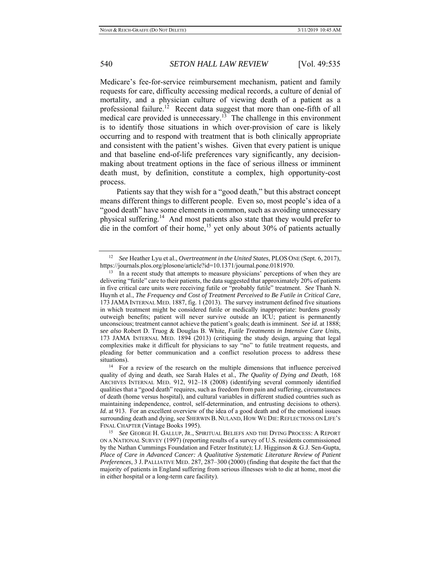Medicare's fee-for-service reimbursement mechanism, patient and family requests for care, difficulty accessing medical records, a culture of denial of mortality, and a physician culture of viewing death of a patient as a professional failure.<sup>12</sup> Recent data suggest that more than one-fifth of all medical care provided is unnecessary.<sup>13</sup> The challenge in this environment is to identify those situations in which over-provision of care is likely occurring and to respond with treatment that is both clinically appropriate and consistent with the patient's wishes. Given that every patient is unique and that baseline end-of-life preferences vary significantly, any decisionmaking about treatment options in the face of serious illness or imminent death must, by definition, constitute a complex, high opportunity-cost process.

Patients say that they wish for a "good death," but this abstract concept means different things to different people. Even so, most people's idea of a "good death" have some elements in common, such as avoiding unnecessary physical suffering.<sup>14</sup> And most patients also state that they would prefer to die in the comfort of their home,<sup>15</sup> yet only about 30% of patients actually

<sup>12</sup> *See* Heather Lyu et al., *Overtreatment in the United States*, PLOS ONE (Sept. 6, 2017), https://journals.plos.org/plosone/article?id=10.1371/journal.pone.0181970.<br><sup>13</sup> In a recent study that attempts to measure physicians' perceptions of when they are

delivering "futile" care to their patients, the data suggested that approximately 20% of patients in five critical care units were receiving futile or "probably futile" treatment. *See* Thanh N. Huynh et al., *The Frequency and Cost of Treatment Perceived to Be Futile in Critical Care*, 173 JAMA INTERNAL MED. 1887, fig. 1 (2013). The survey instrument defined five situations in which treatment might be considered futile or medically inappropriate: burdens grossly outweigh benefits; patient will never survive outside an ICU; patient is permanently unconscious; treatment cannot achieve the patient's goals; death is imminent. *See id.* at 1888; *see also* Robert D. Truog & Douglas B. White, *Futile Treatments in Intensive Care Units*, 173 JAMA INTERNAL MED. 1894 (2013) (critiquing the study design, arguing that legal complexities make it difficult for physicians to say "no" to futile treatment requests, and pleading for better communication and a conflict resolution process to address these situations).<br><sup>14</sup> For a review of the research on the multiple dimensions that influence perceived

quality of dying and death, see Sarah Hales et al., *The Quality of Dying and Death*, 168 ARCHIVES INTERNAL MED. 912, 912–18 (2008) (identifying several commonly identified qualities that a "good death" requires, such as freedom from pain and suffering, circumstances of death (home versus hospital), and cultural variables in different studied countries such as maintaining independence, control, self-determination, and entrusting decisions to others). *Id.* at 913. For an excellent overview of the idea of a good death and of the emotional issues surrounding death and dying, see SHERWIN B. NULAND, HOW WE DIE: REFLECTIONS ON LIFE'S FINAL CHAPTER (Vintage Books 1995). 15 *See* GEORGE H. GALLUP, JR., SPIRITUAL BELIEFS AND THE DYING PROCESS: <sup>A</sup> REPORT

ON A NATIONAL SURVEY (1997) (reporting results of a survey of U.S. residents commissioned by the Nathan Cummings Foundation and Fetzer Institute); I.J. Higginson & G.J. Sen-Gupta, *Place of Care in Advanced Cancer: A Qualitative Systematic Literature Review of Patient Preferences*, 3 J. PALLIATIVE MED. 287, 287–300 (2000) (finding that despite the fact that the majority of patients in England suffering from serious illnesses wish to die at home, most die in either hospital or a long-term care facility).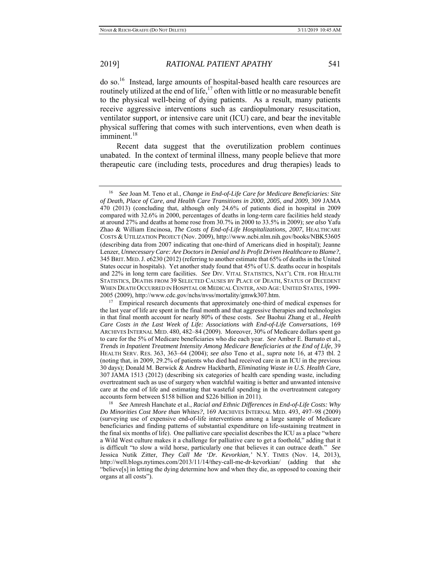do so.16 Instead, large amounts of hospital-based health care resources are routinely utilized at the end of life,<sup>17</sup> often with little or no measurable benefit to the physical well-being of dying patients. As a result, many patients receive aggressive interventions such as cardiopulmonary resuscitation, ventilator support, or intensive care unit (ICU) care, and bear the inevitable physical suffering that comes with such interventions, even when death is imminent.<sup>18</sup>

Recent data suggest that the overutilization problem continues unabated. In the context of terminal illness, many people believe that more therapeutic care (including tests, procedures and drug therapies) leads to

<sup>16</sup> *See* Joan M. Teno et al., *Change in End-of-Life Care for Medicare Beneficiaries: Site of Death, Place of Care, and Health Care Transitions in 2000, 2005, and 2009*, 309 JAMA 470 (2013) (concluding that, although only 24.6% of patients died in hospital in 2009 compared with 32.6% in 2000, percentages of deaths in long-term care facilities held steady at around 27% and deaths at home rose from 30.7% in 2000 to 33.5% in 2009); *see also* Yafu Zhao & William Encinosa, *The Costs of End-of-Life Hospitalizations, 2007*, HEALTHCARE COSTS & UTILIZATION PROJECT (Nov. 2009), http://www.ncbi.nlm.nih.gov/books/NBK53605 (describing data from 2007 indicating that one-third of Americans died in hospital); Jeanne Lenzer, *Unnecessary Care: Are Doctors in Denial and Is Profit Driven Healthcare to Blame?*, 345 BRIT. MED.J. e6230 (2012) (referring to another estimate that 65% of deaths in the United States occur in hospitals). Yet another study found that 45% of U.S. deaths occur in hospitals and 22% in long term care facilities. *See* DIV. VITAL STATISTICS, NAT'L CTR. FOR HEALTH STATISTICS, DEATHS FROM 39 SELECTED CAUSES BY PLACE OF DEATH, STATUS OF DECEDENT WHEN DEATH OCCURRED IN HOSPITAL OR MEDICAL CENTER, AND AGE: UNITED STATES, 1999- 2005 (2009), http://www.cdc.gov/nchs/nvss/mortality/gmwk307.htm.<br><sup>17</sup> Empirical research documents that approximately one-third of medical expenses for

the last year of life are spent in the final month and that aggressive therapies and technologies in that final month account for nearly 80% of these costs. *See* Baohui Zhang et al., *Health Care Costs in the Last Week of Life: Associations with End-of-Life Conversations*, 169 ARCHIVES INTERNAL MED. 480, 482–84 (2009). Moreover, 30% of Medicare dollars spent go to care for the 5% of Medicare beneficiaries who die each year. *See* Amber E. Barnato et al., *Trends in Inpatient Treatment Intensity Among Medicare Beneficiaries at the End of Life*, 39 HEALTH SERV. RES. 363, 363–64 (2004); *see also* Teno et al., *supra* note 16, at 473 tbl. 2 (noting that, in 2009, 29.2% of patients who died had received care in an ICU in the previous 30 days); Donald M. Berwick & Andrew Hackbarth, *Eliminating Waste in U.S. Health Care*, 307 JAMA 1513 (2012) (describing six categories of health care spending waste, including overtreatment such as use of surgery when watchful waiting is better and unwanted intensive care at the end of life and estimating that wasteful spending in the overtreatment category accounts form between \$158 billion and \$226 billion in 2011). 18 *See* Amresh Hanchate et al., *Racial and Ethnic Differences in End-of-Life Costs: Why* 

*Do Minorities Cost More than Whites?*, 169 ARCHIVES INTERNAL MED. 493, 497–98 (2009) (surveying use of expensive end-of-life interventions among a large sample of Medicare beneficiaries and finding patterns of substantial expenditure on life-sustaining treatment in the final six months of life). One palliative care specialist describes the ICU as a place "where a Wild West culture makes it a challenge for palliative care to get a foothold," adding that it is difficult "to slow a wild horse, particularly one that believes it can outrace death." *See* Jessica Nutik Zitter, *They Call Me 'Dr. Kevorkian,'* N.Y. TIMES (Nov. 14, 2013), http://well.blogs.nytimes.com/2013/11/14/they-call-me-dr-kevorkian/ (adding that she "believe[s] in letting the dying determine how and when they die, as opposed to coaxing their organs at all costs").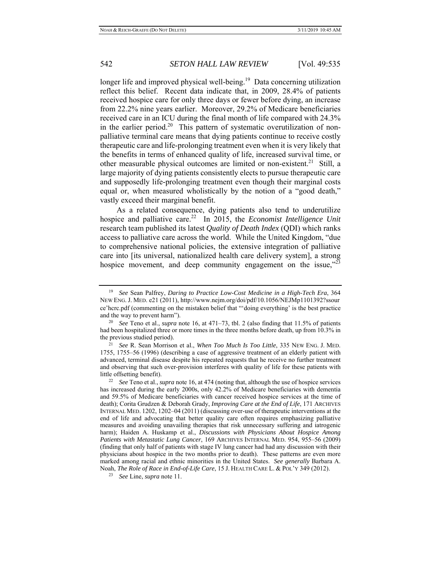longer life and improved physical well-being.<sup>19</sup> Data concerning utilization reflect this belief. Recent data indicate that, in 2009, 28.4% of patients received hospice care for only three days or fewer before dying, an increase from 22.2% nine years earlier. Moreover, 29.2% of Medicare beneficiaries received care in an ICU during the final month of life compared with 24.3% in the earlier period.<sup>20</sup> This pattern of systematic overutilization of nonpalliative terminal care means that dying patients continue to receive costly therapeutic care and life-prolonging treatment even when it is very likely that the benefits in terms of enhanced quality of life, increased survival time, or other measurable physical outcomes are limited or non-existent.<sup>21</sup> Still, a large majority of dying patients consistently elects to pursue therapeutic care and supposedly life-prolonging treatment even though their marginal costs equal or, when measured wholistically by the notion of a "good death," vastly exceed their marginal benefit.

As a related consequence, dying patients also tend to underutilize hospice and palliative care.<sup>22</sup> In 2015, the *Economist Intelligence Unit* research team published its latest *Quality of Death Index* (QDI) which ranks access to palliative care across the world. While the United Kingdom, "due to comprehensive national policies, the extensive integration of palliative care into [its universal, nationalized health care delivery system], a strong hospice movement, and deep community engagement on the issue,"23

<sup>19</sup> *See* Sean Palfrey, *Daring to Practice Low-Cost Medicine in a High-Tech Era*, 364 NEW ENG. J. MED. e21 (2011), http://www.nejm.org/doi/pdf/10.1056/NEJMp1101392?ssour ce'hcrc.pdf (commenting on the mistaken belief that "'doing everything' is the best practice and the way to prevent harm"). 20 *See* Teno et al., *supra* note 16, at 471–73, tbl. 2 (also finding that 11.5% of patients

had been hospitalized three or more times in the three months before death, up from 10.3% in the previous studied period). 21 *See* R. Sean Morrison et al., *When Too Much Is Too Little*, 335 NEW ENG. J. MED.

<sup>1755, 1755–56 (1996) (</sup>describing a case of aggressive treatment of an elderly patient with advanced, terminal disease despite his repeated requests that he receive no further treatment and observing that such over-provision interferes with quality of life for these patients with

little offsetting benefit). 22 *See* Teno et al., *supra* note 16, at 474 (noting that, although the use of hospice services has increased during the early 2000s, only 42.2% of Medicare beneficiaries with dementia and 59.5% of Medicare beneficiaries with cancer received hospice services at the time of death); Corita Grudzen & Deborah Grady, *Improving Care at the End of Life*, 171 ARCHIVES INTERNAL MED. 1202, 1202–04 (2011) (discussing over-use of therapeutic interventions at the end of life and advocating that better quality care often requires emphasizing palliative measures and avoiding unavailing therapies that risk unnecessary suffering and iatrogenic harm); Haiden A. Huskamp et al., *Discussions with Physicians About Hospice Among Patients with Metastatic Lung Cancer*, 169 ARCHIVES INTERNAL MED. 954, 955–56 (2009) (finding that only half of patients with stage IV lung cancer had had any discussion with their physicians about hospice in the two months prior to death). These patterns are even more marked among racial and ethnic minorities in the United States. *See generally* Barbara A. Noah, *The Role of Race in End-of-Life Care*, 15 J. HEALTH CARE L. & POL'Y 349 (2012). 23 *See* Line, *supra* note 11.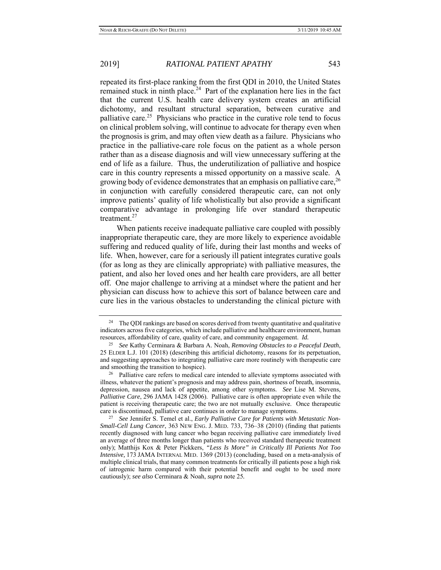repeated its first-place ranking from the first QDI in 2010, the United States remained stuck in ninth place.<sup>24</sup> Part of the explanation here lies in the fact that the current U.S. health care delivery system creates an artificial dichotomy, and resultant structural separation, between curative and palliative care.<sup>25</sup> Physicians who practice in the curative role tend to focus on clinical problem solving, will continue to advocate for therapy even when the prognosis is grim, and may often view death as a failure. Physicians who practice in the palliative-care role focus on the patient as a whole person rather than as a disease diagnosis and will view unnecessary suffering at the end of life as a failure. Thus, the underutilization of palliative and hospice care in this country represents a missed opportunity on a massive scale. A growing body of evidence demonstrates that an emphasis on palliative care,  $2<sup>6</sup>$ in conjunction with carefully considered therapeutic care, can not only improve patients' quality of life wholistically but also provide a significant comparative advantage in prolonging life over standard therapeutic treatment.<sup>27</sup>

When patients receive inadequate palliative care coupled with possibly inappropriate therapeutic care, they are more likely to experience avoidable suffering and reduced quality of life, during their last months and weeks of life. When, however, care for a seriously ill patient integrates curative goals (for as long as they are clinically appropriate) with palliative measures, the patient, and also her loved ones and her health care providers, are all better off. One major challenge to arriving at a mindset where the patient and her physician can discuss how to achieve this sort of balance between care and cure lies in the various obstacles to understanding the clinical picture with

<sup>&</sup>lt;sup>24</sup> The QDI rankings are based on scores derived from twenty quantitative and qualitative indicators across five categories, which include palliative and healthcare environment, human resources, affordability of care, quality of care, and community engagement. *Id.* 

<sup>25</sup> *See* Kathy Cerminara & Barbara A. Noah, *Removing Obstacles to a Peaceful Death*, 25 ELDER L.J. 101 (2018) (describing this artificial dichotomy, reasons for its perpetuation, and suggesting approaches to integrating palliative care more routinely with therapeutic care and smoothing the transition to hospice).

<sup>&</sup>lt;sup>26</sup> Palliative care refers to medical care intended to alleviate symptoms associated with illness, whatever the patient's prognosis and may address pain, shortness of breath, insomnia, depression, nausea and lack of appetite, among other symptoms. *See* Lise M. Stevens, *Palliative Care*, 296 JAMA 1428 (2006). Palliative care is often appropriate even while the patient is receiving therapeutic care; the two are not mutually exclusive. Once therapeutic care is discontinued, palliative care continues in order to manage symptoms.

<sup>&</sup>lt;sup>27</sup> See Jennifer S. Temel et al., *Early Palliative Care for Patients with Metastatic Non-Small-Cell Lung Cancer*, 363 NEW ENG. J. MED. 733, 736–38 (2010) (finding that patients recently diagnosed with lung cancer who began receiving palliative care immediately lived an average of three months longer than patients who received standard therapeutic treatment only); Matthijs Kox & Peter Pickkers, *"Less Is More" in Critically Ill Patients Not Too Intensive,* 173 JAMA INTERNAL MED. 1369 (2013) (concluding, based on a meta-analysis of multiple clinical trials, that many common treatments for critically ill patients pose a high risk of iatrogenic harm compared with their potential benefit and ought to be used more cautiously); *see also* Cerminara & Noah, *supra* note 25*.*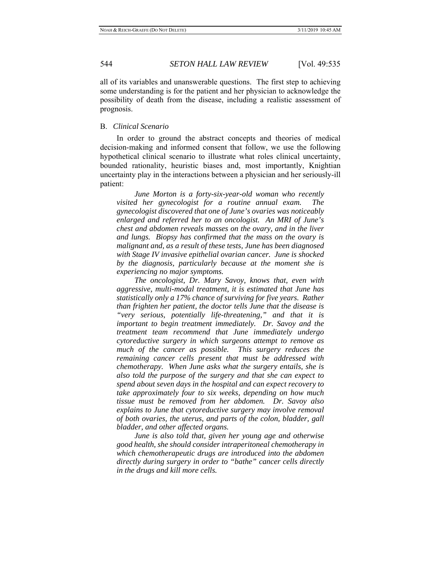all of its variables and unanswerable questions. The first step to achieving some understanding is for the patient and her physician to acknowledge the possibility of death from the disease, including a realistic assessment of prognosis.

## B. *Clinical Scenario*

In order to ground the abstract concepts and theories of medical decision-making and informed consent that follow, we use the following hypothetical clinical scenario to illustrate what roles clinical uncertainty, bounded rationality, heuristic biases and, most importantly, Knightian uncertainty play in the interactions between a physician and her seriously-ill patient:

 *June Morton is a forty-six-year-old woman who recently visited her gynecologist for a routine annual exam. The gynecologist discovered that one of June's ovaries was noticeably enlarged and referred her to an oncologist. An MRI of June's chest and abdomen reveals masses on the ovary, and in the liver and lungs. Biopsy has confirmed that the mass on the ovary is malignant and, as a result of these tests, June has been diagnosed with Stage IV invasive epithelial ovarian cancer. June is shocked by the diagnosis, particularly because at the moment she is experiencing no major symptoms.* 

 *The oncologist, Dr. Mary Savoy, knows that, even with aggressive, multi-modal treatment, it is estimated that June has statistically only a 17% chance of surviving for five years. Rather than frighten her patient, the doctor tells June that the disease is "very serious, potentially life-threatening," and that it is important to begin treatment immediately. Dr. Savoy and the treatment team recommend that June immediately undergo cytoreductive surgery in which surgeons attempt to remove as*  much of the cancer as possible. This surgery reduces the *remaining cancer cells present that must be addressed with chemotherapy. When June asks what the surgery entails, she is also told the purpose of the surgery and that she can expect to spend about seven days in the hospital and can expect recovery to take approximately four to six weeks, depending on how much tissue must be removed from her abdomen. Dr. Savoy also explains to June that cytoreductive surgery may involve removal of both ovaries, the uterus, and parts of the colon, bladder, gall bladder, and other affected organs.* 

 *June is also told that, given her young age and otherwise good health, she should consider intraperitoneal chemotherapy in which chemotherapeutic drugs are introduced into the abdomen directly during surgery in order to "bathe" cancer cells directly in the drugs and kill more cells.*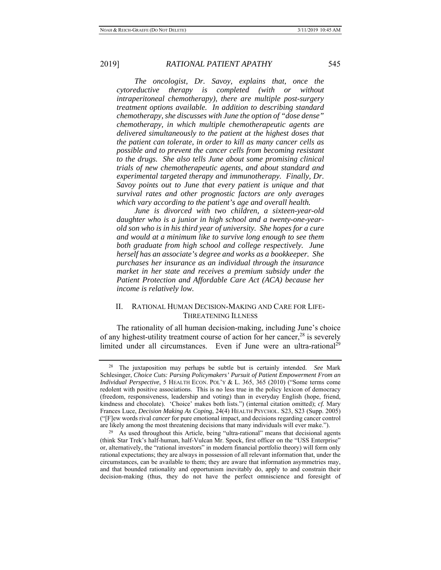*The oncologist, Dr. Savoy, explains that, once the cytoreductive therapy is completed (with or without intraperitoneal chemotherapy), there are multiple post-surgery treatment options available. In addition to describing standard chemotherapy, she discusses with June the option of "dose dense" chemotherapy, in which multiple chemotherapeutic agents are delivered simultaneously to the patient at the highest doses that the patient can tolerate, in order to kill as many cancer cells as possible and to prevent the cancer cells from becoming resistant to the drugs. She also tells June about some promising clinical trials of new chemotherapeutic agents, and about standard and experimental targeted therapy and immunotherapy. Finally, Dr. Savoy points out to June that every patient is unique and that survival rates and other prognostic factors are only averages which vary according to the patient's age and overall health.* 

 *June is divorced with two children, a sixteen-year-old daughter who is a junior in high school and a twenty-one-yearold son who is in his third year of university. She hopes for a cure and would at a minimum like to survive long enough to see them both graduate from high school and college respectively. June herself has an associate's degree and works as a bookkeeper. She purchases her insurance as an individual through the insurance market in her state and receives a premium subsidy under the Patient Protection and Affordable Care Act (ACA) because her income is relatively low.* 

### II. RATIONAL HUMAN DECISION-MAKING AND CARE FOR LIFE-THREATENING ILLNESS

The rationality of all human decision-making, including June's choice of any highest-utility treatment course of action for her cancer,  $28$  is severely limited under all circumstances. Even if June were an ultra-rational<sup>29</sup>

<sup>28</sup> The juxtaposition may perhaps be subtle but is certainly intended. *See* Mark Schlesinger, *Choice Cuts: Parsing Policymakers' Pursuit of Patient Empowerment From an Individual Perspective*, 5 HEALTH ECON. POL'Y & L. 365, 365 (2010) ("Some terms come redolent with positive associations. This is no less true in the policy lexicon of democracy (freedom, responsiveness, leadership and voting) than in everyday English (hope, friend, kindness and chocolate). 'Choice' makes both lists.") (internal citation omitted); *cf.* Mary Frances Luce, *Decision Making As Coping*, 24(4) HEALTH PSYCHOL. S23, S23 (Supp. 2005) ("[F]ew words rival *cancer* for pure emotional impact, and decisions regarding cancer control

are likely among the most threatening decisions that many individuals will ever make.").<br><sup>29</sup> As used throughout this Article, being "ultra-rational" means that decisional agents (think Star Trek's half-human, half-Vulcan Mr. Spock, first officer on the "USS Enterprise" or, alternatively, the "rational investors" in modern financial portfolio theory) will form only rational expectations; they are always in possession of all relevant information that, under the circumstances, can be available to them; they are aware that information asymmetries may, and that bounded rationality and opportunism inevitably do, apply to and constrain their decision-making (thus, they do not have the perfect omniscience and foresight of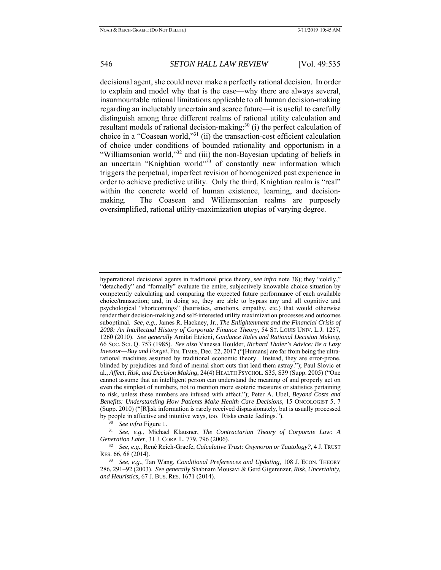decisional agent, she could never make a perfectly rational decision. In order to explain and model why that is the case—why there are always several, insurmountable rational limitations applicable to all human decision-making regarding an ineluctably uncertain and scarce future—it is useful to carefully distinguish among three different realms of rational utility calculation and resultant models of rational decision-making:<sup>30</sup> (i) the perfect calculation of choice in a "Coasean world," $31$  (ii) the transaction-cost efficient calculation of choice under conditions of bounded rationality and opportunism in a "Williamsonian world,"<sup>32</sup> and (iii) the non-Bayesian updating of beliefs in an uncertain "Knightian world"<sup>33</sup> of constantly new information which triggers the perpetual, imperfect revision of homogenized past experience in order to achieve predictive utility. Only the third, Knightian realm is "real" within the concrete world of human existence, learning, and decisionmaking. The Coasean and Williamsonian realms are purposely oversimplified, rational utility-maximization utopias of varying degree.

by people in affective and intuitive ways, too. Risks create feelings.").<br><sup>30</sup> *See infra* Figure 1.<br><sup>31</sup> *See*, *e.g.*, Michael Klausner, *The Contractarian Theory of Corporate Law: A Generation Later*, 31 J. CORP. L. 779

hyperrational decisional agents in traditional price theory, *see infra* note 38); they "coldly," "detachedly" and "formally" evaluate the entire, subjectively knowable choice situation by competently calculating and comparing the expected future performance of each available choice/transaction; and, in doing so, they are able to bypass any and all cognitive and psychological "shortcomings" (heuristics, emotions, empathy, etc.) that would otherwise render their decision-making and self-interested utility maximization processes and outcomes suboptimal. *See*, *e.g.*, James R. Hackney, Jr., *The Enlightenment and the Financial Crisis of 2008: An Intellectual History of Corporate Finance Theory*, 54 ST. LOUIS UNIV. L.J. 1257, 1260 (2010). *See generally* Amitai Etzioni, *Guidance Rules and Rational Decision Making*, 66 SOC. SCI. Q. 753 (1985). *See also* Vanessa Houlder, *Richard Thaler's Advice: Be a Lazy Investor—Buy and Forget*, FIN. TIMES, Dec. 22, 2017 ("[Humans] are far from being the ultrarational machines assumed by traditional economic theory. Instead, they are error-prone, blinded by prejudices and fond of mental short cuts that lead them astray."); Paul Slovic et al., *Affect, Risk, and Decision Making*, 24(4) HEALTH PSYCHOL. S35, S39 (Supp. 2005) ("One cannot assume that an intelligent person can understand the meaning of and properly act on even the simplest of numbers, not to mention more esoteric measures or statistics pertaining to risk, unless these numbers are infused with affect."); Peter A. Ubel, *Beyond Costs and Benefits: Understanding How Patients Make Health Care Decisions*, 15 ONCOLOGIST 5, 7 (Supp. 2010) ("[R]isk information is rarely received dispassionately, but is usually processed

<sup>&</sup>lt;sup>32</sup> *See, e.g., René Reich-Graefe, Calculative Trust: Oxymoron or Tautology?, 4 J. TRUST* RES. 66, 68 (2014).

<sup>33</sup> *See*, *e.g.*, Tan Wang, *Conditional Preferences and Updating*, 108 J. ECON. THEORY 286, 291–92 (2003). *See generally* Shabnam Mousavi & Gerd Gigerenzer, *Risk, Uncertainty, and Heuristics*, 67 J. BUS. RES. 1671 (2014).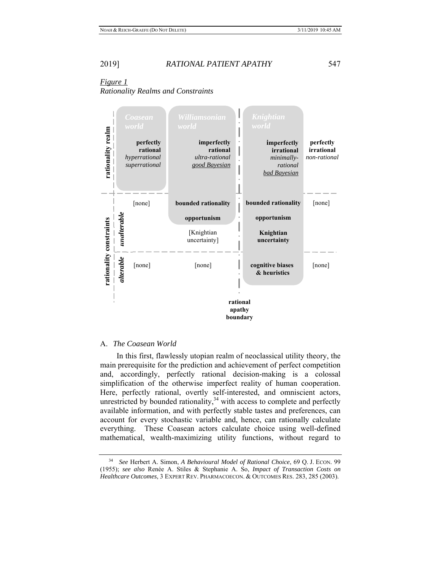# *Figure 1 Rationality Realms and Constraints*



### A. *The Coasean World*

In this first, flawlessly utopian realm of neoclassical utility theory, the main prerequisite for the prediction and achievement of perfect competition and, accordingly, perfectly rational decision-making is a colossal simplification of the otherwise imperfect reality of human cooperation. Here, perfectly rational, overtly self-interested, and omniscient actors, unrestricted by bounded rationality,  $34$  with access to complete and perfectly available information, and with perfectly stable tastes and preferences, can account for every stochastic variable and, hence, can rationally calculate everything. These Coasean actors calculate choice using well-defined mathematical, wealth-maximizing utility functions, without regard to

<sup>34</sup> *See* Herbert A. Simon, *A Behavioural Model of Rational Choice*, 69 Q. J. ECON. 99 (1955); *see also* Renée A. Stiles & Stephanie A. So, *Impact of Transaction Costs on Healthcare Outcomes*, 3 EXPERT REV. PHARMACOECON. & OUTCOMES RES. 283, 285 (2003).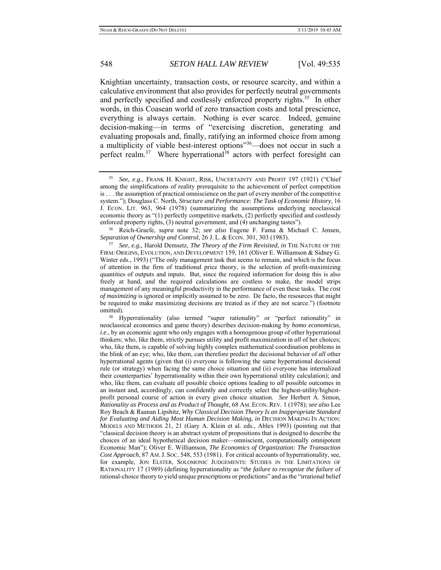Knightian uncertainty, transaction costs, or resource scarcity, and within a calculative environment that also provides for perfectly neutral governments and perfectly specified and costlessly enforced property rights.<sup>35</sup> In other words, in this Coasean world of zero transaction costs and total prescience, everything is always certain. Nothing is ever scarce. Indeed, genuine decision-making—in terms of "exercising discretion, generating and evaluating proposals and, finally, ratifying an informed choice from among a multiplicity of viable best-interest options"<sup>36</sup>—does not occur in such a perfect realm.<sup>37</sup> Where hyperrational<sup>38</sup> actors with perfect foresight can

*Separation of Ownership and Control*, 26 J. L. & ECON. 301, 303 (1983). 37 *See*, *e.g.*, Harold Demsetz, *The Theory of the Firm Revisited*, *in* THE NATURE OF THE

<sup>35</sup> *See*, *e.g.*, FRANK H. KNIGHT, RISK, UNCERTAINTY AND PROFIT 197 (1921) ("Chief among the simplifications of reality prerequisite to the achievement of perfect competition is . . . the assumption of practical omniscience on the part of every member of the competitive system."); Douglass C. North, *Structure and Performance: The Task of Economic History*, 16 J. ECON. LIT. 963, 964 (1978) (summarizing the assumptions underlying neoclassical economic theory as "(1) perfectly competitive markets, (2) perfectly specified and costlessly enforced property rights, (3) neutral government, and (4) unchanging tastes"). 36 Reich-Graefe, *supra* note 32; *see also* Eugene F. Fama & Michael C. Jensen,

FIRM: ORIGINS, EVOLUTION, AND DEVELOPMENT 159, 161 (Oliver E. Williamson & Sidney G. Winter eds., 1993) ("The only management task that seems to remain, and which is the focus of attention in the firm of traditional price theory, is the selection of profit-maximizing quantities of outputs and inputs. But, since the required information for doing this is also freely at hand, and the required calculations are costless to make, the model strips management of any meaningful productivity in the performance of even these tasks. The *cost of maximizing* is ignored or implicitly assumed to be zero. De facto, the resources that might be required to make maximizing decisions are treated as if they are not scarce.") (footnote omitted).<br><sup>38</sup> Hyperrationality (also termed "super rationality" or "perfect rationality" in

neoclassical economics and game theory) describes decision-making by *homo economicus*, *i.e.*, by an economic agent who only engages with a homogenous group of other hyperrational thinkers; who, like them, strictly pursues utility and profit maximization in *all* of her choices; who, like them, is capable of solving highly complex mathematical coordination problems in the blink of an eye; who, like them, can therefore predict the decisional behavior of *all* other hyperrational agents (given that (i) everyone is following the same hyperrational decisional rule (or strategy) when facing the same choice situation and (ii) everyone has internalized their counterparties' hyperrationality within their own hyperrational utility calculation); and who, like them, can evaluate *all* possible choice options leading to *all* possible outcomes in an instant and, accordingly, can confidently and correctly select the highest-utility/highestprofit personal course of action in every given choice situation. *See* Herbert A. Simon, *Rationality as Process and as Product of Thought*, 68 AM. ECON. REV. 1 (1978); *see also* Lee Roy Beach & Raanan Lipshitz, *Why Classical Decision Theory Is an Inappropriate Standard for Evaluating and Aiding Most Human Decision Making*, *in* DECISION MAKING IN ACTION: MODELS AND METHODS 21, 21 (Gary A. Klein et al. eds., Ablex 1993) (pointing out that "classical decision theory is an abstract system of propositions that is designed to describe the choices of an ideal hypothetical decision maker—omniscient, computationally omnipotent Economic Man"); Oliver E. Williamson, *The Economics of Organization: The Transaction Cost Approach*, 87 AM.J. SOC. 548, 553 (1981). For critical accounts of hyperrationality, see, for example, JON ELSTER, SOLOMONIC JUDGEMENTS: STUDIES IN THE LIMITATIONS OF RATIONALITY 17 (1989) (defining hyperrationality as "*the failure to recognize the failure* of rational-choice theory to yield unique prescriptions or predictions" and as the "irrational belief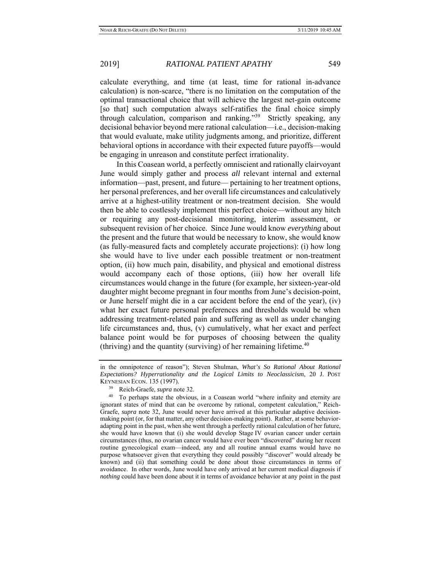calculate everything, and time (at least, time for rational in-advance calculation) is non-scarce, "there is no limitation on the computation of the optimal transactional choice that will achieve the largest net-gain outcome [so that] such computation always self-ratifies the final choice simply through calculation, comparison and ranking."<sup>39</sup> Strictly speaking, any decisional behavior beyond mere rational calculation—i.e., decision-making that would evaluate, make utility judgments among, and prioritize, different behavioral options in accordance with their expected future payoffs—would be engaging in unreason and constitute perfect irrationality.

In this Coasean world, a perfectly omniscient and rationally clairvoyant June would simply gather and process *all* relevant internal and external information—past, present, and future— pertaining to her treatment options, her personal preferences, and her overall life circumstances and calculatively arrive at a highest-utility treatment or non-treatment decision. She would then be able to costlessly implement this perfect choice—without any hitch or requiring any post-decisional monitoring, interim assessment, or subsequent revision of her choice. Since June would know *everything* about the present and the future that would be necessary to know, she would know (as fully-measured facts and completely accurate projections): (i) how long she would have to live under each possible treatment or non-treatment option, (ii) how much pain, disability, and physical and emotional distress would accompany each of those options, (iii) how her overall life circumstances would change in the future (for example, her sixteen-year-old daughter might become pregnant in four months from June's decision-point, or June herself might die in a car accident before the end of the year), (iv) what her exact future personal preferences and thresholds would be when addressing treatment-related pain and suffering as well as under changing life circumstances and, thus, (v) cumulatively, what her exact and perfect balance point would be for purposes of choosing between the quality (thriving) and the quantity (surviving) of her remaining lifetime.<sup>40</sup>

in the omnipotence of reason"); Steven Shulman, *What's So Rational About Rational Expectations? Hyperrationality and the Logical Limits to Neoclassicism*, 20 J. POST KEYNESIAN ECON. 135 (1997).<br><sup>39</sup> Reich-Graefe, *supra* note 32.<br><sup>40</sup> To perhaps state the obvious, in a Coasean world "where infinity and eternity are

ignorant states of mind that can be overcome by rational, competent calculation," Reich-Graefe, *supra* note 32, June would never have arrived at this particular adaptive decisionmaking point (or, for that matter, any other decision-making point). Rather, at some behavioradapting point in the past, when she went through a perfectly rational calculation of her future, she would have known that (i) she would develop Stage IV ovarian cancer under certain circumstances (thus, no ovarian cancer would have ever been "discovered" during her recent routine gynecological exam—indeed, any and all routine annual exams would have no purpose whatsoever given that everything they could possibly "discover" would already be known) and (ii) that something could be done about those circumstances in terms of avoidance. In other words, June would have only arrived at her current medical diagnosis if *nothing* could have been done about it in terms of avoidance behavior at any point in the past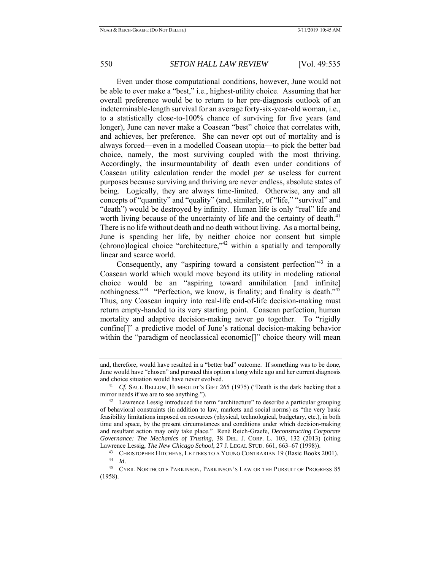Even under those computational conditions, however, June would not be able to ever make a "best," i.e., highest-utility choice. Assuming that her overall preference would be to return to her pre-diagnosis outlook of an indeterminable-length survival for an average forty-six-year-old woman, i.e., to a statistically close-to-100% chance of surviving for five years (and longer), June can never make a Coasean "best" choice that correlates with, and achieves, her preference. She can never opt out of mortality and is always forced—even in a modelled Coasean utopia—to pick the better bad choice, namely, the most surviving coupled with the most thriving. Accordingly, the insurmountability of death even under conditions of Coasean utility calculation render the model *per se* useless for current purposes because surviving and thriving are never endless, absolute states of being. Logically, they are always time-limited. Otherwise, any and all concepts of "quantity" and "quality" (and, similarly, of "life," "survival" and "death") would be destroyed by infinity. Human life is only "real" life and worth living because of the uncertainty of life and the certainty of death.<sup>41</sup> There is no life without death and no death without living. As a mortal being, June is spending her life, by neither choice nor consent but simple  $(chrono)$ logical choice "architecture,"<sup>42</sup> within a spatially and temporally linear and scarce world.

Consequently, any "aspiring toward a consistent perfection"<sup>43</sup> in a Coasean world which would move beyond its utility in modeling rational choice would be an "aspiring toward annihilation [and infinite] nothingness."<sup>44</sup> "Perfection, we know, is finality; and finality is death."<sup>45</sup> Thus, any Coasean inquiry into real-life end-of-life decision-making must return empty-handed to its very starting point. Coasean perfection, human mortality and adaptive decision-making never go together. To "rigidly confine[]" a predictive model of June's rational decision-making behavior within the "paradigm of neoclassical economic<sup>[]"</sup> choice theory will mean

and, therefore, would have resulted in a "better bad" outcome. If something was to be done, June would have "chosen" and pursued this option a long while ago and her current diagnosis and choice situation would have never evolved.<br><sup>41</sup> *Cf.* SAUL BELLOW, HUMBOLDT'S GIFT 265 (1975) ("Death is the dark backing that a

mirror needs if we are to see anything.").<br><sup>42</sup> Lawrence Lessig introduced the term "architecture" to describe a particular grouping

of behavioral constraints (in addition to law, markets and social norms) as "the very basic feasibility limitations imposed on resources (physical, technological, budgetary, etc.), in both time and space, by the present circumstances and conditions under which decision-making and resultant action may only take place." René Reich-Graefe, *Deconstructing Corporate Governance: The Mechanics of Trusting*, 38 DEL. J. CORP. L. 103, 132 (2013) (citing

Lawrence Lessig, *The New Chicago School*, 27 J. LEGAL STUD. 661, 663–67 (1998)).<br><sup>43</sup> CHRISTOPHER HITCHENS, LETTERS TO A YOUNG CONTRARIAN 19 (Basic Books 2001).<br><sup>44</sup> Id. CYRIL NORTHCOTE PARKINSON, PARKINSON'S LAW OR THE P

<sup>(1958).</sup>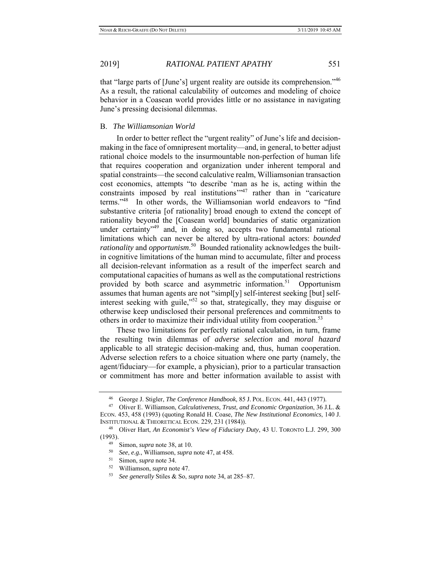that "large parts of [June's] urgent reality are outside its comprehension."46 As a result, the rational calculability of outcomes and modeling of choice behavior in a Coasean world provides little or no assistance in navigating June's pressing decisional dilemmas.

## B. *The Williamsonian World*

In order to better reflect the "urgent reality" of June's life and decisionmaking in the face of omnipresent mortality—and, in general, to better adjust rational choice models to the insurmountable non-perfection of human life that requires cooperation and organization under inherent temporal and spatial constraints—the second calculative realm, Williamsonian transaction cost economics, attempts "to describe 'man as he is, acting within the constraints imposed by real institutions $1/47$  rather than in "caricature" terms."48 In other words, the Williamsonian world endeavors to "find substantive criteria [of rationality] broad enough to extend the concept of rationality beyond the [Coasean world] boundaries of static organization under certainty<sup>349</sup> and, in doing so, accepts two fundamental rational limitations which can never be altered by ultra-rational actors: *bounded rationality* and *opportunism*. 50 Bounded rationality acknowledges the builtin cognitive limitations of the human mind to accumulate, filter and process all decision-relevant information as a result of the imperfect search and computational capacities of humans as well as the computational restrictions provided by both scarce and asymmetric information.<sup>51</sup> Opportunism assumes that human agents are not "simpl[y] self-interest seeking [but] selfinterest seeking with guile,"52 so that, strategically, they may disguise or otherwise keep undisclosed their personal preferences and commitments to others in order to maximize their individual utility from cooperation.<sup>53</sup>

These two limitations for perfectly rational calculation, in turn, frame the resulting twin dilemmas of *adverse selection* and *moral hazard* applicable to all strategic decision-making and, thus, human cooperation. Adverse selection refers to a choice situation where one party (namely, the agent/fiduciary—for example, a physician), prior to a particular transaction or commitment has more and better information available to assist with

<sup>46</sup> George J. Stigler, *The Conference Handbook*, 85 J. POL. ECON. 441, 443 (1977). 47 Oliver E. Williamson, *Calculativeness, Trust, and Economic Organization*, 36 J.L. &

ECON. 453, 458 (1993) (quoting Ronald H. Coase, *The New Institutional Economics*, 140 J. INSTITUTIONAL & THEORETICAL ECON. 229, 231 (1984)). 48 Oliver Hart, *An Economist's View of Fiduciary Duty*, 43 U. TORONTO L.J. 299, 300

<sup>(1993).&</sup>lt;br>
<sup>49</sup> Simon, *supra* note 38, at 10.<br>
<sup>50</sup> See, e.g., Williamson, *supra* note 47, at 458.<br>
<sup>51</sup> Simon, *supra* note 34.<br>
<sup>52</sup> Williamson, *supra* note 47.<br>
<sup>53</sup> See generally Stiles & So, *supra* note 34, at 285–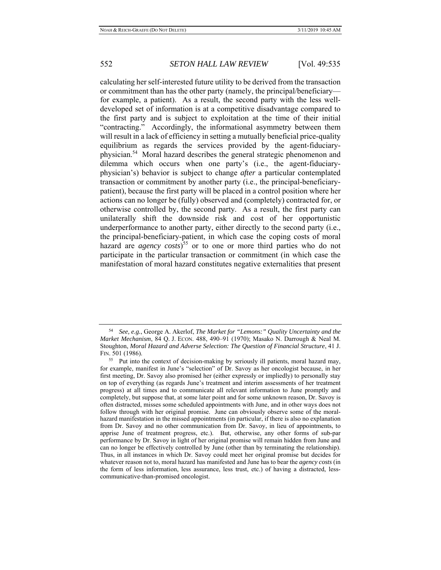calculating her self-interested future utility to be derived from the transaction or commitment than has the other party (namely, the principal/beneficiary for example, a patient). As a result, the second party with the less welldeveloped set of information is at a competitive disadvantage compared to the first party and is subject to exploitation at the time of their initial "contracting." Accordingly, the informational asymmetry between them will result in a lack of efficiency in setting a mutually beneficial price-quality equilibrium as regards the services provided by the agent-fiduciaryphysician.<sup>54</sup> Moral hazard describes the general strategic phenomenon and dilemma which occurs when one party's (i.e., the agent-fiduciaryphysician's) behavior is subject to change *after* a particular contemplated transaction or commitment by another party (i.e., the principal-beneficiarypatient), because the first party will be placed in a control position where her actions can no longer be (fully) observed and (completely) contracted for, or otherwise controlled by, the second party. As a result, the first party can unilaterally shift the downside risk and cost of her opportunistic underperformance to another party, either directly to the second party (i.e., the principal-beneficiary-patient, in which case the coping costs of moral hazard are *agency costs*) 55 or to one or more third parties who do not participate in the particular transaction or commitment (in which case the manifestation of moral hazard constitutes negative externalities that present

<sup>54</sup> *See, e.g.*, George A. Akerlof, *The Market for "Lemons:" Quality Uncertainty and the Market Mechanism*, 84 Q. J. ECON. 488, 490–91 (1970); Masako N. Darrough & Neal M. Stoughton, *Moral Hazard and Adverse Selection: The Question of Financial Structure*, 41 J. FIN. 501 (1986).

<sup>&</sup>lt;sup>55</sup> Put into the context of decision-making by seriously ill patients, moral hazard may, for example, manifest in June's "selection" of Dr. Savoy as her oncologist because, in her first meeting, Dr. Savoy also promised her (either expressly or impliedly) to personally stay on top of everything (as regards June's treatment and interim assessments of her treatment progress) at all times and to communicate all relevant information to June promptly and completely, but suppose that, at some later point and for some unknown reason, Dr. Savoy is often distracted, misses some scheduled appointments with June, and in other ways does not follow through with her original promise. June can obviously observe some of the moralhazard manifestation in the missed appointments (in particular, if there is also no explanation from Dr. Savoy and no other communication from Dr. Savoy, in lieu of appointments, to apprise June of treatment progress, etc.). But, otherwise, any other forms of sub-par performance by Dr. Savoy in light of her original promise will remain hidden from June and can no longer be effectively controlled by June (other than by terminating the relationship). Thus, in all instances in which Dr. Savoy could meet her original promise but decides for whatever reason not to, moral hazard has manifested and June has to bear the *agency costs* (in the form of less information, less assurance, less trust, etc.) of having a distracted, lesscommunicative-than-promised oncologist.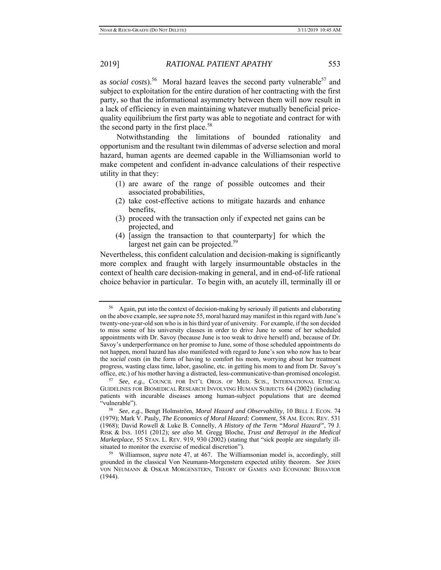as *social costs*).<sup>56</sup> Moral hazard leaves the second party vulnerable<sup>57</sup> and subject to exploitation for the entire duration of her contracting with the first party, so that the informational asymmetry between them will now result in a lack of efficiency in even maintaining whatever mutually beneficial pricequality equilibrium the first party was able to negotiate and contract for with the second party in the first place.<sup>58</sup>

Notwithstanding the limitations of bounded rationality and opportunism and the resultant twin dilemmas of adverse selection and moral hazard, human agents are deemed capable in the Williamsonian world to make competent and confident in-advance calculations of their respective utility in that they:

- (1) are aware of the range of possible outcomes and their associated probabilities,
- (2) take cost-effective actions to mitigate hazards and enhance benefits,
- (3) proceed with the transaction only if expected net gains can be projected, and
- (4) [assign the transaction to that counterparty] for which the largest net gain can be projected.<sup>59</sup>

Nevertheless, this confident calculation and decision-making is significantly more complex and fraught with largely insurmountable obstacles in the context of health care decision-making in general, and in end-of-life rational choice behavior in particular. To begin with, an acutely ill, terminally ill or

<sup>56</sup> Again, put into the context of decision-making by seriously ill patients and elaborating on the above example, *see supra* note 55, moral hazard may manifest in this regard with June's twenty-one-year-old son who is in his third year of university. For example, if the son decided to miss some of his university classes in order to drive June to some of her scheduled appointments with Dr. Savoy (because June is too weak to drive herself) and, because of Dr. Savoy's underperformance on her promise to June, some of those scheduled appointments do not happen, moral hazard has also manifested with regard to June's son who now has to bear the *social costs* (in the form of having to comfort his mom, worrying about her treatment progress, wasting class time, labor, gasoline, etc. in getting his mom to and from Dr. Savoy's office, etc.) of his mother having a distracted, less-communicative-than-promised oncologist. 57 *See, e.g.*, COUNCIL FOR INT'L ORGS. OF MED. SCIS., INTERNATIONAL ETHICAL

GUIDELINES FOR BIOMEDICAL RESEARCH INVOLVING HUMAN SUBJECTS 64 (2002) (including patients with incurable diseases among human-subject populations that are deemed "vulnerable"). 58 *See*, *e.g.*, Bengt Holmström, *Moral Hazard and Observability*, 10 BELL J. ECON. 74

<sup>(1979);</sup> Mark V. Pauly, *The Economics of Moral Hazard: Comment*, 58 AM. ECON. REV. 531 (1968); David Rowell & Luke B. Connelly, *A History of the Term "Moral Hazard"*, 79 J. RISK & INS. 1051 (2012); *see also* M. Gregg Bloche, *Trust and Betrayal in the Medical Marketplace*, 55 STAN. L. REV. 919, 930 (2002) (stating that "sick people are singularly ill-<br>situated to monitor the exercise of medical discretion").

<sup>&</sup>lt;sup>59</sup> Williamson, *supra* note 47, at 467. The Williamsonian model is, accordingly, still grounded in the classical Von Neumann-Morgenstern expected utility theorem. *See* JOHN VON NEUMANN & OSKAR MORGENSTERN, THEORY OF GAMES AND ECONOMIC BEHAVIOR (1944).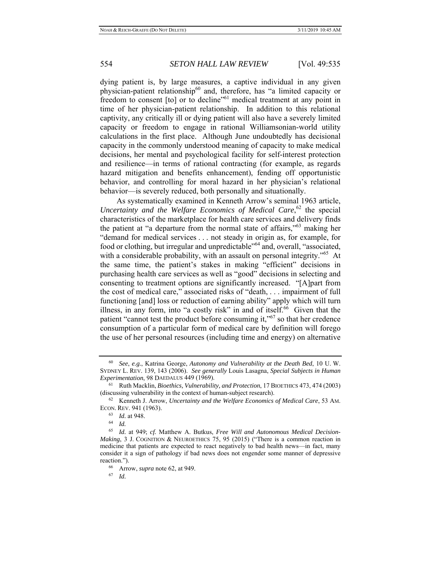dying patient is, by large measures, a captive individual in any given physician-patient relationship<sup>60</sup> and, therefore, has "a limited capacity or freedom to consent [to] or to decline"<sup>61</sup> medical treatment at any point in time of her physician-patient relationship. In addition to this relational captivity, any critically ill or dying patient will also have a severely limited capacity or freedom to engage in rational Williamsonian-world utility calculations in the first place. Although June undoubtedly has decisional capacity in the commonly understood meaning of capacity to make medical decisions, her mental and psychological facility for self-interest protection and resilience—in terms of rational contracting (for example, as regards hazard mitigation and benefits enhancement), fending off opportunistic behavior, and controlling for moral hazard in her physician's relational behavior—is severely reduced, both personally and situationally.

As systematically examined in Kenneth Arrow's seminal 1963 article, Uncertainty and the Welfare Economics of Medical Care,<sup>62</sup> the special characteristics of the marketplace for health care services and delivery finds the patient at "a departure from the normal state of affairs,"<sup>63</sup> making her "demand for medical services . . . not steady in origin as, for example, for food or clothing, but irregular and unpredictable"64 and, overall, "associated, with a considerable probability, with an assault on personal integrity."<sup>65</sup> At the same time, the patient's stakes in making "efficient" decisions in purchasing health care services as well as "good" decisions in selecting and consenting to treatment options are significantly increased. "[A]part from the cost of medical care," associated risks of "death, . . . impairment of full functioning [and] loss or reduction of earning ability" apply which will turn illness, in any form, into "a costly risk" in and of itself. $66$  Given that the patient "cannot test the product before consuming it,"<sup>67</sup> so that her credence consumption of a particular form of medical care by definition will forego the use of her personal resources (including time and energy) on alternative

<sup>60</sup> *See*, *e.g.*, Katrina George, *Autonomy and Vulnerability at the Death Bed*, 10 U. W. SYDNEY L. REV. 139, 143 (2006). *See generally* Louis Lasagna, *Special Subjects in Human Experimentation*, 98 DAEDALUS 449 (1969).<br><sup>61</sup> Ruth Macklin, *Bioethics, Vulnerability, and Protection*, 17 BIOETHICS 473, 474 (2003)

<sup>(</sup>discussing vulnerability in the context of human-subject research). 62 Kenneth J. Arrow, *Uncertainty and the Welfare Economics of Medical Care*, 53 AM.

ECON. REV. 941 (1963).<br>
<sup>63</sup> *Id.* at 948.<br>
<sup>64</sup> *Id.*<br>
<sup>65</sup> *Id.* at 949: *cf.* M

Id. at 949; cf. Matthew A. Butkus, *Free Will and Autonomous Medical Decision-Making*, 3 J. COGNITION & NEUROETHICS 75, 95 (2015) ("There is a common reaction in medicine that patients are expected to react negatively to bad health news—in fact, many consider it a sign of pathology if bad news does not engender some manner of depressive reaction."). 66 Arrow, *supra* note 62, at 949. 67 *Id.*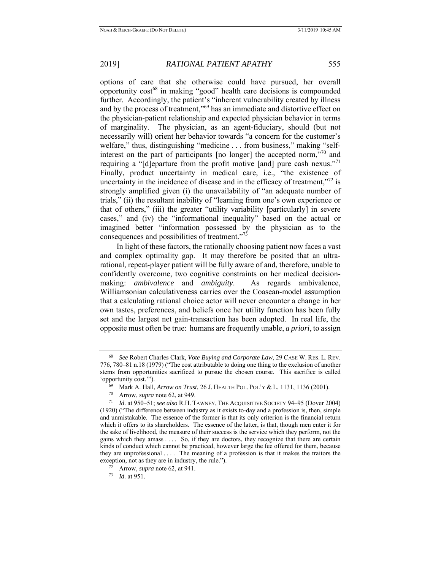options of care that she otherwise could have pursued, her overall opportunity cost<sup>68</sup> in making "good" health care decisions is compounded further. Accordingly, the patient's "inherent vulnerability created by illness and by the process of treatment,"69 has an immediate and distortive effect on the physician-patient relationship and expected physician behavior in terms of marginality. The physician, as an agent-fiduciary, should (but not necessarily will) orient her behavior towards "a concern for the customer's welfare," thus, distinguishing "medicine . . . from business," making "selfinterest on the part of participants [no longer] the accepted norm,"70 and requiring a "[d]eparture from the profit motive [and] pure cash nexus."<sup>71</sup> Finally, product uncertainty in medical care, i.e., "the existence of uncertainty in the incidence of disease and in the efficacy of treatment," $72$  is strongly amplified given (i) the unavailability of "an adequate number of trials," (ii) the resultant inability of "learning from one's own experience or that of others," (iii) the greater "utility variability [particularly] in severe cases," and (iv) the "informational inequality" based on the actual or imagined better "information possessed by the physician as to the consequences and possibilities of treatment."73

In light of these factors, the rationally choosing patient now faces a vast and complex optimality gap. It may therefore be posited that an ultrarational, repeat-player patient will be fully aware of and, therefore, unable to confidently overcome, two cognitive constraints on her medical decisionmaking: *ambivalence* and *ambiguity*. As regards ambivalence, Williamsonian calculativeness carries over the Coasean-model assumption that a calculating rational choice actor will never encounter a change in her own tastes, preferences, and beliefs once her utility function has been fully set and the largest net gain-transaction has been adopted. In real life, the opposite must often be true: humans are frequently unable, *a priori*, to assign

<sup>68</sup> *See* Robert Charles Clark, *Vote Buying and Corporate Law*, 29 CASE W. RES. L. REV. 776, 780–81 n.18 (1979) ("The cost attributable to doing one thing to the exclusion of another stems from opportunities sacrificed to pursue the chosen course. This sacrifice is called 'opportunity cost.'").<br>
<sup>69</sup> Mark A. Hall, *Arrow on Trust*, 26 J. HEALTH POL. POL'Y & L. 1131, 1136 (2001).<br>
<sup>70</sup> Arrow, *supra* note 62, at 949.<br>
<sup>71</sup> Id. at 950–51; *see also* R.H. TAWNEY, THE ACQUISITIVE SOCIETY 94–95

<sup>(1920) (&</sup>quot;The difference between industry as it exists to-day and a profession is, then, simple and unmistakable. The essence of the former is that its only criterion is the financial return which it offers to its shareholders. The essence of the latter, is that, though men enter it for the sake of livelihood, the measure of their success is the service which they perform, not the gains which they amass . . . . So, if they are doctors, they recognize that there are certain kinds of conduct which cannot be practiced, however large the fee offered for them, because they are unprofessional . . . . The meaning of a profession is that it makes the traitors the exception, not as they are in industry, the rule."). 72 Arrow, *supra* note 62, at 941. 73 *Id.* at 951.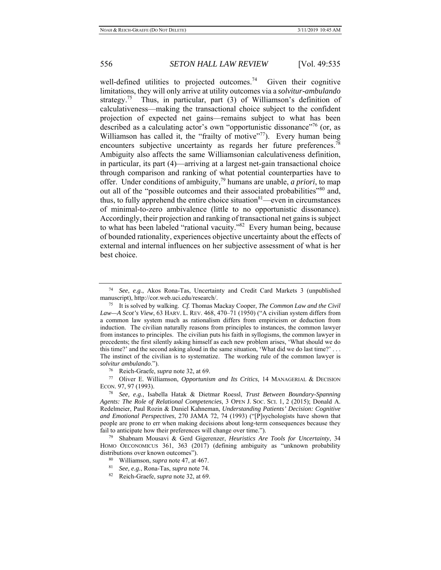well-defined utilities to projected outcomes.<sup>74</sup> Given their cognitive limitations, they will only arrive at utility outcomes via a *solvitur-ambulando*  strategy.<sup>75</sup> Thus, in particular, part  $(3)$  of Williamson's definition of calculativeness—making the transactional choice subject to the confident projection of expected net gains—remains subject to what has been described as a calculating actor's own "opportunistic dissonance"<sup>76</sup> (or, as Williamson has called it, the "frailty of motive"77). Every human being encounters subjective uncertainty as regards her future preferences.<sup>7</sup> Ambiguity also affects the same Williamsonian calculativeness definition, in particular, its part (4)—arriving at a largest net-gain transactional choice through comparison and ranking of what potential counterparties have to offer. Under conditions of ambiguity,79 humans are unable, *a priori*, to map out all of the "possible outcomes and their associated probabilities"<sup>80</sup> and, thus, to fully apprehend the entire choice situation $81$ —even in circumstances of minimal-to-zero ambivalence (little to no opportunistic dissonance). Accordingly, their projection and ranking of transactional net gains is subject to what has been labeled "rational vacuity."82 Every human being, because of bounded rationality, experiences objective uncertainty about the effects of external and internal influences on her subjective assessment of what is her best choice.

*solvitur ambulando*."). 76 Reich-Graefe, *supra* note 32, at 69. 77 Oliver E. Williamson, *Opportunism and Its Critics*, 14 MANAGERIAL & DECISION ECON. 97, 97 (1993). 78 *See, e.g.*, Isabella Hatak & Dietmar Roessl, *Trust Between Boundary-Spanning* 

*Agents: The Role of Relational Competencies*, 3 OPEN J. SOC. SCI. 1, 2 (2015); Donald A. Redelmeier, Paul Rozin & Daniel Kahneman, *Understanding Patients' Decision: Cognitive and Emotional Perspectives*, 270 JAMA 72, 74 (1993) ("[P]sychologists have shown that people are prone to err when making decisions about long-term consequences because they fail to anticipate how their preferences will change over time."). 79 Shabnam Mousavi & Gerd Gigerenzer, *Heuristics Are Tools for Uncertainty*, 34

HOMO OECONOMICUS 361, 363 (2017) (defining ambiguity as "unknown probability distributions over known outcomes").

- 
- distributions over known outcomes"). 80 Williamson, *supra* note 47, at 467. 81 *See, e.g.*, Rona-Tas, *supra* note 74. 82 Reich-Graefe, *supra* note 32, at 69.
- 

<sup>74</sup> *See*, *e.g.*, Akos Rona-Tas, Uncertainty and Credit Card Markets 3 (unpublished manuscript), http://cor.web.uci.edu/research/.<br><sup>75</sup> It is solved by walking. *Cf.* Thomas Mackay Cooper, *The Common Law and the Civil* 

*Law—A Scot's View*, 63 HARV. L. REV. 468, 470–71 (1950) ("A civilian system differs from a common law system much as rationalism differs from empiricism or deduction from induction. The civilian naturally reasons from principles to instances, the common lawyer from instances to principles. The civilian puts his faith in syllogisms, the common lawyer in precedents; the first silently asking himself as each new problem arises, 'What should we do this time?' and the second asking aloud in the same situation, 'What did we do last time?' . . . The instinct of the civilian is to systematize. The working rule of the common lawyer is *solvitur ambulando*.").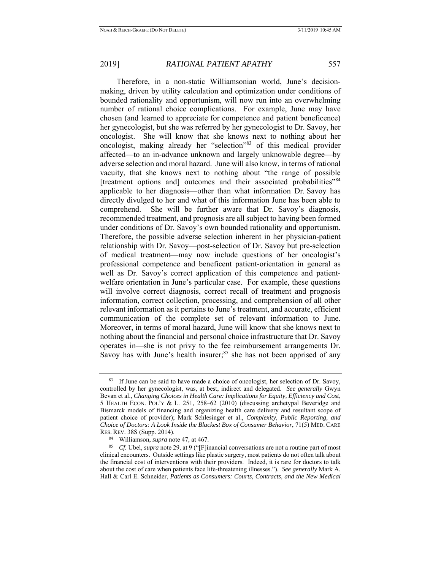Therefore, in a non-static Williamsonian world, June's decisionmaking, driven by utility calculation and optimization under conditions of bounded rationality and opportunism, will now run into an overwhelming number of rational choice complications. For example, June may have chosen (and learned to appreciate for competence and patient beneficence) her gynecologist, but she was referred by her gynecologist to Dr. Savoy, her oncologist. She will know that she knows next to nothing about her oncologist, making already her "selection"83 of this medical provider affected—to an in-advance unknown and largely unknowable degree—by adverse selection and moral hazard. June will also know, in terms of rational vacuity, that she knows next to nothing about "the range of possible [treatment options and] outcomes and their associated probabilities"<sup>84</sup> applicable to her diagnosis—other than what information Dr. Savoy has directly divulged to her and what of this information June has been able to comprehend. She will be further aware that Dr. Savoy's diagnosis, recommended treatment, and prognosis are all subject to having been formed under conditions of Dr. Savoy's own bounded rationality and opportunism. Therefore, the possible adverse selection inherent in her physician-patient relationship with Dr. Savoy—post-selection of Dr. Savoy but pre-selection of medical treatment—may now include questions of her oncologist's professional competence and beneficent patient-orientation in general as well as Dr. Savoy's correct application of this competence and patientwelfare orientation in June's particular case. For example, these questions will involve correct diagnosis, correct recall of treatment and prognosis information, correct collection, processing, and comprehension of all other relevant information as it pertains to June's treatment, and accurate, efficient communication of the complete set of relevant information to June. Moreover, in terms of moral hazard, June will know that she knows next to nothing about the financial and personal choice infrastructure that Dr. Savoy operates in—she is not privy to the fee reimbursement arrangements Dr. Savoy has with June's health insurer; $85$  she has not been apprised of any

<sup>83</sup> If June can be said to have made a choice of oncologist, her selection of Dr. Savoy, controlled by her gynecologist, was, at best, indirect and delegated. *See generally* Gwyn Bevan et al., *Changing Choices in Health Care: Implications for Equity, Efficiency and Cost*, 5 HEALTH ECON. POL'Y & L. 251, 258–62 (2010) (discussing archetypal Beveridge and Bismarck models of financing and organizing health care delivery and resultant scope of patient choice of provider); Mark Schlesinger et al., *Complexity, Public Reporting, and Choice of Doctors: A Look Inside the Blackest Box of Consumer Behavior*, 71(5) MED. CARE RES. REV. 38S (Supp. 2014).

RES. REV. 38S (Supp. 2014). 84 Williamson, *supra* note 47, at 467. 85 *Cf.* Ubel, *supra* note 29, at 9 ("[F]inancial conversations are not a routine part of most clinical encounters. Outside settings like plastic surgery, most patients do not often talk about the financial cost of interventions with their providers. Indeed, it is rare for doctors to talk about the cost of care when patients face life-threatening illnesses."). *See generally* Mark A. Hall & Carl E. Schneider, *Patients as Consumers: Courts, Contracts, and the New Medical*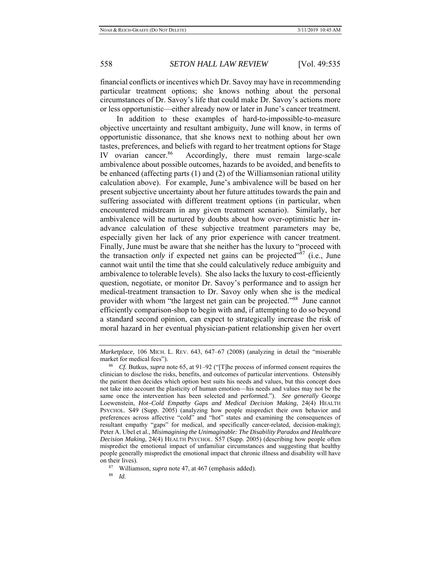financial conflicts or incentives which Dr. Savoy may have in recommending particular treatment options; she knows nothing about the personal circumstances of Dr. Savoy's life that could make Dr. Savoy's actions more or less opportunistic—either already now or later in June's cancer treatment.

In addition to these examples of hard-to-impossible-to-measure objective uncertainty and resultant ambiguity, June will know, in terms of opportunistic dissonance, that she knows next to nothing about her own tastes, preferences, and beliefs with regard to her treatment options for Stage IV ovarian cancer.<sup>86</sup> Accordingly, there must remain large-scale ambivalence about possible outcomes, hazards to be avoided, and benefits to be enhanced (affecting parts (1) and (2) of the Williamsonian rational utility calculation above). For example, June's ambivalence will be based on her present subjective uncertainty about her future attitudes towards the pain and suffering associated with different treatment options (in particular, when encountered midstream in any given treatment scenario). Similarly, her ambivalence will be nurtured by doubts about how over-optimistic her inadvance calculation of these subjective treatment parameters may be, especially given her lack of any prior experience with cancer treatment. Finally, June must be aware that she neither has the luxury to "proceed with the transaction *only* if expected net gains can be projected<sup>"87</sup> (i.e., June cannot wait until the time that she could calculatively reduce ambiguity and ambivalence to tolerable levels). She also lacks the luxury to cost-efficiently question, negotiate, or monitor Dr. Savoy's performance and to assign her medical-treatment transaction to Dr. Savoy only when she is the medical provider with whom "the largest net gain can be projected."<sup>88</sup> June cannot efficiently comparison-shop to begin with and, if attempting to do so beyond a standard second opinion, can expect to strategically increase the risk of moral hazard in her eventual physician-patient relationship given her overt

*Marketplace*, 106 MICH. L. REV. 643, 647–67 (2008) (analyzing in detail the "miserable

market for medical fees").<br><sup>86</sup> *Cf.* Butkus, *supra* note 65, at 91–92 ("[T]he process of informed consent requires the clinician to disclose the risks, benefits, and outcomes of particular interventions. Ostensibly the patient then decides which option best suits his needs and values, but this concept does not take into account the plasticity of human emotion—his needs and values may not be the same once the intervention has been selected and performed."). *See generally* George Loewenstein, *Hot–Cold Empathy Gaps and Medical Decision Making*, 24(4) HEALTH PSYCHOL. S49 (Supp. 2005) (analyzing how people mispredict their own behavior and preferences across affective "cold" and "hot" states and examining the consequences of resultant empathy "gaps" for medical, and specifically cancer-related, decision-making); Peter A. Ubel et al., *Misimagining the Unimaginable: The Disability Paradox and Healthcare Decision Making*, 24(4) HEALTH PSYCHOL. S57 (Supp. 2005) (describing how people often mispredict the emotional impact of unfamiliar circumstances and suggesting that healthy people generally mispredict the emotional impact that chronic illness and disability will have

on their lives). 87 Williamson, *supra* note 47, at 467 (emphasis added). 88 *Id.*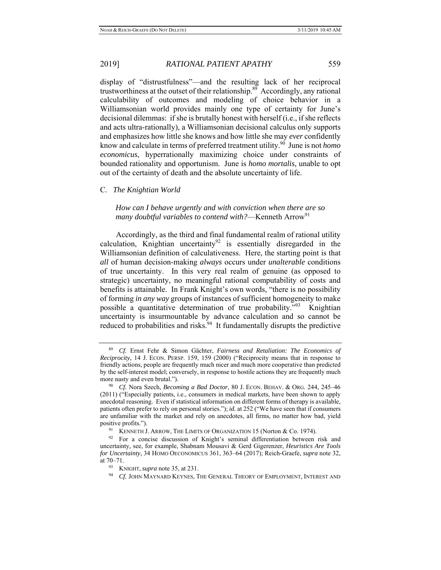display of "distrustfulness"—and the resulting lack of her reciprocal trustworthiness at the outset of their relationship.<sup>89</sup> Accordingly, any rational calculability of outcomes and modeling of choice behavior in a Williamsonian world provides mainly one type of certainty for June's decisional dilemmas: if she is brutally honest with herself (i.e., if she reflects and acts ultra-rationally), a Williamsonian decisional calculus only supports and emphasizes how little she knows and how little she may *ever* confidently know and calculate in terms of preferred treatment utility.<sup>90</sup> June is not *homo economicus*, hyperrationally maximizing choice under constraints of bounded rationality and opportunism. June is *homo mortalis*, unable to opt out of the certainty of death and the absolute uncertainty of life.

### C. *The Knightian World*

*How can I behave urgently and with conviction when there are so many doubtful variables to contend with?*—Kenneth Arrow<sup>91</sup>

 Accordingly, as the third and final fundamental realm of rational utility calculation, Knightian uncertainty<sup>92</sup> is essentially disregarded in the Williamsonian definition of calculativeness. Here, the starting point is that *all* of human decision-making *always* occurs under *unalterable* conditions of true uncertainty. In this very real realm of genuine (as opposed to strategic) uncertainty, no meaningful rational computability of costs and benefits is attainable. In Frank Knight's own words, "there is no possibility of forming *in any way* groups of instances of sufficient homogeneity to make possible a quantitative determination of true probability."<sup>93</sup> Knightian uncertainty is insurmountable by advance calculation and so cannot be reduced to probabilities and risks.<sup>94</sup> It fundamentally disrupts the predictive

<sup>89</sup> *Cf.* Ernst Fehr & Simon Gächter, *Fairness and Retaliation: The Economics of Reciprocity*, 14 J. ECON. PERSP. 159, 159 (2000) ("Reciprocity means that in response to friendly actions, people are frequently much nicer and much more cooperative than predicted by the self-interest model; conversely, in response to hostile actions they are frequently much more nasty and even brutal.").<br><sup>90</sup> *Cf.* Nora Szech, *Becoming a Bad Doctor*, 80 J. ECON. BEHAV. & ORG. 244, 245–46

<sup>(2011) (&</sup>quot;Especially patients, i.e., consumers in medical markets, have been shown to apply anecdotal reasoning. Even if statistical information on different forms of therapy is available, patients often prefer to rely on personal stories."); *id.* at 252 ("We have seen that if consumers are unfamiliar with the market and rely on anecdotes, all firms, no matter how bad, yield positive profits.").<br><sup>91</sup> KENNETH J. ARROW, THE LIMITS OF ORGANIZATION 15 (Norton & Co. 1974).<br><sup>92</sup> For a concise discussion of Knight's seminal differentiation between risk and

uncertainty, see, for example, Shabnam Mousavi & Gerd Gigerenzer, *Heuristics Are Tools for Uncertainty*, 34 HOMO OECONOMICUS 361, 363–64 (2017); Reich-Graefe, *supra* note 32,

<sup>&</sup>lt;sup>93</sup> KNIGHT, *supra* note 35, at 231. 94 *Cf.* JOHN MAYNARD KEYNES, THE GENERAL THEORY OF EMPLOYMENT, INTEREST AND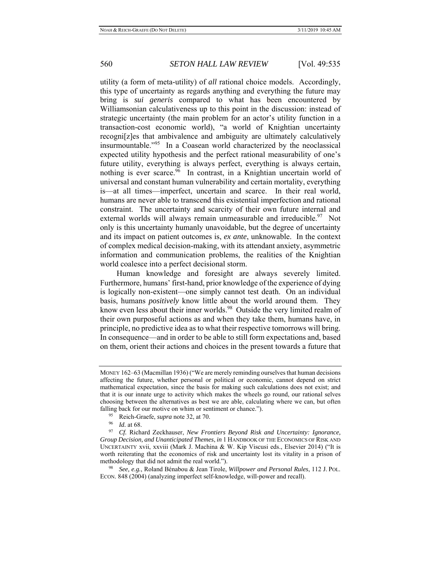utility (a form of meta-utility) of *all* rational choice models. Accordingly, this type of uncertainty as regards anything and everything the future may bring is *sui generis* compared to what has been encountered by Williamsonian calculativeness up to this point in the discussion: instead of strategic uncertainty (the main problem for an actor's utility function in a transaction-cost economic world), "a world of Knightian uncertainty recogni[z]es that ambivalence and ambiguity are ultimately calculatively insurmountable."95 In a Coasean world characterized by the neoclassical expected utility hypothesis and the perfect rational measurability of one's future utility, everything is always perfect, everything is always certain, nothing is ever scarce.<sup>96</sup> In contrast, in a Knightian uncertain world of universal and constant human vulnerability and certain mortality, everything is—at all times—imperfect, uncertain and scarce. In their real world, humans are never able to transcend this existential imperfection and rational constraint. The uncertainty and scarcity of their own future internal and external worlds will always remain unmeasurable and irreducible.<sup>97</sup> Not only is this uncertainty humanly unavoidable, but the degree of uncertainty and its impact on patient outcomes is, *ex ante*, unknowable. In the context of complex medical decision-making, with its attendant anxiety, asymmetric information and communication problems, the realities of the Knightian world coalesce into a perfect decisional storm.

Human knowledge and foresight are always severely limited. Furthermore, humans' first-hand, prior knowledge of the experience of dying is logically non-existent—one simply cannot test death. On an individual basis, humans *positively* know little about the world around them. They know even less about their inner worlds.<sup>98</sup> Outside the very limited realm of their own purposeful actions as and when they take them, humans have, in principle, no predictive idea as to what their respective tomorrows will bring. In consequence—and in order to be able to still form expectations and, based on them, orient their actions and choices in the present towards a future that

MONEY 162–63 (Macmillan 1936) ("We are merely reminding ourselves that human decisions affecting the future, whether personal or political or economic, cannot depend on strict mathematical expectation, since the basis for making such calculations does not exist; and that it is our innate urge to activity which makes the wheels go round, our rational selves choosing between the alternatives as best we are able, calculating where we can, but often falling back for our motive on whim or sentiment or chance.").<br>
<sup>95</sup> Reich-Graefe, *supra* note 32, at 70.<br>
<sup>96</sup> Id. at 68.<br>
<sup>97</sup> Cf. Richard Zeckhauser, *New Frontiers Bevond Risk and Uncertainty: Ignorance*,

*Group Decision, and Unanticipated Themes*, *in* 1 HANDBOOK OF THE ECONOMICS OF RISK AND UNCERTAINTY xvii, xxviii (Mark J. Machina & W. Kip Viscusi eds., Elsevier 2014) ("It is worth reiterating that the economics of risk and uncertainty lost its vitality in a prison of methodology that did not admit the real world."). 98 *See, e.g.*, Roland Bénabou & Jean Tirole, *Willpower and Personal Rules*, 112 J. POL.

ECON. 848 (2004) (analyzing imperfect self-knowledge, will-power and recall).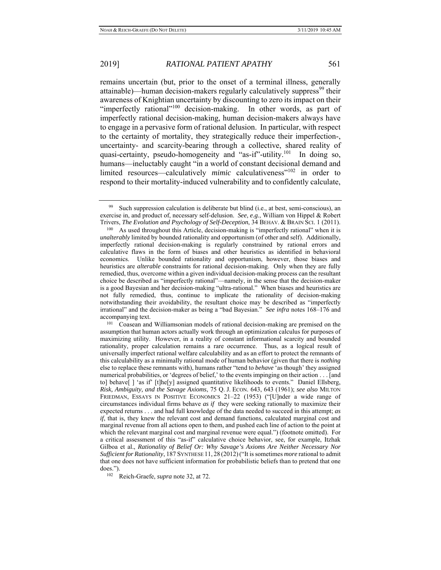remains uncertain (but, prior to the onset of a terminal illness, generally attainable)—human decision-makers regularly calculatively suppress<sup>99</sup> their awareness of Knightian uncertainty by discounting to zero its impact on their "imperfectly rational"<sup>100</sup> decision-making. In other words, as part of imperfectly rational decision-making, human decision-makers always have to engage in a pervasive form of rational delusion. In particular, with respect to the certainty of mortality, they strategically reduce their imperfection-, uncertainty- and scarcity-bearing through a collective, shared reality of quasi-certainty, pseudo-homogeneity and "as-if"-utility.<sup>101</sup> In doing so, humans—ineluctably caught "in a world of constant decisional demand and limited resources—calculatively *mimic* calculativeness"<sup>102</sup> in order to respond to their mortality-induced vulnerability and to confidently calculate,

<sup>99</sup> Such suppression calculation is deliberate but blind (i.e., at best, semi-conscious), an exercise in, and product of, necessary self-delusion. *See*, *e.g.*, William von Hippel & Robert Trivers, *The Evolution and Psychology of Self-Deception*, 34 BEHAV. & BRAIN SCI. 1 (2011).

<sup>&</sup>lt;sup>100</sup> As used throughout this Article, decision-making is "imperfectly rational" when it is *unalterably* limited by bounded rationality and opportunism (of other and self). Additionally, imperfectly rational decision-making is regularly constrained by rational errors and calculative flaws in the form of biases and other heuristics as identified in behavioral economics. Unlike bounded rationality and opportunism, however, those biases and heuristics are *alterable* constraints for rational decision-making. Only when they are fully remedied, thus, overcome within a given individual decision-making process can the resultant choice be described as "imperfectly rational"—namely, in the sense that the decision-maker is a good Bayesian and her decision-making "ultra-rational." When biases and heuristics are not fully remedied, thus, continue to implicate the rationality of decision-making notwithstanding their avoidability, the resultant choice may be described as "imperfectly irrational" and the decision-maker as being a "bad Bayesian." *See infra* notes 168–176 and accompanying text.<br><sup>101</sup> Coasean and Williamsonian models of rational decision-making are premised on the

assumption that human actors actually work through an optimization calculus for purposes of maximizing utility. However, in a reality of constant informational scarcity and bounded rationality, proper calculation remains a rare occurrence. Thus, as a logical result of universally imperfect rational welfare calculability and as an effort to protect the remnants of this calculability as a minimally rational mode of human behavior (given that there is *nothing* else to replace these remnants with), humans rather "tend to *behave* 'as though' they assigned numerical probabilities, or 'degrees of belief,' to the events impinging on their action . . . [and to] behave[ ] 'as if' [t]he[y] assigned quantitative likelihoods to events." Daniel Ellsberg, *Risk, Ambiguity, and the Savage Axioms*, 75 Q. J. ECON. 643, 643 (1961); *see also* MILTON FRIEDMAN, ESSAYS IN POSITIVE ECONOMICS 21–22 (1953) ("[U]nder a wide range of circumstances individual firms behave *as if* they were seeking rationally to maximize their expected returns . . . and had full knowledge of the data needed to succeed in this attempt; *as if*, that is, they knew the relevant cost and demand functions, calculated marginal cost and marginal revenue from all actions open to them, and pushed each line of action to the point at which the relevant marginal cost and marginal revenue were equal.") (footnote omitted). For a critical assessment of this "as-if" calculative choice behavior, see, for example, Itzhak Gilboa et al., *Rationality of Belief Or: Why Savage's Axioms Are Neither Necessary Nor Sufficient for Rationality*, 187 SYNTHESE 11, 28 (2012)("It is sometimes *more* rational to admit that one does not have sufficient information for probabilistic beliefs than to pretend that one does."). 102 Reich-Graefe, *supra* note 32, at 72.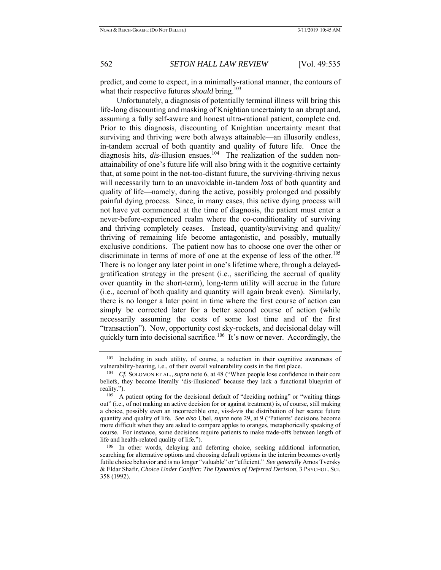predict, and come to expect, in a minimally-rational manner, the contours of what their respective futures *should* bring.<sup>103</sup>

Unfortunately, a diagnosis of potentially terminal illness will bring this life-long discounting and masking of Knightian uncertainty to an abrupt and, assuming a fully self-aware and honest ultra-rational patient, complete end. Prior to this diagnosis, discounting of Knightian uncertainty meant that surviving and thriving were both always attainable—an illusorily endless, in-tandem accrual of both quantity and quality of future life. Once the diagnosis hits, *dis*-illusion ensues.<sup>104</sup> The realization of the sudden nonattainability of one's future life will also bring with it the cognitive certainty that, at some point in the not-too-distant future, the surviving-thriving nexus will necessarily turn to an unavoidable in-tandem *loss* of both quantity and quality of life—namely, during the active, possibly prolonged and possibly painful dying process. Since, in many cases, this active dying process will not have yet commenced at the time of diagnosis, the patient must enter a never-before-experienced realm where the co-conditionality of surviving and thriving completely ceases. Instead, quantity/surviving and quality/ thriving of remaining life become antagonistic, and possibly, mutually exclusive conditions. The patient now has to choose one over the other or discriminate in terms of more of one at the expense of less of the other.<sup>105</sup> There is no longer any later point in one's lifetime where, through a delayedgratification strategy in the present (i.e., sacrificing the accrual of quality over quantity in the short-term), long-term utility will accrue in the future (i.e., accrual of both quality and quantity will again break even). Similarly, there is no longer a later point in time where the first course of action can simply be corrected later for a better second course of action (while necessarily assuming the costs of some lost time and of the first "transaction"). Now, opportunity cost sky-rockets, and decisional delay will quickly turn into decisional sacrifice.<sup>106</sup> It's now or never. Accordingly, the

<sup>103</sup> Including in such utility, of course, a reduction in their cognitive awareness of vulnerability-bearing, i.e., of their overall vulnerability costs in the first place. 104 *Cf.* SOLOMON ET AL., *supra* note 6, at 48 ("When people lose confidence in their core

beliefs, they become literally 'dis-illusioned' because they lack a functional blueprint of reality.").<br><sup>105</sup> A patient opting for the decisional default of "deciding nothing" or "waiting things

out" (i.e., of not making an active decision for or against treatment) is, of course, still making a choice, possibly even an incorrectible one, vis-à-vis the distribution of her scarce future quantity and quality of life. *See also* Ubel, *supra* note 29, at 9 ("Patients' decisions become more difficult when they are asked to compare apples to oranges, metaphorically speaking of course. For instance, some decisions require patients to make trade-offs between length of life and health-related quality of life.").<br><sup>106</sup> In other words, delaying and deferring choice, seeking additional information,

searching for alternative options and choosing default options in the interim becomes overtly futile choice behavior and is no longer "valuable" or "efficient." *See generally* Amos Tversky & Eldar Shafir, *Choice Under Conflict: The Dynamics of Deferred Decision*, 3 PSYCHOL. SCI. 358 (1992).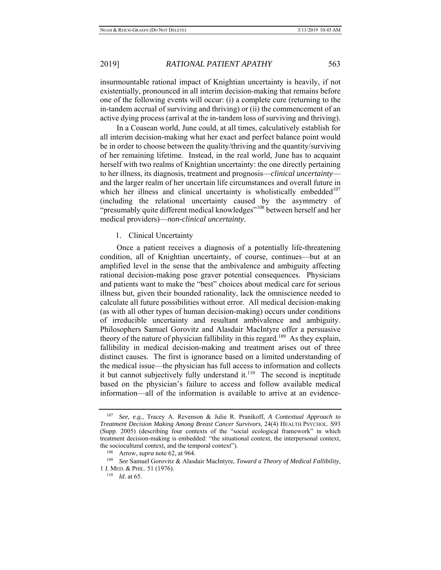insurmountable rational impact of Knightian uncertainty is heavily, if not existentially, pronounced in all interim decision-making that remains before one of the following events will occur: (i) a complete cure (returning to the in-tandem accrual of surviving and thriving) or (ii) the commencement of an active dying process (arrival at the in-tandem loss of surviving and thriving).

In a Coasean world, June could, at all times, calculatively establish for all interim decision-making what her exact and perfect balance point would be in order to choose between the quality/thriving and the quantity/surviving of her remaining lifetime. Instead, in the real world, June has to acquaint herself with two realms of Knightian uncertainty: the one directly pertaining to her illness, its diagnosis, treatment and prognosis—*clinical uncertainty* and the larger realm of her uncertain life circumstances and overall future in which her illness and clinical uncertainty is wholistically embedded<sup>107</sup> (including the relational uncertainty caused by the asymmetry of "presumably quite different medical knowledges"<sup>108</sup> between herself and her medical providers)—*non-clinical uncertainty*.

1. Clinical Uncertainty

Once a patient receives a diagnosis of a potentially life-threatening condition, all of Knightian uncertainty, of course, continues—but at an amplified level in the sense that the ambivalence and ambiguity affecting rational decision-making pose graver potential consequences. Physicians and patients want to make the "best" choices about medical care for serious illness but, given their bounded rationality, lack the omniscience needed to calculate all future possibilities without error. All medical decision-making (as with all other types of human decision-making) occurs under conditions of irreducible uncertainty and resultant ambivalence and ambiguity. Philosophers Samuel Gorovitz and Alasdair MacIntyre offer a persuasive theory of the nature of physician fallibility in this regard.<sup>109</sup> As they explain, fallibility in medical decision-making and treatment arises out of three distinct causes. The first is ignorance based on a limited understanding of the medical issue—the physician has full access to information and collects it but cannot subjectively fully understand it. $110$  The second is ineptitude based on the physician's failure to access and follow available medical information—all of the information is available to arrive at an evidence-

<sup>107</sup> *See, e.g.*, Tracey A. Revenson & Julie R. Pranikoff, *A Contextual Approach to Treatment Decision Making Among Breast Cancer Survivors*, 24(4) HEALTH PSYCHOL. S93 (Supp. 2005) (describing four contexts of the "social ecological framework" in which treatment decision-making is embedded: "the situational context, the interpersonal context, the sociocultural context, and the temporal context").<br><sup>108</sup> Arrow, *supra* note 62, at 964.<br><sup>109</sup> *See* Samuel Gorovitz & Alasdair MacIntyre, *Toward a Theory of Medical Fallibility*,

<sup>1</sup> J. MED. & PHIL. 51 (1976). 110 *Id*. at 65.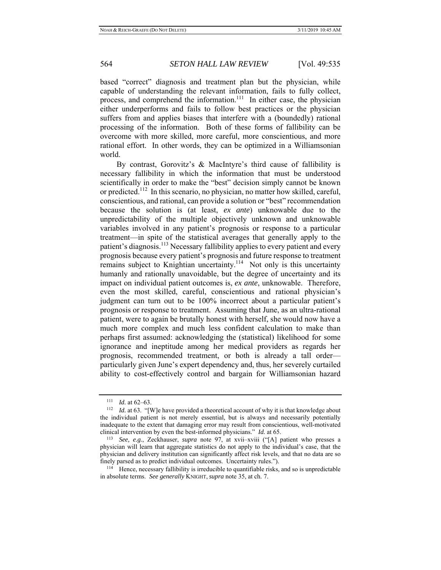based "correct" diagnosis and treatment plan but the physician, while capable of understanding the relevant information, fails to fully collect, process, and comprehend the information.<sup>111</sup> In either case, the physician either underperforms and fails to follow best practices or the physician suffers from and applies biases that interfere with a (boundedly) rational processing of the information. Both of these forms of fallibility can be overcome with more skilled, more careful, more conscientious, and more rational effort. In other words, they can be optimized in a Williamsonian world.

By contrast, Gorovitz's & MacIntyre's third cause of fallibility is necessary fallibility in which the information that must be understood scientifically in order to make the "best" decision simply cannot be known or predicted.<sup>112</sup> In this scenario, no physician, no matter how skilled, careful, conscientious, and rational, can provide a solution or "best" recommendation because the solution is (at least, *ex ante*) unknowable due to the unpredictability of the multiple objectively unknown and unknowable variables involved in any patient's prognosis or response to a particular treatment—in spite of the statistical averages that generally apply to the patient's diagnosis.<sup>113</sup> Necessary fallibility applies to every patient and every prognosis because every patient's prognosis and future response to treatment remains subject to Knightian uncertainty.<sup>114</sup> Not only is this uncertainty humanly and rationally unavoidable, but the degree of uncertainty and its impact on individual patient outcomes is, *ex ante*, unknowable. Therefore, even the most skilled, careful, conscientious and rational physician's judgment can turn out to be 100% incorrect about a particular patient's prognosis or response to treatment. Assuming that June, as an ultra-rational patient, were to again be brutally honest with herself, she would now have a much more complex and much less confident calculation to make than perhaps first assumed: acknowledging the (statistical) likelihood for some ignorance and ineptitude among her medical providers as regards her prognosis, recommended treatment, or both is already a tall order particularly given June's expert dependency and, thus, her severely curtailed ability to cost-effectively control and bargain for Williamsonian hazard

<sup>&</sup>lt;sup>111</sup>*Id.* at 62–63.<br><sup>112</sup> *Id.* at 63. "[W]e have provided a theoretical account of why it is that knowledge about the individual patient is not merely essential, but is always and necessarily potentially inadequate to the extent that damaging error may result from conscientious, well-motivated clinical intervention by even the best-informed physicians."  $Id$  at 65.

<sup>&</sup>lt;sup>113</sup> See, e.g., Zeckhauser, *supra* note 97, at xvii-xviii ("[A] patient who presses a physician will learn that aggregate statistics do not apply to the individual's case, that the physician and delivery institution can significantly affect risk levels, and that no data are so finely parsed as to predict individual outcomes. Uncertainty rules.").<br><sup>114</sup> Hence, necessary fallibility is irreducible to quantifiable risks, and so is unpredictable

in absolute terms. *See generally* KNIGHT, *supra* note 35, at ch. 7.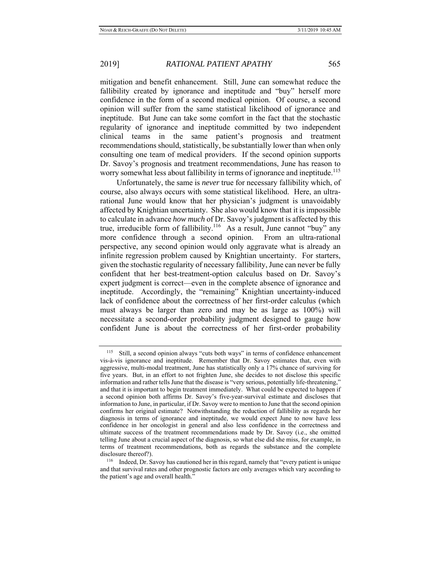mitigation and benefit enhancement. Still, June can somewhat reduce the fallibility created by ignorance and ineptitude and "buy" herself more confidence in the form of a second medical opinion. Of course, a second opinion will suffer from the same statistical likelihood of ignorance and ineptitude. But June can take some comfort in the fact that the stochastic regularity of ignorance and ineptitude committed by two independent clinical teams in the same patient's prognosis and treatment recommendations should, statistically, be substantially lower than when only consulting one team of medical providers. If the second opinion supports Dr. Savoy's prognosis and treatment recommendations, June has reason to worry somewhat less about fallibility in terms of ignorance and ineptitude.<sup>115</sup>

Unfortunately, the same is *never* true for necessary fallibility which, of course, also always occurs with some statistical likelihood. Here, an ultrarational June would know that her physician's judgment is unavoidably affected by Knightian uncertainty. She also would know that it is impossible to calculate in advance *how much* of Dr. Savoy's judgment is affected by this true, irreducible form of fallibility.<sup>116</sup> As a result, June cannot "buy" any more confidence through a second opinion. From an ultra-rational perspective, any second opinion would only aggravate what is already an infinite regression problem caused by Knightian uncertainty. For starters, given the stochastic regularity of necessary fallibility, June can never be fully confident that her best-treatment-option calculus based on Dr. Savoy's expert judgment is correct—even in the complete absence of ignorance and ineptitude. Accordingly, the "remaining" Knightian uncertainty-induced lack of confidence about the correctness of her first-order calculus (which must always be larger than zero and may be as large as 100%) will necessitate a second-order probability judgment designed to gauge how confident June is about the correctness of her first-order probability

<sup>115</sup> Still, a second opinion always "cuts both ways" in terms of confidence enhancement vis-à-vis ignorance and ineptitude. Remember that Dr. Savoy estimates that, even with aggressive, multi-modal treatment, June has statistically only a 17% chance of surviving for five years. But, in an effort to not frighten June, she decides to not disclose this specific information and rather tells June that the disease is "very serious, potentially life-threatening," and that it is important to begin treatment immediately. What could be expected to happen if a second opinion both affirms Dr. Savoy's five-year-survival estimate and discloses that information to June, in particular, if Dr. Savoy were to mention to June that the second opinion confirms her original estimate? Notwithstanding the reduction of fallibility as regards her diagnosis in terms of ignorance and ineptitude, we would expect June to now have less confidence in her oncologist in general and also less confidence in the correctness and ultimate success of the treatment recommendations made by Dr. Savoy (i.e., she omitted telling June about a crucial aspect of the diagnosis, so what else did she miss, for example, in terms of treatment recommendations, both as regards the substance and the complete disclosure thereof?).<br><sup>116</sup> Indeed, Dr. Savoy has cautioned her in this regard, namely that "every patient is unique

and that survival rates and other prognostic factors are only averages which vary according to the patient's age and overall health."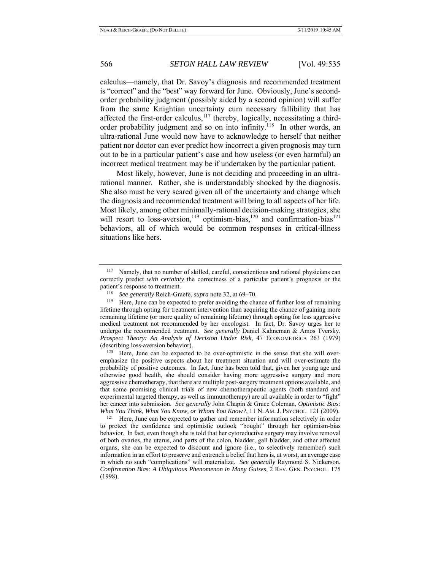calculus—namely, that Dr. Savoy's diagnosis and recommended treatment is "correct" and the "best" way forward for June. Obviously, June's secondorder probability judgment (possibly aided by a second opinion) will suffer from the same Knightian uncertainty cum necessary fallibility that has affected the first-order calculus,<sup>117</sup> thereby, logically, necessitating a thirdorder probability judgment and so on into infinity.<sup>118</sup> In other words, an ultra-rational June would now have to acknowledge to herself that neither patient nor doctor can ever predict how incorrect a given prognosis may turn out to be in a particular patient's case and how useless (or even harmful) an incorrect medical treatment may be if undertaken by the particular patient.

Most likely, however, June is not deciding and proceeding in an ultrarational manner. Rather, she is understandably shocked by the diagnosis. She also must be very scared given all of the uncertainty and change which the diagnosis and recommended treatment will bring to all aspects of her life. Most likely, among other minimally-rational decision-making strategies, she will resort to loss-aversion,<sup>119</sup> optimism-bias,<sup>120</sup> and confirmation-bias<sup>121</sup> behaviors, all of which would be common responses in critical-illness situations like hers.

<sup>&</sup>lt;sup>117</sup> Namely, that no number of skilled, careful, conscientious and rational physicians can correctly predict *with certainty* the correctness of a particular patient's prognosis or the patient's response to treatment.<br><sup>118</sup> *See generally* Reich-Graefe, *supra* note 32, at 69–70.<br><sup>119</sup> Here, June can be expected to prefer avoiding the chance of further loss of remaining

lifetime through opting for treatment intervention than acquiring the chance of gaining more remaining lifetime (or more quality of remaining lifetime) through opting for less aggressive medical treatment not recommended by her oncologist. In fact, Dr. Savoy urges her to undergo the recommended treatment. *See generally* Daniel Kahneman & Amos Tversky, *Prospect Theory: An Analysis of Decision Under Risk*, 47 ECONOMETRICA 263 (1979) (describing loss-aversion behavior).<br><sup>120</sup> Here, June can be expected to be over-optimistic in the sense that she will over-

emphasize the positive aspects about her treatment situation and will over-estimate the probability of positive outcomes. In fact, June has been told that, given her young age and otherwise good health, she should consider having more aggressive surgery and more aggressive chemotherapy, that there are multiple post-surgery treatment options available, and that some promising clinical trials of new chemotherapeutic agents (both standard and experimental targeted therapy, as well as immunotherapy) are all available in order to "fight" her cancer into submission. *See generally John Chapin & Grace Coleman, Optimistic Bias:* What You Think, What You Know, or Whom You Know?, 11 N. AM. J. PSYCHOL. 121 (2009).

<sup>&</sup>lt;sup>121</sup> Here, June can be expected to gather and remember information selectively in order to protect the confidence and optimistic outlook "bought" through her optimism-bias behavior. In fact, even though she is told that her cytoreductive surgery may involve removal of both ovaries, the uterus, and parts of the colon, bladder, gall bladder, and other affected organs, she can be expected to discount and ignore (i.e., to selectively remember) such information in an effort to preserve and entrench a belief that hers is, at worst, an average case in which no such "complications" will materialize. *See generally* Raymond S. Nickerson, *Confirmation Bias: A Ubiquitous Phenomenon in Many Guises*, 2 REV. GEN. PSYCHOL. 175 (1998).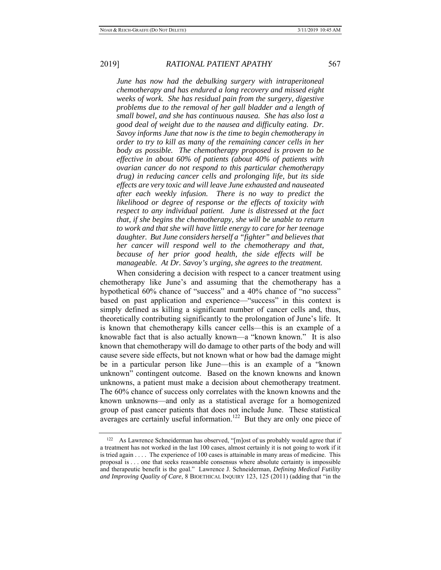*June has now had the debulking surgery with intraperitoneal chemotherapy and has endured a long recovery and missed eight weeks of work. She has residual pain from the surgery, digestive problems due to the removal of her gall bladder and a length of small bowel, and she has continuous nausea. She has also lost a good deal of weight due to the nausea and difficulty eating. Dr. Savoy informs June that now is the time to begin chemotherapy in order to try to kill as many of the remaining cancer cells in her body as possible. The chemotherapy proposed is proven to be effective in about 60% of patients (about 40% of patients with ovarian cancer do not respond to this particular chemotherapy drug) in reducing cancer cells and prolonging life, but its side effects are very toxic and will leave June exhausted and nauseated after each weekly infusion. There is no way to predict the likelihood or degree of response or the effects of toxicity with respect to any individual patient. June is distressed at the fact that, if she begins the chemotherapy, she will be unable to return to work and that she will have little energy to care for her teenage daughter. But June considers herself a "fighter" and believes that her cancer will respond well to the chemotherapy and that, because of her prior good health, the side effects will be manageable. At Dr. Savoy's urging, she agrees to the treatment.* 

When considering a decision with respect to a cancer treatment using chemotherapy like June's and assuming that the chemotherapy has a hypothetical 60% chance of "success" and a 40% chance of "no success" based on past application and experience—"success" in this context is simply defined as killing a significant number of cancer cells and, thus, theoretically contributing significantly to the prolongation of June's life. It is known that chemotherapy kills cancer cells—this is an example of a knowable fact that is also actually known—a "known known." It is also known that chemotherapy will do damage to other parts of the body and will cause severe side effects, but not known what or how bad the damage might be in a particular person like June—this is an example of a "known unknown" contingent outcome. Based on the known knowns and known unknowns, a patient must make a decision about chemotherapy treatment. The 60% chance of success only correlates with the known knowns and the known unknowns—and only as a statistical average for a homogenized group of past cancer patients that does not include June. These statistical averages are certainly useful information.<sup>122</sup> But they are only one piece of

<sup>&</sup>lt;sup>122</sup> As Lawrence Schneiderman has observed, "[m]ost of us probably would agree that if a treatment has not worked in the last 100 cases, almost certainly it is not going to work if it is tried again . . . . The experience of 100 cases is attainable in many areas of medicine. This proposal is . . . one that seeks reasonable consensus where absolute certainty is impossible and therapeutic benefit is the goal." Lawrence J. Schneiderman, *Defining Medical Futility and Improving Quality of Care*, 8 BIOETHICAL INQUIRY 123, 125 (2011) (adding that "in the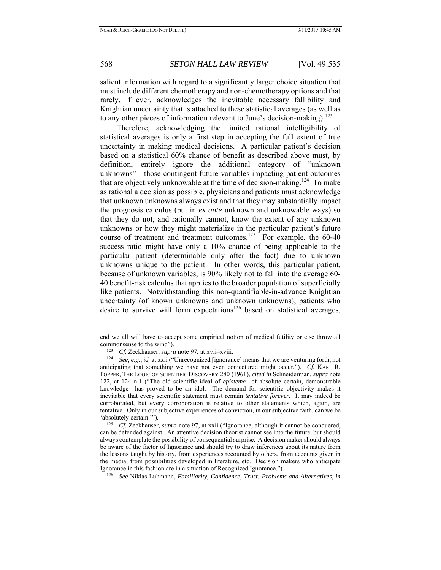salient information with regard to a significantly larger choice situation that must include different chemotherapy and non-chemotherapy options and that rarely, if ever, acknowledges the inevitable necessary fallibility and Knightian uncertainty that is attached to these statistical averages (as well as to any other pieces of information relevant to June's decision-making).<sup>123</sup>

Therefore, acknowledging the limited rational intelligibility of statistical averages is only a first step in accepting the full extent of true uncertainty in making medical decisions. A particular patient's decision based on a statistical 60% chance of benefit as described above must, by definition, entirely ignore the additional category of "unknown unknowns"—those contingent future variables impacting patient outcomes that are objectively unknowable at the time of decision-making.<sup>124</sup> To make as rational a decision as possible, physicians and patients must acknowledge that unknown unknowns always exist and that they may substantially impact the prognosis calculus (but in *ex ante* unknown and unknowable ways) so that they do not, and rationally cannot, know the extent of any unknown unknowns or how they might materialize in the particular patient's future course of treatment and treatment outcomes.<sup>125</sup> For example, the 60-40 success ratio might have only a 10% chance of being applicable to the particular patient (determinable only after the fact) due to unknown unknowns unique to the patient. In other words, this particular patient, because of unknown variables, is 90% likely not to fall into the average 60- 40 benefit-risk calculus that applies to the broader population of superficially like patients. Notwithstanding this non-quantifiable-in-advance Knightian uncertainty (of known unknowns and unknown unknowns), patients who desire to survive will form expectations<sup>126</sup> based on statistical averages,

end we all will have to accept some empirical notion of medical futility or else throw all

commonsense to the wind"). 123 *Cf.* Zeckhauser, *supra* note 97, at xvii–xviii. 124 *See, e.g.*, *id.* at xxii ("Unrecognized [ignorance] means that we are venturing forth, not anticipating that something we have not even conjectured might occur."). *Cf.* KARL R. POPPER, THE LOGIC OF SCIENTIFIC DISCOVERY 280 (1961), *cited in* Schneiderman, *supra* note 122, at 124 n.1 ("The old scientific ideal of *episteme—*of absolute certain, demonstrable knowledge—has proved to be an idol. The demand for scientific objectivity makes it inevitable that every scientific statement must remain *tentative forever*. It may indeed be corroborated, but every corroboration is relative to other statements which, again, are tentative. Only in our subjective experiences of conviction, in our subjective faith, can we be 'absolutely certain.'").

<sup>&</sup>lt;sup>125</sup> *Cf.* Zeckhauser, *supra* note 97, at xxii ("Ignorance, although it cannot be conquered, can be defended against. An attentive decision theorist cannot see into the future, but should always contemplate the possibility of consequential surprise. A decision maker should always be aware of the factor of Ignorance and should try to draw inferences about its nature from the lessons taught by history, from experiences recounted by others, from accounts given in the media, from possibilities developed in literature, etc. Decision makers who anticipate Ignorance in this fashion are in a situation of Recognized Ignorance."). 126 *See* Niklas Luhmann, *Familiarity, Confidence, Trust: Problems and Alternatives*, *in*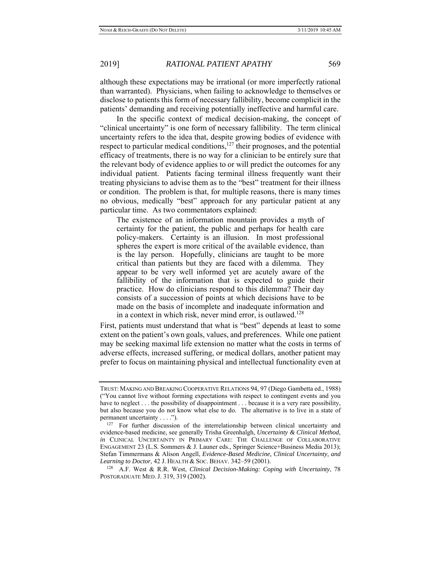although these expectations may be irrational (or more imperfectly rational than warranted). Physicians, when failing to acknowledge to themselves or disclose to patients this form of necessary fallibility, become complicit in the patients' demanding and receiving potentially ineffective and harmful care.

In the specific context of medical decision-making, the concept of "clinical uncertainty" is one form of necessary fallibility. The term clinical uncertainty refers to the idea that, despite growing bodies of evidence with respect to particular medical conditions, $127$  their prognoses, and the potential efficacy of treatments, there is no way for a clinician to be entirely sure that the relevant body of evidence applies to or will predict the outcomes for any individual patient. Patients facing terminal illness frequently want their treating physicians to advise them as to the "best" treatment for their illness or condition. The problem is that, for multiple reasons, there is many times no obvious, medically "best" approach for any particular patient at any particular time. As two commentators explained:

The existence of an information mountain provides a myth of certainty for the patient, the public and perhaps for health care policy-makers. Certainty is an illusion. In most professional spheres the expert is more critical of the available evidence, than is the lay person. Hopefully, clinicians are taught to be more critical than patients but they are faced with a dilemma. They appear to be very well informed yet are acutely aware of the fallibility of the information that is expected to guide their practice. How do clinicians respond to this dilemma? Their day consists of a succession of points at which decisions have to be made on the basis of incomplete and inadequate information and in a context in which risk, never mind error, is outlawed.<sup>128</sup>

First, patients must understand that what is "best" depends at least to some extent on the patient's own goals, values, and preferences. While one patient may be seeking maximal life extension no matter what the costs in terms of adverse effects, increased suffering, or medical dollars, another patient may prefer to focus on maintaining physical and intellectual functionality even at

TRUST: MAKING AND BREAKING COOPERATIVE RELATIONS 94, 97 (Diego Gambetta ed., 1988) ("You cannot live without forming expectations with respect to contingent events and you have to neglect . . . the possibility of disappointment . . . because it is a very rare possibility, but also because you do not know what else to do. The alternative is to live in a state of

permanent uncertainty  $\dots$ ").<br><sup>127</sup> For further discussion of the interrelationship between clinical uncertainty and evidence-based medicine, see generally Trisha Greenhalgh, *Uncertainty & Clinical Method*, *in* CLINICAL UNCERTAINTY IN PRIMARY CARE: THE CHALLENGE OF COLLABORATIVE ENGAGEMENT 23 (L.S. Sommers & J. Launer eds., Springer Science+Business Media 2013); Stefan Timmermans & Alison Angell, *Evidence-Based Medicine, Clinical Uncertainty, and Learning to Doctor*, 42 J. HEALTH & SOC. BEHAV. 342–59 (2001).<br><sup>128</sup> A.F. West & R.R. West, *Clinical Decision-Making: Coping with Uncertainty*, 78

POSTGRADUATE MED. J. 319, 319 (2002).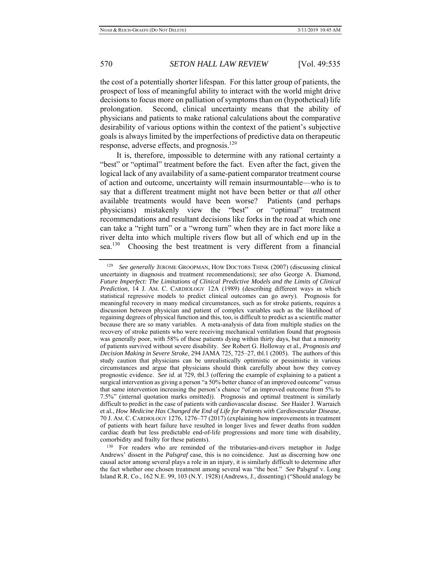the cost of a potentially shorter lifespan. For this latter group of patients, the prospect of loss of meaningful ability to interact with the world might drive decisions to focus more on palliation of symptoms than on (hypothetical) life prolongation. Second, clinical uncertainty means that the ability of physicians and patients to make rational calculations about the comparative desirability of various options within the context of the patient's subjective goals is always limited by the imperfections of predictive data on therapeutic response, adverse effects, and prognosis.<sup>129</sup>

It is, therefore, impossible to determine with any rational certainty a "best" or "optimal" treatment before the fact. Even after the fact, given the logical lack of any availability of a same-patient comparator treatment course of action and outcome, uncertainty will remain insurmountable—who is to say that a different treatment might not have been better or that *all* other available treatments would have been worse? Patients (and perhaps physicians) mistakenly view the "best" or "optimal" treatment recommendations and resultant decisions like forks in the road at which one can take a "right turn" or a "wrong turn" when they are in fact more like a river delta into which multiple rivers flow but all of which end up in the sea.<sup>130</sup> Choosing the best treatment is very different from a financial

<sup>129</sup> *See generally* JEROME GROOPMAN, HOW DOCTORS THINK (2007) (discussing clinical uncertainty in diagnosis and treatment recommendations); *see also* George A. Diamond, *Future Imperfect: The Limitations of Clinical Predictive Models and the Limits of Clinical Prediction*, 14 J. AM. C. CARDIOLOGY 12A (1989) (describing different ways in which statistical regressive models to predict clinical outcomes can go awry). Prognosis for meaningful recovery in many medical circumstances, such as for stroke patients, requires a discussion between physician and patient of complex variables such as the likelihood of regaining degrees of physical function and this, too, is difficult to predict as a scientific matter because there are so many variables. A meta-analysis of data from multiple studies on the recovery of stroke patients who were receiving mechanical ventilation found that prognosis was generally poor, with 58% of these patients dying within thirty days, but that a minority of patients survived without severe disability. *See* Robert G. Holloway et al., *Prognosis and Decision Making in Severe Stroke*, 294 JAMA 725, 725–27, tbl.1 (2005). The authors of this study caution that physicians can be unrealistically optimistic or pessimistic in various circumstances and argue that physicians should think carefully about how they convey prognostic evidence. *See id.* at 729, tbl.3 (offering the example of explaining to a patient a surgical intervention as giving a person "a 50% better chance of an improved outcome" versus that same intervention increasing the person's chance "of an improved outcome from 5% to 7.5%" (internal quotation marks omitted)). Prognosis and optimal treatment is similarly difficult to predict in the case of patients with cardiovascular disease. *See* Haider J. Warraich et al., *How Medicine Has Changed the End of Life for Patients with Cardiovascular Disease*, 70 J. AM. C. CARDIOLOGY 1276, 1276–77 (2017) (explaining how improvements in treatment of patients with heart failure have resulted in longer lives and fewer deaths from sudden cardiac death but less predictable end-of-life progressions and more time with disability, comorbidity and frailty for these patients).<br><sup>130</sup> For readers who are reminded of the tributaries-and-rivers metaphor in Judge

Andrews' dissent in the *Palsgraf* case*,* this is no coincidence. Just as discerning how one causal actor among several plays a role in an injury, it is similarly difficult to determine after the fact whether one chosen treatment among several was "the best." *See* Palsgraf v. Long Island R.R. Co., 162 N.E. 99, 103 (N.Y. 1928) (Andrews, J., dissenting) ("Should analogy be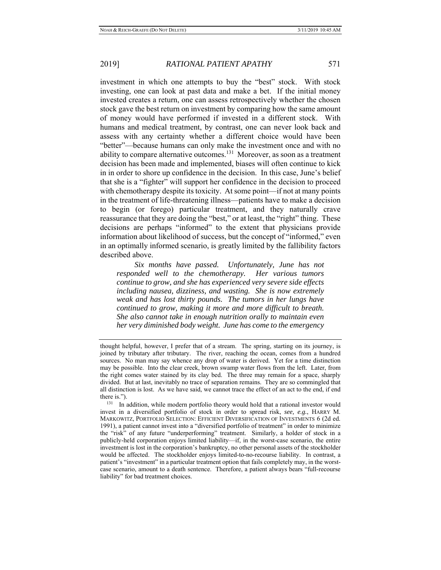investment in which one attempts to buy the "best" stock. With stock investing, one can look at past data and make a bet. If the initial money invested creates a return, one can assess retrospectively whether the chosen stock gave the best return on investment by comparing how the same amount of money would have performed if invested in a different stock. With humans and medical treatment, by contrast, one can never look back and assess with any certainty whether a different choice would have been "better"—because humans can only make the investment once and with no ability to compare alternative outcomes.<sup>131</sup> Moreover, as soon as a treatment decision has been made and implemented, biases will often continue to kick in in order to shore up confidence in the decision. In this case, June's belief that she is a "fighter" will support her confidence in the decision to proceed with chemotherapy despite its toxicity. At some point—if not at many points in the treatment of life-threatening illness—patients have to make a decision to begin (or forego) particular treatment, and they naturally crave reassurance that they are doing the "best," or at least, the "right" thing. These decisions are perhaps "informed" to the extent that physicians provide information about likelihood of success, but the concept of "informed," even in an optimally informed scenario, is greatly limited by the fallibility factors described above.

 *Six months have passed. Unfortunately, June has not responded well to the chemotherapy. Her various tumors continue to grow, and she has experienced very severe side effects including nausea, dizziness, and wasting. She is now extremely weak and has lost thirty pounds. The tumors in her lungs have continued to grow, making it more and more difficult to breath. She also cannot take in enough nutrition orally to maintain even her very diminished body weight. June has come to the emergency* 

thought helpful, however, I prefer that of a stream. The spring, starting on its journey, is joined by tributary after tributary. The river, reaching the ocean, comes from a hundred sources. No man may say whence any drop of water is derived. Yet for a time distinction may be possible. Into the clear creek, brown swamp water flows from the left. Later, from the right comes water stained by its clay bed. The three may remain for a space, sharply divided. But at last, inevitably no trace of separation remains. They are so commingled that all distinction is lost. As we have said, we cannot trace the effect of an act to the end, if end

there is.").<br> $131$  In addition, while modern portfolio theory would hold that a rational investor would invest in a diversified portfolio of stock in order to spread risk, *see, e.g.*, HARRY M. MARKOWITZ, PORTFOLIO SELECTION: EFFICIENT DIVERSIFICATION OF INVESTMENTS 6 (2d ed. 1991), a patient cannot invest into a "diversified portfolio of treatment" in order to minimize the "risk" of any future "underperforming" treatment. Similarly, a holder of stock in a publicly-held corporation enjoys limited liability—if, in the worst-case scenario, the entire investment is lost in the corporation's bankruptcy, no other personal assets of the stockholder would be affected. The stockholder enjoys limited-to-no-recourse liability. In contrast, a patient's "investment" in a particular treatment option that fails completely may, in the worstcase scenario, amount to a death sentence. Therefore, a patient always bears "full-recourse liability" for bad treatment choices.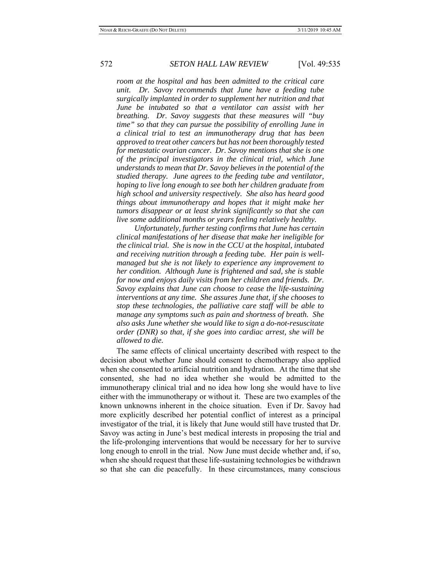*room at the hospital and has been admitted to the critical care unit. Dr. Savoy recommends that June have a feeding tube surgically implanted in order to supplement her nutrition and that June be intubated so that a ventilator can assist with her breathing. Dr. Savoy suggests that these measures will "buy time" so that they can pursue the possibility of enrolling June in a clinical trial to test an immunotherapy drug that has been approved to treat other cancers but has not been thoroughly tested for metastatic ovarian cancer. Dr. Savoy mentions that she is one of the principal investigators in the clinical trial, which June understands to mean that Dr. Savoy believes in the potential of the studied therapy. June agrees to the feeding tube and ventilator, hoping to live long enough to see both her children graduate from high school and university respectively. She also has heard good things about immunotherapy and hopes that it might make her tumors disappear or at least shrink significantly so that she can live some additional months or years feeling relatively healthy.* 

 *Unfortunately, further testing confirms that June has certain clinical manifestations of her disease that make her ineligible for the clinical trial. She is now in the CCU at the hospital, intubated and receiving nutrition through a feeding tube. Her pain is wellmanaged but she is not likely to experience any improvement to her condition. Although June is frightened and sad, she is stable for now and enjoys daily visits from her children and friends. Dr. Savoy explains that June can choose to cease the life-sustaining interventions at any time. She assures June that, if she chooses to stop these technologies, the palliative care staff will be able to manage any symptoms such as pain and shortness of breath. She also asks June whether she would like to sign a do-not-resuscitate order (DNR) so that, if she goes into cardiac arrest, she will be allowed to die.* 

The same effects of clinical uncertainty described with respect to the decision about whether June should consent to chemotherapy also applied when she consented to artificial nutrition and hydration. At the time that she consented, she had no idea whether she would be admitted to the immunotherapy clinical trial and no idea how long she would have to live either with the immunotherapy or without it. These are two examples of the known unknowns inherent in the choice situation. Even if Dr. Savoy had more explicitly described her potential conflict of interest as a principal investigator of the trial, it is likely that June would still have trusted that Dr. Savoy was acting in June's best medical interests in proposing the trial and the life-prolonging interventions that would be necessary for her to survive long enough to enroll in the trial. Now June must decide whether and, if so, when she should request that these life-sustaining technologies be withdrawn so that she can die peacefully. In these circumstances, many conscious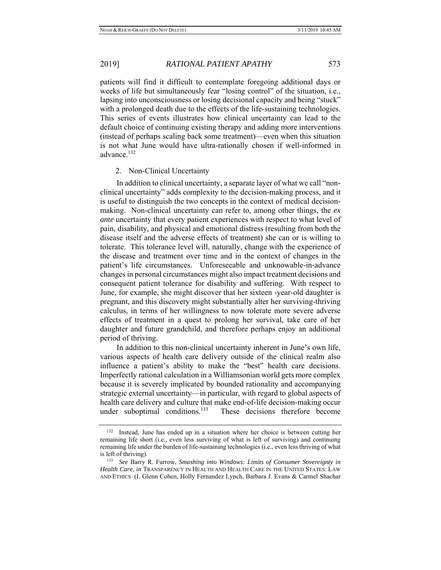patients will find it difficult to contemplate foregoing additional days or weeks of life but simultaneously fear "losing control" of the situation, i.e., lapsing into unconsciousness or losing decisional capacity and being "stuck" with a prolonged death due to the effects of the life-sustaining technologies. This series of events illustrates how clinical uncertainty can lead to the default choice of continuing existing therapy and adding more interventions (instead of perhaps scaling back some treatment)—even when this situation is not what June would have ultra-rationally chosen if well-informed in advance.<sup>132</sup>

### 2. Non-Clinical Uncertainty

In addition to clinical uncertainty, a separate layer of what we call "nonclinical uncertainty" adds complexity to the decision-making process, and it is useful to distinguish the two concepts in the context of medical decisionmaking. Non-clinical uncertainty can refer to, among other things, the *ex ante* uncertainty that every patient experiences with respect to what level of pain, disability, and physical and emotional distress (resulting from both the disease itself and the adverse effects of treatment) she can or is willing to tolerate. This tolerance level will, naturally, change with the experience of the disease and treatment over time and in the context of changes in the patient's life circumstances. Unforeseeable and unknowable-in-advance changes in personal circumstances might also impact treatment decisions and consequent patient tolerance for disability and suffering. With respect to June, for example, she might discover that her sixteen -year-old daughter is pregnant, and this discovery might substantially alter her surviving-thriving calculus, in terms of her willingness to now tolerate more severe adverse effects of treatment in a quest to prolong her survival, take care of her daughter and future grandchild, and therefore perhaps enjoy an additional period of thriving.

In addition to this non-clinical uncertainty inherent in June's own life, various aspects of health care delivery outside of the clinical realm also influence a patient's ability to make the "best" health care decisions. Imperfectly rational calculation in a Williamsonian world gets more complex because it is severely implicated by bounded rationality and accompanying strategic external uncertainty—in particular, with regard to global aspects of health care delivery and culture that make end-of-life decision-making occur<br>under suboptimal conditions.<sup>133</sup> These decisions therefore become These decisions therefore become

<sup>132</sup> Instead, June has ended up in a situation where her choice is between cutting her remaining life short (i.e., even less surviving of what is left of surviving) and continuing remaining life under the burden of life-sustaining technologies (i.e., even less thriving of what is left of thriving). 133 *See* Barry R. Furrow, *Smashing into Windows: Limits of Consumer Sovereignty in* 

*Health Care*, *in* TRANSPARENCY IN HEALTH AND HEALTH CARE IN THE UNITED STATES: LAW AND ETHICS (I. Glenn Cohen, Holly Fernandez Lynch, Barbara J. Evans & Carmel Shachar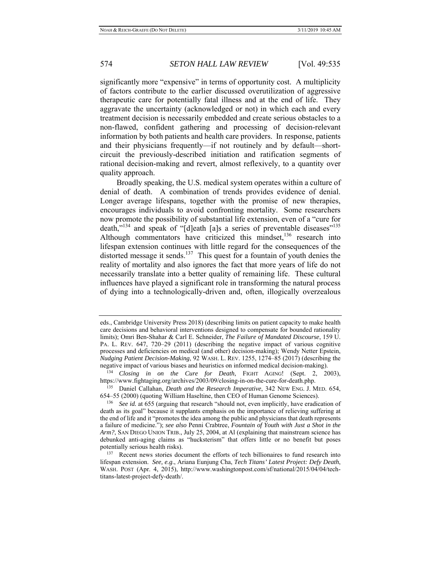significantly more "expensive" in terms of opportunity cost. A multiplicity of factors contribute to the earlier discussed overutilization of aggressive therapeutic care for potentially fatal illness and at the end of life. They aggravate the uncertainty (acknowledged or not) in which each and every treatment decision is necessarily embedded and create serious obstacles to a non-flawed, confident gathering and processing of decision-relevant information by both patients and health care providers. In response, patients and their physicians frequently—if not routinely and by default—shortcircuit the previously-described initiation and ratification segments of rational decision-making and revert, almost reflexively, to a quantity over quality approach.

Broadly speaking, the U.S. medical system operates within a culture of denial of death. A combination of trends provides evidence of denial. Longer average lifespans, together with the promise of new therapies, encourages individuals to avoid confronting mortality. Some researchers now promote the possibility of substantial life extension, even of a "cure for death," $134$  and speak of "[d]eath [a]s a series of preventable diseases" $135$ Although commentators have criticized this mindset, $136$  research into lifespan extension continues with little regard for the consequences of the distorted message it sends.<sup>137</sup> This quest for a fountain of youth denies the reality of mortality and also ignores the fact that more years of life do not necessarily translate into a better quality of remaining life. These cultural influences have played a significant role in transforming the natural process of dying into a technologically-driven and, often, illogically overzealous

<sup>135</sup> Daniel Callahan, *Death and the Research Imperative*, 342 NEW ENG. J. MED. 654, 654–55 (2000) (quoting William Haseltine, then CEO of Human Genome Sciences).

eds., Cambridge University Press 2018) (describing limits on patient capacity to make health care decisions and behavioral interventions designed to compensate for bounded rationality limits); Omri Ben-Shahar & Carl E. Schneider, *The Failure of Mandated Discourse*, 159 U. PA. L. REV. 647, 720–29 (2011) (describing the negative impact of various cognitive processes and deficiencies on medical (and other) decision-making); Wendy Netter Epstein, *Nudging Patient Decision-Making*, 92 WASH. L. REV. 1255, 1274–85 (2017) (describing the negative impact of various biases and heuristics on informed medical decision-making).

<sup>&</sup>lt;sup>134</sup> Closing in on the Cure for Death, FIGHT AGING! (Sept. 2, 2003), https://www.fightaging.org/archives/2003/09/closing-in-on-the-cure-for-death.php.

<sup>&</sup>lt;sup>136</sup> See id. at 655 (arguing that research "should not, even implicitly, have eradication of death as its goal" because it supplants emphasis on the importance of relieving suffering at the end of life and it "promotes the idea among the public and physicians that death represents a failure of medicine."); *see also* Penni Crabtree, *Fountain of Youth with Just a Shot in the Arm?*, SAN DIEGO UNION TRIB., July 25, 2004, at Al (explaining that mainstream science has debunked anti-aging claims as "hucksterism" that offers little or no benefit but poses

<sup>&</sup>lt;sup>137</sup> Recent news stories document the efforts of tech billionaires to fund research into lifespan extension. *See, e.g*., Ariana Eunjung Cha, *Tech Titans' Latest Project: Defy Death*, WASH. POST (Apr. 4, 2015), http://www.washingtonpost.com/sf/national/2015/04/04/techtitans-latest-project-defy-death/.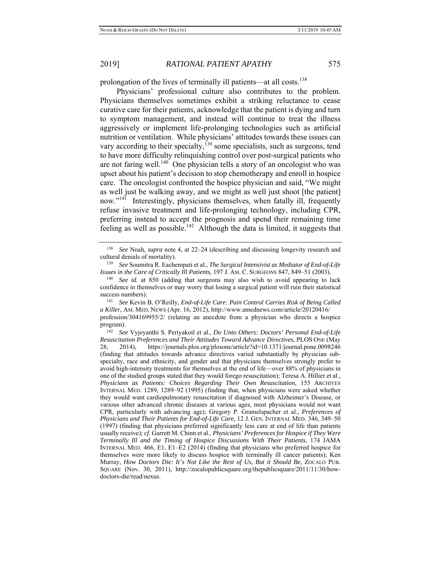prolongation of the lives of terminally ill patients—at all costs.<sup>138</sup>

Physicians' professional culture also contributes to the problem. Physicians themselves sometimes exhibit a striking reluctance to cease curative care for their patients, acknowledge that the patient is dying and turn to symptom management, and instead will continue to treat the illness aggressively or implement life-prolonging technologies such as artificial nutrition or ventilation. While physicians' attitudes towards these issues can vary according to their specialty,<sup>139</sup> some specialists, such as surgeons, tend to have more difficulty relinquishing control over post-surgical patients who are not faring well.<sup>140</sup> One physician tells a story of an oncologist who was upset about his patient's decision to stop chemotherapy and enroll in hospice care. The oncologist confronted the hospice physician and said, "We might as well just be walking away, and we might as well just shoot [the patient] now."<sup>141</sup> Interestingly, physicians themselves, when fatally ill, frequently refuse invasive treatment and life-prolonging technology, including CPR, preferring instead to accept the prognosis and spend their remaining time feeling as well as possible.<sup>142</sup> Although the data is limited, it suggests that

<sup>138</sup> *See* Noah, *supra* note 4, at 22–24 (describing and discussing longevity research and cultural denials of mortality). 139 *See* Soumitra R. Eachempati et al., *The Surgical Intensivist as Mediator of End-of-Life* 

*Issues in the Care of Critically Ill Patients*, 197 J. AM. C. SURGEONS 847, 849–51 (2003). <sup>140</sup> *See id.* at 850 (adding that surgeons may also wish to avoid appearing to lack

confidence in themselves or may worry that losing a surgical patient will ruin their statistical success numbers).<br><sup>141</sup> *See* Kevin B. O'Reilly, *End-of-Life Care: Pain Control Carries Risk of Being Called* 

*a Killer*, AM. MED. NEWS (Apr. 16, 2012), http://www.amednews.com/article/20120416/ profession/304169955/2/ (relating an anecdote from a physician who directs a hospice

program). 142 *See* Vyjeyanthi S. Periyakoil et al., *Do Unto Others: Doctors' Personal End-of-Life Resuscitation Preferences and Their Attitudes Toward Advance Directives*, PLOS ONE (May 28, 2014), https://journals.plos.org/plosone/article?id=10.1371/journal.pone.0098246 (finding that attitudes towards advance directives varied substantially by physician subspecialty, race and ethnicity, and gender and that physicians themselves strongly prefer to avoid high-intensity treatments for themselves at the end of life—over 88% of physicians in one of the studied groups stated that they would forego resuscitation); Teresa A. Hillier et al., *Physicians as Patients: Choices Regarding Their Own Resuscitation*, 155 ARCHIVES INTERNAL MED. 1289, 1289–92 (1995) (finding that, when physicians were asked whether they would want cardiopulmonary resuscitation if diagnosed with Alzheimer's Disease, or various other advanced chronic diseases at various ages, most physicians would not want CPR, particularly with advancing age); Gregory P. Gramelspacher et al., *Preferences of Physicians and Their Patients for End-of-Life Care*, 12 J. GEN. INTERNAL MED. 346, 349–50 (1997) (finding that physicians preferred significantly less care at end of life than patients usually receive); *cf*. Garrett M. Chinn et al., *Physicians' Preferences for Hospice if They Were Terminally Ill and the Timing of Hospice Discussions With Their Patients*, 174 JAMA INTERNAL MED. 466, E1, E1–E2 (2014) (finding that physicians who preferred hospice for themselves were more likely to discuss hospice with terminally ill cancer patients); Ken Murray, *How Doctors Die: It's Not Like the Rest of Us, But it Should Be*, ZOCALO PUB. SQUARE (Nov. 30, 2011), http://zocalopublicsquare.org/thepublicsquare/2011/11/30/howdoctors-die/read/nexus.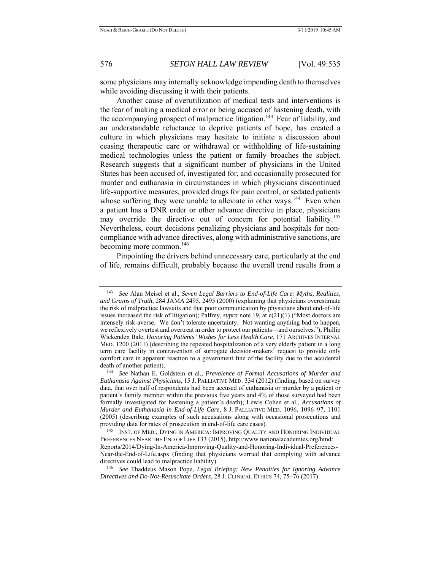some physicians may internally acknowledge impending death to themselves while avoiding discussing it with their patients.

Another cause of overutilization of medical tests and interventions is the fear of making a medical error or being accused of hastening death, with the accompanying prospect of malpractice litigation.<sup>143</sup> Fear of liability, and an understandable reluctance to deprive patients of hope, has created a culture in which physicians may hesitate to initiate a discussion about ceasing therapeutic care or withdrawal or withholding of life-sustaining medical technologies unless the patient or family broaches the subject. Research suggests that a significant number of physicians in the United States has been accused of, investigated for, and occasionally prosecuted for murder and euthanasia in circumstances in which physicians discontinued life-supportive measures, provided drugs for pain control, or sedated patients whose suffering they were unable to alleviate in other ways.<sup>144</sup> Even when a patient has a DNR order or other advance directive in place, physicians may override the directive out of concern for potential liability.<sup>145</sup> Nevertheless, court decisions penalizing physicians and hospitals for noncompliance with advance directives, along with administrative sanctions, are becoming more common.<sup>146</sup>

Pinpointing the drivers behind unnecessary care, particularly at the end of life, remains difficult, probably because the overall trend results from a

<sup>143</sup> *See* Alan Meisel et al., *Seven Legal Barriers to End-of-Life Care: Myths, Realities, and Grains of Truth*, 284 JAMA 2495, 2495 (2000) (explaining that physicians overestimate the risk of malpractice lawsuits and that poor communication by physicians about end-of-life issues increased the risk of litigation); Palfrey, *supra* note 19, at e(21)(1) ("Most doctors are intensely risk-averse. We don't tolerate uncertainty. Not wanting anything bad to happen, we reflexively overtest and overtreat in order to protect our patients—and ourselves."); Phillip Wickenden Bale, *Honoring Patients' Wishes for Less Health Care*, 171 ARCHIVES INTERNAL MED. 1200 (2011) (describing the repeated hospitalization of a very elderly patient in a long term care facility in contravention of surrogate decision-makers' request to provide only comfort care in apparent reaction to a government fine of the facility due to the accidental

death of another patient). 144 *See* Nathan E. Goldstein et al., *Prevalence of Formal Accusations of Murder and Euthanasia Against Physicians*, 15 J. PALLIATIVE MED. 334 (2012) (finding, based on survey data, that over half of respondents had been accused of euthanasia or murder by a patient or patient's family member within the previous five years and 4% of those surveyed had been formally investigated for hastening a patient's death); Lewis Cohen et al., *Accusations of Murder and Euthanasia in End-of-Life Care*, 8 J. PALLIATIVE MED. 1096, 1096–97, 1101 (2005) (describing examples of such accusations along with occasional prosecutions and providing data for rates of prosecution in end-of-life care cases).<br><sup>145</sup> INST. OF MED., DYING IN AMERICA: IMPROVING QUALITY AND HONORING INDIVIDUAL

PREFERENCES NEAR THE END OF LIFE 133 (2015), http://www.nationalacademies.org/hmd/ Reports/2014/Dying-In-America-Improving-Quality-and-Honoring-Individual-Preferences-Near-the-End-of-Life.aspx (finding that physicians worried that complying with advance directives could lead to malpractice liability). 146 *See* Thaddeus Mason Pope, *Legal Briefing: New Penalties for Ignoring Advance* 

*Directives and Do-Not-Resuscitate Orders*, 28 J. CLINICAL ETHICS 74, 75–76 (2017).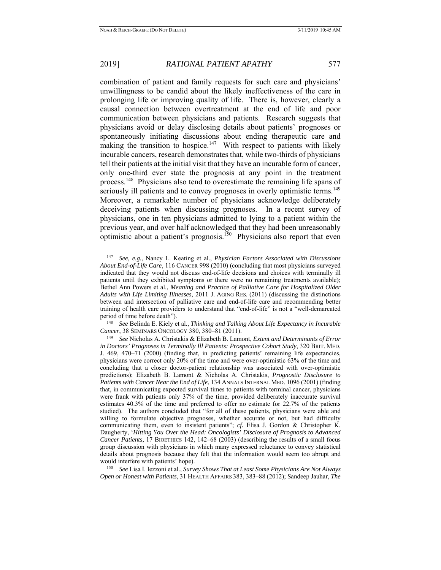combination of patient and family requests for such care and physicians' unwillingness to be candid about the likely ineffectiveness of the care in prolonging life or improving quality of life. There is, however, clearly a causal connection between overtreatment at the end of life and poor communication between physicians and patients. Research suggests that physicians avoid or delay disclosing details about patients' prognoses or spontaneously initiating discussions about ending therapeutic care and making the transition to hospice.<sup>147</sup> With respect to patients with likely incurable cancers, research demonstrates that, while two-thirds of physicians tell their patients at the initial visit that they have an incurable form of cancer, only one-third ever state the prognosis at any point in the treatment process.<sup>148</sup> Physicians also tend to overestimate the remaining life spans of seriously ill patients and to convey prognoses in overly optimistic terms.<sup>149</sup> Moreover, a remarkable number of physicians acknowledge deliberately deceiving patients when discussing prognoses. In a recent survey of physicians, one in ten physicians admitted to lying to a patient within the previous year, and over half acknowledged that they had been unreasonably optimistic about a patient's prognosis.<sup>150</sup> Physicians also report that even

*Cancer*, 38 SEMINARS ONCOLOGY 380, 380–81 (2011). 149 *See* Nicholas A. Christakis & Elizabeth B. Lamont, *Extent and Determinants of Error* 

*Open or Honest with Patients*, 31 HEALTH AFFAIRS 383, 383–88 (2012); Sandeep Jauhar, *The* 

<sup>147</sup> *See, e.g.*, Nancy L. Keating et al., *Physician Factors Associated with Discussions About End-of-Life Care*, 116 CANCER 998 (2010) (concluding that most physicians surveyed indicated that they would not discuss end-of-life decisions and choices with terminally ill patients until they exhibited symptoms or there were no remaining treatments available); Bethel Ann Powers et al., *Meaning and Practice of Palliative Care for Hospitalized Older Adults with Life Limiting Illnesses*, 2011 J. AGING RES. (2011) (discussing the distinctions between and intersection of palliative care and end-of-life care and recommending better training of health care providers to understand that "end-of-life" is not a "well-demarcated period of time before death"). 148 *See* Belinda E. Kiely et al., *Thinking and Talking About Life Expectancy in Incurable* 

*in Doctors' Prognoses in Terminally Ill Patients: Prospective Cohort Study*, 320 BRIT. MED. J. 469, 470–71 (2000) (finding that, in predicting patients' remaining life expectancies, physicians were correct only 20% of the time and were over-optimistic 63% of the time and concluding that a closer doctor-patient relationship was associated with over-optimistic predictions); Elizabeth B. Lamont & Nicholas A. Christakis, *Prognostic Disclosure to Patients with Cancer Near the End of Life*, 134 ANNALS INTERNAL MED. 1096 (2001) (finding that, in communicating expected survival times to patients with terminal cancer, physicians were frank with patients only 37% of the time, provided deliberately inaccurate survival estimates 40.3% of the time and preferred to offer no estimate for 22.7% of the patients studied). The authors concluded that "for all of these patients, physicians were able and willing to formulate objective prognoses, whether accurate or not, but had difficulty communicating them, even to insistent patients"; *cf.* Elisa J. Gordon & Christopher K. Daugherty, '*Hitting You Over the Head: Oncologists' Disclosure of Prognosis to Advanced Cancer Patients*, 17 BIOETHICS 142, 142–68 (2003) (describing the results of a small focus group discussion with physicians in which many expressed reluctance to convey statistical details about prognosis because they felt that the information would seem too abrupt and would interfere with patients' hope). 150 *See* Lisa I. Iezzoni et al., *Survey Shows That at Least Some Physicians Are Not Always*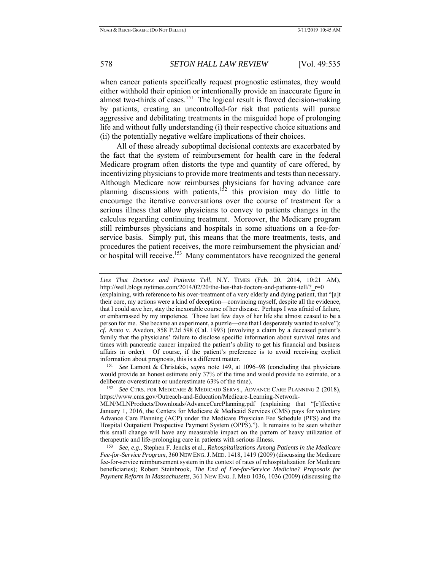when cancer patients specifically request prognostic estimates, they would either withhold their opinion or intentionally provide an inaccurate figure in almost two-thirds of cases.<sup>151</sup> The logical result is flawed decision-making by patients, creating an uncontrolled-for risk that patients will pursue aggressive and debilitating treatments in the misguided hope of prolonging life and without fully understanding (i) their respective choice situations and (ii) the potentially negative welfare implications of their choices.

All of these already suboptimal decisional contexts are exacerbated by the fact that the system of reimbursement for health care in the federal Medicare program often distorts the type and quantity of care offered, by incentivizing physicians to provide more treatments and tests than necessary. Although Medicare now reimburses physicians for having advance care planning discussions with patients,<sup>152</sup> this provision may do little to encourage the iterative conversations over the course of treatment for a serious illness that allow physicians to convey to patients changes in the calculus regarding continuing treatment. Moreover, the Medicare program still reimburses physicians and hospitals in some situations on a fee-forservice basis. Simply put, this means that the more treatments, tests, and procedures the patient receives, the more reimbursement the physician and/ or hospital will receive.<sup>153</sup> Many commentators have recognized the general

<sup>151</sup> *See* Lamont & Christakis, *supra* note 149, at 1096–98 (concluding that physicians would provide an honest estimate only 37% of the time and would provide no estimate, or a deliberate overestimate or underestimate 63% of the time).<br><sup>152</sup> *See* CTRS. FOR MEDICARE & MEDICAID SERVS., ADVANCE CARE PLANNING 2 (2018),

https://www.cms.gov/Outreach-and-Education/Medicare-Learning-Network-

*Lies That Doctors and Patients Tell*, N.Y. TIMES (Feb. 20, 2014, 10:21 AM), http://well.blogs.nytimes.com/2014/02/20/the-lies-that-doctors-and-patients-tell/? r=0

<sup>(</sup>explaining, with reference to his over-treatment of a very elderly and dying patient, that "[a]t their core, my actions were a kind of deception—convincing myself, despite all the evidence, that I could save her, stay the inexorable course of her disease. Perhaps I was afraid of failure, or embarrassed by my impotence. Those last few days of her life she almost ceased to be a person for me. She became an experiment, a puzzle—one that I desperately wanted to solve"); *cf.* Arato v. Avedon, 858 P.2d 598 (Cal. 1993) (involving a claim by a deceased patient's family that the physicians' failure to disclose specific information about survival rates and times with pancreatic cancer impaired the patient's ability to get his financial and business affairs in order). Of course, if the patient's preference is to avoid receiving explicit

MLN/MLNProducts/Downloads/AdvanceCarePlanning.pdf (explaining that "[e]ffective January 1, 2016, the Centers for Medicare & Medicaid Services (CMS) pays for voluntary Advance Care Planning (ACP) under the Medicare Physician Fee Schedule (PFS) and the Hospital Outpatient Prospective Payment System (OPPS)."). It remains to be seen whether this small change will have any measurable impact on the pattern of heavy utilization of therapeutic and life-prolonging care in patients with serious illness.

<sup>&</sup>lt;sup>153</sup> See, e.g., Stephen F. Jencks et al., *Rehospitalizations Among Patients in the Medicare Fee-for-Service Program*, 360 NEW ENG.J. MED. 1418, 1419 (2009) (discussing the Medicare fee-for-service reimbursement system in the context of rates of rehospitalization for Medicare beneficiaries); Robert Steinbrook, *The End of Fee-for-Service Medicine? Proposals for Payment Reform in Massachusetts*, 361 NEW ENG. J. MED 1036, 1036 (2009) (discussing the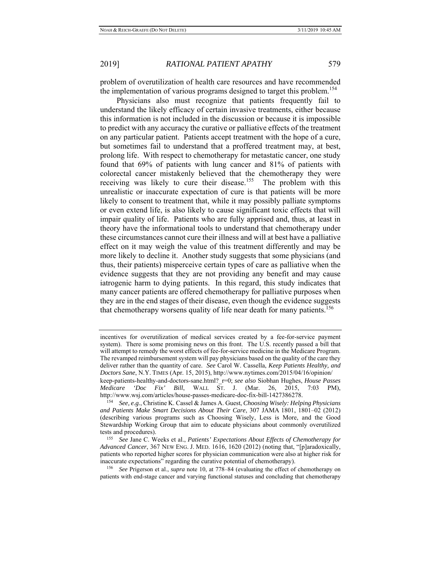problem of overutilization of health care resources and have recommended the implementation of various programs designed to target this problem.<sup>154</sup>

Physicians also must recognize that patients frequently fail to understand the likely efficacy of certain invasive treatments, either because this information is not included in the discussion or because it is impossible to predict with any accuracy the curative or palliative effects of the treatment on any particular patient. Patients accept treatment with the hope of a cure, but sometimes fail to understand that a proffered treatment may, at best, prolong life. With respect to chemotherapy for metastatic cancer, one study found that 69% of patients with lung cancer and 81% of patients with colorectal cancer mistakenly believed that the chemotherapy they were receiving was likely to cure their disease.<sup>155</sup> The problem with this unrealistic or inaccurate expectation of cure is that patients will be more likely to consent to treatment that, while it may possibly palliate symptoms or even extend life, is also likely to cause significant toxic effects that will impair quality of life. Patients who are fully apprised and, thus, at least in theory have the informational tools to understand that chemotherapy under these circumstances cannot cure their illness and will at best have a palliative effect on it may weigh the value of this treatment differently and may be more likely to decline it. Another study suggests that some physicians (and thus, their patients) misperceive certain types of care as palliative when the evidence suggests that they are not providing any benefit and may cause iatrogenic harm to dying patients. In this regard, this study indicates that many cancer patients are offered chemotherapy for palliative purposes when they are in the end stages of their disease, even though the evidence suggests that chemotherapy worsens quality of life near death for many patients.<sup>156</sup>

incentives for overutilization of medical services created by a fee-for-service payment system). There is some promising news on this front. The U.S. recently passed a bill that will attempt to remedy the worst effects of fee-for-service medicine in the Medicare Program. The revamped reimbursement system will pay physicians based on the quality of the care they deliver rather than the quantity of care. *See* Carol W. Cassella, *Keep Patients Healthy, and Doctors Sane*, N.Y. TIMES (Apr. 15, 2015), http://www.nytimes.com/2015/04/16/opinion/ keep-patients-healthy-and-doctors-sane.html?\_r=0; *see also* Siobhan Hughes, *House Passes Medicare 'Doc Fix' Bill*, WALL ST. J. (Mar. 26, 2015, 7:03 PM), http://www.wsj.com/articles/house-passes-medicare-doc-fix-bill-1427386278.

<sup>&</sup>lt;sup>154</sup> See, e.g., Christine K. Cassel & James A. Guest, *Choosing Wisely: Helping Physicians and Patients Make Smart Decisions About Their Care*, 307 JAMA 1801, 1801–02 (2012) (describing various programs such as Choosing Wisely, Less is More, and the Good Stewardship Working Group that aim to educate physicians about commonly overutilized tests and procedures). 155 *See* Jane C. Weeks et al., *Patients' Expectations About Effects of Chemotherapy for* 

*Advanced Cancer*, 367 NEW ENG. J. MED. 1616, 1620 (2012) (noting that, "[p]aradoxically, patients who reported higher scores for physician communication were also at higher risk for inaccurate expectations" regarding the curative potential of chemotherapy). 156 *See* Prigerson et al., *supra* note 10, at 778–84 (evaluating the effect of chemotherapy on

patients with end-stage cancer and varying functional statuses and concluding that chemotherapy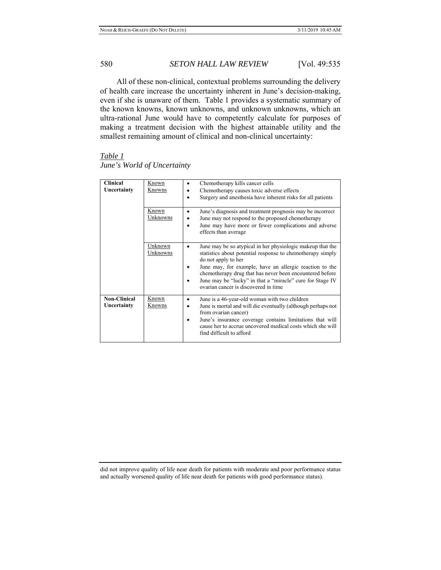All of these non-clinical, contextual problems surrounding the delivery of health care increase the uncertainty inherent in June's decision-making, even if she is unaware of them. Table 1 provides a systematic summary of the known knowns, known unknowns, and unknown unknowns, which an ultra-rational June would have to competently calculate for purposes of making a treatment decision with the highest attainable utility and the smallest remaining amount of clinical and non-clinical uncertainty:

*Table 1 June's World of Uncertainty* 

| <b>Clinical</b><br>Uncertainty     | <u>Known</u><br>Knowns | Chemotherapy kills cancer cells<br>٠<br>Chemotherapy causes toxic adverse effects<br>٠<br>Surgery and anesthesia have inherent risks for all patients<br>٠                                                                                                                                                                                                                                                 |
|------------------------------------|------------------------|------------------------------------------------------------------------------------------------------------------------------------------------------------------------------------------------------------------------------------------------------------------------------------------------------------------------------------------------------------------------------------------------------------|
|                                    | Known<br>Unknowns      | June's diagnosis and treatment prognosis may be incorrect<br>$\bullet$<br>June may not respond to the proposed chemotherapy<br>$\bullet$<br>June may have more or fewer complications and adverse<br>٠<br>effects than average                                                                                                                                                                             |
|                                    | Unknown<br>Unknowns    | June may be so atypical in her physiologic makeup that the<br>$\bullet$<br>statistics about potential response to chemotherapy simply<br>do not apply to her<br>June may, for example, have an allergic reaction to the<br>٠<br>chemotherapy drug that has never been encountered before<br>June may be "lucky" in that a "miracle" cure for Stage IV<br>$\bullet$<br>ovarian cancer is discovered in time |
| <b>Non-Clinical</b><br>Uncertainty | Known<br><b>Knowns</b> | June is a 46-year-old woman with two children<br>$\bullet$<br>June is mortal and will die eventually (although perhaps not<br>٠<br>from ovarian cancer)<br>June's insurance coverage contains limitations that will<br>٠<br>cause her to accrue uncovered medical costs which she will<br>find difficult to afford                                                                                         |

did not improve quality of life near death for patients with moderate and poor performance status and actually worsened quality of life near death for patients with good performance status).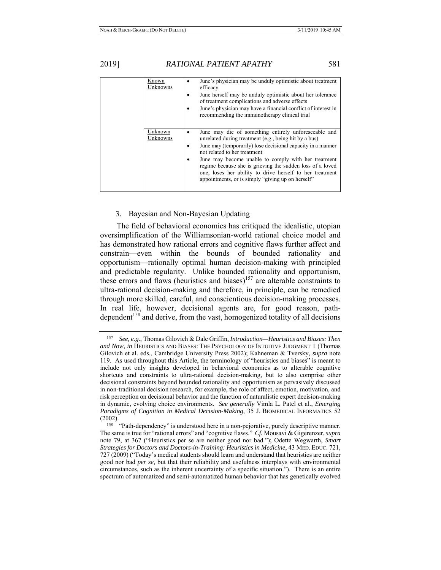2019] *RATIONAL PATIENT APATHY* 581

Known Unknowns June's physician may be unduly optimistic about treatment efficacy June herself may be unduly optimistic about her tolerance of treatment complications and adverse effects June's physician may have a financial conflict of interest in recommending the immunotherapy clinical trial Unknown **Unknowns**  June may die of something entirely unforeseeable and unrelated during treatment (e.g., being hit by a bus) June may (temporarily) lose decisional capacity in a manner not related to her treatment June may become unable to comply with her treatment regime because she is grieving the sudden loss of a loved one, loses her ability to drive herself to her treatment appointments, or is simply "giving up on herself"

3. Bayesian and Non-Bayesian Updating

The field of behavioral economics has critiqued the idealistic, utopian oversimplification of the Williamsonian-world rational choice model and has demonstrated how rational errors and cognitive flaws further affect and constrain—even within the bounds of bounded rationality and opportunism—rationally optimal human decision-making with principled and predictable regularity. Unlike bounded rationality and opportunism, these errors and flaws (heuristics and biases)<sup>157</sup> are alterable constraints to ultra-rational decision-making and therefore, in principle, can be remedied through more skilled, careful, and conscientious decision-making processes. In real life, however, decisional agents are, for good reason, pathdependent<sup>158</sup> and derive, from the vast, homogenized totality of all decisions

<sup>157</sup> *See, e.g.*, Thomas Gilovich & Dale Griffin, *Introduction—Heuristics and Biases: Then and Now*, *in* HEURISTICS AND BIASES: THE PSYCHOLOGY OF INTUITIVE JUDGMENT 1 (Thomas Gilovich et al. eds., Cambridge University Press 2002); Kahneman & Tversky, *supra* note 119. As used throughout this Article, the terminology of "heuristics and biases" is meant to include not only insights developed in behavioral economics as to alterable cognitive shortcuts and constraints to ultra-rational decision-making, but to also comprise other decisional constraints beyond bounded rationality and opportunism as pervasively discussed in non-traditional decision research, for example, the role of affect, emotion, motivation, and risk perception on decisional behavior and the function of naturalistic expert decision-making in dynamic, evolving choice environments. *See generally* Vimla L. Patel et al., *Emerging Paradigms of Cognition in Medical Decision-Making*, 35 J. BIOMEDICAL INFORMATICS 52 (2002).<br><sup>158</sup> "Path-dependency" is understood here in a non-pejorative, purely descriptive manner.

The same is true for "rational errors" and "cognitive flaws." *Cf.* Mousavi & Gigerenzer, *supra*  note 79, at 367 ("Heuristics per se are neither good nor bad."); Odette Wegwarth, *Smart Strategies for Doctors and Doctors-in-Training: Heuristics in Medicine*, 43 MED. EDUC. 721, 727 (2009) ("Today's medical students should learn and understand that heuristics are neither good nor bad *per se*, but that their reliability and usefulness interplays with environmental circumstances, such as the inherent uncertainty of a specific situation."). There is an entire spectrum of automatized and semi-automatized human behavior that has genetically evolved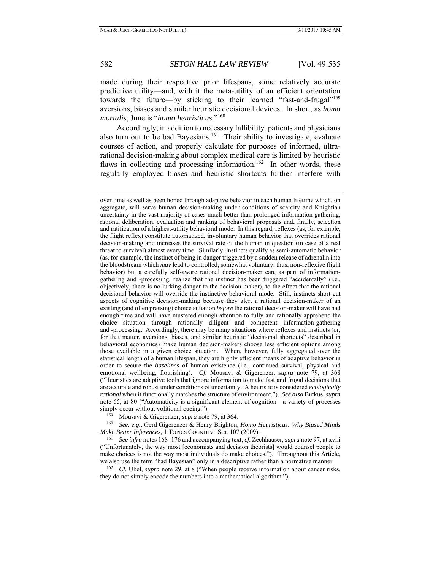made during their respective prior lifespans, some relatively accurate predictive utility—and, with it the meta-utility of an efficient orientation towards the future—by sticking to their learned "fast-and-frugal"<sup>159</sup> aversions, biases and similar heuristic decisional devices. In short, as *homo mortalis*, June is "*homo heuristicus*."<sup>160</sup>

Accordingly, in addition to necessary fallibility, patients and physicians also turn out to be bad Bayesians.<sup>161</sup> Their ability to investigate, evaluate courses of action, and properly calculate for purposes of informed, ultrarational decision-making about complex medical care is limited by heuristic flaws in collecting and processing information.<sup>162</sup> In other words, these regularly employed biases and heuristic shortcuts further interfere with

*Make Better Inferences*, 1 TOPICS COGNITIVE SCI. 107 (2009). 161 *See infra* notes 168–176 and accompanying text; *cf.* Zechhauser, *supra* note 97, at xviii

("Unfortunately, the way most [economists and decision theorists] would counsel people to make choices is not the way most individuals do make choices."). Throughout this Article, we also use the term "bad Bayesian" only in a descriptive rather than a normative manner.<br><sup>162</sup> *Cf.* Ubel, *supra* note 29, at 8 ("When people receive information about cancer risks,

they do not simply encode the numbers into a mathematical algorithm.").

over time as well as been honed through adaptive behavior in each human lifetime which, on aggregate, will serve human decision-making under conditions of scarcity and Knightian uncertainty in the vast majority of cases much better than prolonged information gathering, rational deliberation, evaluation and ranking of behavioral proposals and, finally, selection and ratification of a highest-utility behavioral mode. In this regard, reflexes (as, for example, the flight reflex) constitute automatized, involuntary human behavior that overrides rational decision-making and increases the survival rate of the human in question (in case of a real threat to survival) almost every time. Similarly, instincts qualify as semi-automatic behavior (as, for example, the instinct of being in danger triggered by a sudden release of adrenalin into the bloodstream which *may* lead to controlled, somewhat voluntary, thus, non-reflexive flight behavior) but a carefully self-aware rational decision-maker can, as part of informationgathering and -processing, realize that the instinct has been triggered "accidentally" (i.e., objectively, there is no lurking danger to the decision-maker), to the effect that the rational decisional behavior will override the instinctive behavioral mode. Still, instincts short-cut aspects of cognitive decision-making because they alert a rational decision-maker of an existing (and often pressing) choice situation *before* the rational decision-maker will have had enough time and will have mustered enough attention to fully and rationally apprehend the choice situation through rationally diligent and competent information-gathering and -processing. Accordingly, there may be many situations where reflexes and instincts (or, for that matter, aversions, biases, and similar heuristic "decisional shortcuts" described in behavioral economics) make human decision-makers choose less efficient options among those available in a given choice situation. When, however, fully aggregated over the statistical length of a human lifespan, they are highly efficient means of adaptive behavior in order to secure the *baselines* of human existence (i.e., continued survival, physical and emotional wellbeing, flourishing). *Cf.* Mousavi & Gigerenzer, *supra* note 79, at 368 ("Heuristics are adaptive tools that ignore information to make fast and frugal decisions that are accurate and robust under conditions of uncertainty. A heuristic is considered *ecologically rational* when it functionally matches the structure of environment."). *See also* Butkus, *supra*  note 65, at 80 ("Automaticity is a significant element of cognition—a variety of processes simply occur without volitional cueing.").<br><sup>159</sup> Mousavi & Gigerenzer, *supra* note 79, at 364.<br><sup>160</sup> *See, e.g.*, Gerd Gigerenzer & Henry Brighton, *Homo Heuristicus: Why Biased Minds*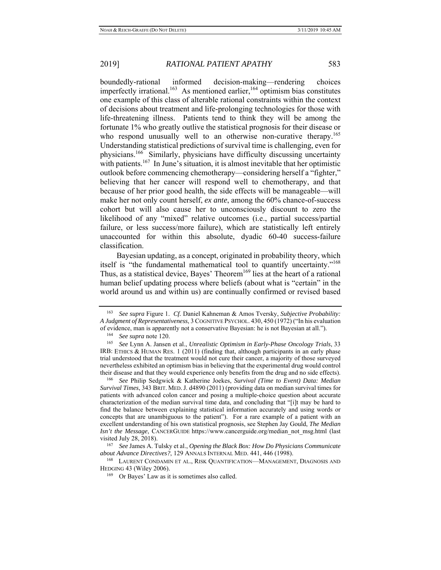boundedly-rational informed decision-making—rendering choices imperfectly irrational.<sup>163</sup> As mentioned earlier,<sup>164</sup> optimism bias constitutes one example of this class of alterable rational constraints within the context of decisions about treatment and life-prolonging technologies for those with life-threatening illness. Patients tend to think they will be among the fortunate 1% who greatly outlive the statistical prognosis for their disease or who respond unusually well to an otherwise non-curative therapy.<sup>165</sup> Understanding statistical predictions of survival time is challenging, even for physicians.166 Similarly, physicians have difficulty discussing uncertainty with patients.<sup>167</sup> In June's situation, it is almost inevitable that her optimistic outlook before commencing chemotherapy—considering herself a "fighter," believing that her cancer will respond well to chemotherapy, and that because of her prior good health, the side effects will be manageable—will make her not only count herself, *ex ante*, among the 60% chance-of-success cohort but will also cause her to unconsciously discount to zero the likelihood of any "mixed" relative outcomes (i.e., partial success/partial failure, or less success/more failure), which are statistically left entirely unaccounted for within this absolute, dyadic 60-40 success-failure classification.

Bayesian updating, as a concept, originated in probability theory, which itself is "the fundamental mathematical tool to quantify uncertainty."<sup>168</sup> Thus, as a statistical device, Bayes' Theorem<sup>169</sup> lies at the heart of a rational human belief updating process where beliefs (about what is "certain" in the world around us and within us) are continually confirmed or revised based

*Survival Times*, 343 BRIT. MED.J. d4890 (2011) (providing data on median survival times for patients with advanced colon cancer and posing a multiple-choice question about accurate characterization of the median survival time data, and concluding that "[i]t may be hard to find the balance between explaining statistical information accurately and using words or concepts that are unambiguous to the patient"). For a rare example of a patient with an excellent understanding of his own statistical prognosis, see Stephen Jay Gould, *The Median Isn't the Message*, CANCERGUIDE https://www.cancerguide.org/median\_not\_msg.html (last visited July 28, 2018). 167 *See* James A. Tulsky et al., *Opening the Black Box: How Do Physicians Communicate* 

<sup>163</sup> *See supra* Figure 1. *Cf.* Daniel Kahneman & Amos Tversky, *Subjective Probability: A Judgment of Representativeness*, 3 COGNITIVE PSYCHOL. 430, 450 (1972) ("In his evaluation of evidence, man is apparently not a conservative Bayesian: he is not Bayesian at all.").<br><sup>164</sup> *See supra* note 120.<br><sup>165</sup> *See* Lynn A. Jansen et al., *Unrealistic Optimism in Early-Phase Oncology Trials*, 33

IRB: ETHICS & HUMAN RES. 1 (2011) (finding that, although participants in an early phase trial understood that the treatment would not cure their cancer, a majority of those surveyed nevertheless exhibited an optimism bias in believing that the experimental drug would control their disease and that they would experience only benefits from the drug and no side effects). 166 *See* Philip Sedgwick & Katherine Joekes, *Survival (Time to Event) Data: Median* 

*about Advance Directives?*, 129 ANNALS INTERNAL MED. 441, 446 (1998).<br><sup>168</sup> LAURENT CONDAMIN ET AL., RISK QUANTIFICATION—MANAGEMENT, DIAGNOSIS AND

HEDGING 43 (Wiley 2006).<br><sup>169</sup> Or Bayes' Law as it is sometimes also called.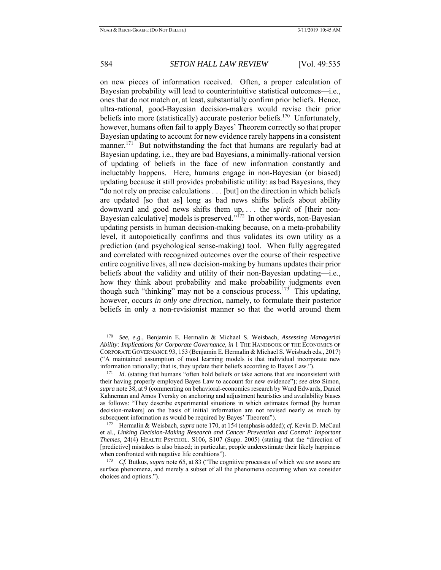on new pieces of information received. Often, a proper calculation of Bayesian probability will lead to counterintuitive statistical outcomes—i.e., ones that do not match or, at least, substantially confirm prior beliefs. Hence, ultra-rational, good-Bayesian decision-makers would revise their prior beliefs into more (statistically) accurate posterior beliefs.<sup>170</sup> Unfortunately, however, humans often fail to apply Bayes' Theorem correctly so that proper Bayesian updating to account for new evidence rarely happens in a consistent manner.<sup>171</sup> But notwithstanding the fact that humans are regularly bad at Bayesian updating, i.e., they are bad Bayesians, a minimally-rational version of updating of beliefs in the face of new information constantly and ineluctably happens. Here, humans engage in non-Bayesian (or biased) updating because it still provides probabilistic utility: as bad Bayesians, they "do not rely on precise calculations . . . [but] on the direction in which beliefs are updated [so that as] long as bad news shifts beliefs about ability downward and good news shifts them up, . . . the *spirit* of [their non-Bayesian calculative] models is preserved." $\frac{1}{12}$  In other words, non-Bayesian updating persists in human decision-making because, on a meta-probability level, it autopoietically confirms and thus validates its own utility as a prediction (and psychological sense-making) tool. When fully aggregated and correlated with recognized outcomes over the course of their respective entire cognitive lives, all new decision-making by humans updates their prior beliefs about the validity and utility of their non-Bayesian updating—i.e., how they think about probability and make probability judgments even though such "thinking" may not be a conscious process.<sup>173</sup> This updating, however, occurs *in only one direction*, namely, to formulate their posterior beliefs in only a non-revisionist manner so that the world around them

<sup>170</sup> *See, e.g.*, Benjamin E. Hermalin & Michael S. Weisbach, *Assessing Managerial Ability: Implications for Corporate Governance*, *in* 1 THE HANDBOOK OF THE ECONOMICS OF CORPORATE GOVERNANCE 93, 153 (Benjamin E. Hermalin & Michael S. Weisbach eds., 2017) ("A maintained assumption of most learning models is that individual incorporate new information rationally; that is, they update their beliefs according to Bayes Law."). 171 *Id.* (stating that humans "often hold beliefs or take actions that are inconsistent with

their having properly employed Bayes Law to account for new evidence"); *see also* Simon, *supra* note 38, at 9 (commenting on behavioral-economics research by Ward Edwards, Daniel Kahneman and Amos Tversky on anchoring and adjustment heuristics and availability biases as follows: "They describe experimental situations in which estimates formed [by human decision-makers] on the basis of initial information are not revised nearly as much by subsequent information as would be required by Bayes' Theorem"). 172 Hermalin & Weisbach, *supra* note 170, at 154 (emphasis added); *cf.* Kevin D. McCaul

et al., *Linking Decision-Making Research and Cancer Prevention and Control: Important Themes*, 24(4) HEALTH PSYCHOL. S106, S107 (Supp. 2005) (stating that the "direction of [predictive] mistakes is also biased; in particular, people underestimate their likely happiness when confronted with negative life conditions").<br><sup>173</sup> *Cf.* Butkus, *supra* note 65, at 83 ("The cognitive processes of which we *are* aware are

surface phenomena, and merely a subset of all the phenomena occurring when we consider choices and options.").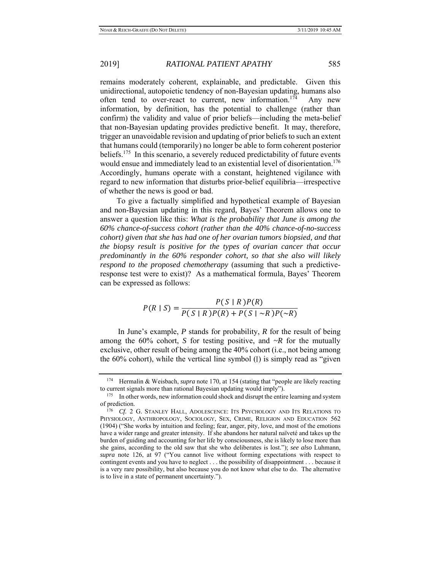remains moderately coherent, explainable, and predictable. Given this unidirectional, autopoietic tendency of non-Bayesian updating, humans also often tend to over-react to current, new information.<sup>174</sup> Any new information, by definition, has the potential to challenge (rather than confirm) the validity and value of prior beliefs—including the meta-belief that non-Bayesian updating provides predictive benefit. It may, therefore, trigger an unavoidable revision and updating of prior beliefs to such an extent that humans could (temporarily) no longer be able to form coherent posterior beliefs.<sup>175</sup> In this scenario, a severely reduced predictability of future events would ensue and immediately lead to an existential level of disorientation.<sup>176</sup> Accordingly, humans operate with a constant, heightened vigilance with regard to new information that disturbs prior-belief equilibria—irrespective of whether the news is good or bad.

To give a factually simplified and hypothetical example of Bayesian and non-Bayesian updating in this regard, Bayes' Theorem allows one to answer a question like this: *What is the probability that June is among the 60% chance-of-success cohort (rather than the 40% chance-of-no-success cohort) given that she has had one of her ovarian tumors biopsied, and that the biopsy result is positive for the types of ovarian cancer that occur predominantly in the 60% responder cohort, so that she also will likely respond to the proposed chemotherapy* (assuming that such a predictiveresponse test were to exist)? As a mathematical formula, Bayes' Theorem can be expressed as follows:

$$
P(R \mid S) = \frac{P(S \mid R)P(R)}{P(S \mid R)P(R) + P(S \mid \sim R)P(\sim R)}
$$

 In June's example, *P* stands for probability, *R* for the result of being among the  $60\%$  cohort, *S* for testing positive, and  $\sim R$  for the mutually exclusive, other result of being among the 40% cohort (i.e., not being among the 60% cohort), while the vertical line symbol (∣) is simply read as "given

<sup>174</sup> Hermalin & Weisbach, *supra* note 170, at 154 (stating that "people are likely reacting to current signals more than rational Bayesian updating would imply").<br><sup>175</sup> In other words, new information could shock and disrupt the entire learning and system

of prediction.<br><sup>176</sup> *Cf.* 2 G. STANLEY HALL, ADOLESCENCE: ITS PSYCHOLOGY AND ITS RELATIONS TO

PHYSIOLOGY, ANTHROPOLOGY, SOCIOLOGY, SEX, CRIME, RELIGION AND EDUCATION 562 (1904) ("She works by intuition and feeling; fear, anger, pity, love, and most of the emotions have a wider range and greater intensity. If she abandons her natural naïveté and takes up the burden of guiding and accounting for her life by consciousness, she is likely to lose more than she gains, according to the old saw that she who deliberates is lost."); *see also* Luhmann, *supra* note 126, at 97 ("You cannot live without forming expectations with respect to contingent events and you have to neglect . . . the possibility of disappointment . . . because it is a very rare possibility, but also because you do not know what else to do. The alternative is to live in a state of permanent uncertainty.").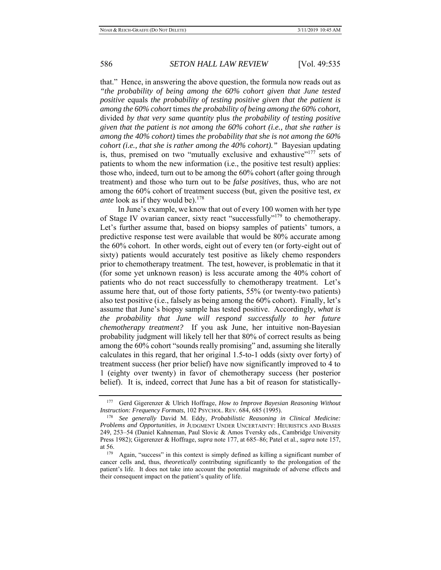that." Hence, in answering the above question, the formula now reads out as *"the probability of being among the 60% cohort given that June tested positive* equals *the probability of testing positive given that the patient is among the 60% cohort* times *the probability of being among the 60% cohort,*  divided *by that very same quantity* plus *the probability of testing positive given that the patient is not among the 60% cohort (i.e., that she rather is among the 40% cohort)* times *the probability that she is not among the 60% cohort (i.e., that she is rather among the 40% cohort)."* Bayesian updating is, thus, premised on two "mutually exclusive and exhaustive"<sup>177</sup> sets of patients to whom the new information (i.e., the positive test result) applies: those who, indeed, turn out to be among the 60% cohort (after going through treatment) and those who turn out to be *false positives*, thus, who are not among the 60% cohort of treatment success (but, given the positive test, *ex ante* look as if they would be).<sup>178</sup>

 In June's example, we know that out of every 100 women with her type of Stage IV ovarian cancer, sixty react "successfully"179 to chemotherapy. Let's further assume that, based on biopsy samples of patients' tumors, a predictive response test were available that would be 80% accurate among the 60% cohort. In other words, eight out of every ten (or forty-eight out of sixty) patients would accurately test positive as likely chemo responders prior to chemotherapy treatment. The test, however, is problematic in that it (for some yet unknown reason) is less accurate among the 40% cohort of patients who do not react successfully to chemotherapy treatment. Let's assume here that, out of those forty patients, 55% (or twenty-two patients) also test positive (i.e., falsely as being among the 60% cohort). Finally, let's assume that June's biopsy sample has tested positive. Accordingly, *what is the probability that June will respond successfully to her future chemotherapy treatment?* If you ask June, her intuitive non-Bayesian probability judgment will likely tell her that 80% of correct results as being among the 60% cohort "sounds really promising" and, assuming she literally calculates in this regard, that her original 1.5-to-1 odds (sixty over forty) of treatment success (her prior belief) have now significantly improved to 4 to 1 (eighty over twenty) in favor of chemotherapy success (her posterior belief). It is, indeed, correct that June has a bit of reason for statistically-

<sup>177</sup> Gerd Gigerenzer & Ulrich Hoffrage, *How to Improve Bayesian Reasoning Without Instruction: Frequency Formats*, 102 PSYCHOL. REV. 684, 685 (1995).<br><sup>178</sup> *See generally David M. Eddy, Probabilistic Reasoning in Clinical Medicine:* 

*Problems and Opportunities*, *in* JUDGMENT UNDER UNCERTAINTY: HEURISTICS AND BIASES 249, 253–54 (Daniel Kahneman, Paul Slovic & Amos Tversky eds., Cambridge University Press 1982); Gigerenzer & Hoffrage, *supra* note 177, at 685–86; Patel et al., *supra* note 157, at 56.<br><sup>179</sup> Again, "success" in this context is simply defined as killing a significant number of

cancer cells and, thus, *theoretically* contributing significantly to the prolongation of the patient's life. It does not take into account the potential magnitude of adverse effects and their consequent impact on the patient's quality of life.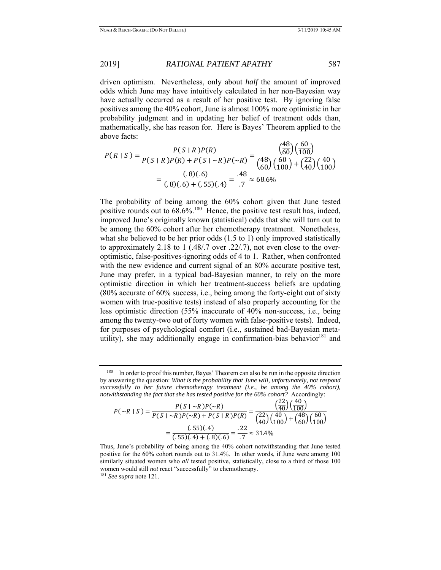driven optimism. Nevertheless, only about *half* the amount of improved odds which June may have intuitively calculated in her non-Bayesian way have actually occurred as a result of her positive test. By ignoring false positives among the 40% cohort, June is almost 100% more optimistic in her probability judgment and in updating her belief of treatment odds than, mathematically, she has reason for. Here is Bayes' Theorem applied to the above facts:

$$
P(R \mid S) = \frac{P(S \mid R)P(R)}{P(S \mid R)P(R) + P(S \mid \sim R)P(\sim R)} = \frac{\left(\frac{48}{60}\right)\left(\frac{60}{100}\right)}{\left(\frac{48}{60}\right)\left(\frac{60}{100}\right) + \left(\frac{22}{40}\right)\left(\frac{40}{100}\right)} = \frac{(.8)(.6)}{(.8)(.6) + (.55)(.4)} = \frac{.48}{.7} \approx 68.6\%
$$

The probability of being among the 60% cohort given that June tested positive rounds out to  $68.6\%$ .<sup>180</sup> Hence, the positive test result has, indeed, improved June's originally known (statistical) odds that she will turn out to be among the 60% cohort after her chemotherapy treatment. Nonetheless, what she believed to be her prior odds  $(1.5 \text{ to } 1)$  only improved statistically to approximately 2.18 to 1 (.48/.7 over .22/.7), not even close to the overoptimistic, false-positives-ignoring odds of 4 to 1. Rather, when confronted with the new evidence and current signal of an 80% accurate positive test, June may prefer, in a typical bad-Bayesian manner, to rely on the more optimistic direction in which her treatment-success beliefs are updating (80% accurate of 60% success, i.e., being among the forty-eight out of sixty women with true-positive tests) instead of also properly accounting for the less optimistic direction (55% inaccurate of 40% non-success, i.e., being among the twenty-two out of forty women with false-positive tests). Indeed, for purposes of psychological comfort (i.e., sustained bad-Bayesian metautility), she may additionally engage in confirmation-bias behavior<sup>181</sup> and

$$
P(\sim R \mid S) = \frac{P(S \mid \sim R)P(\sim R)}{P(S \mid \sim R)P(\sim R) + P(S \mid R)P(R)} = \frac{\left(\frac{22}{40}\right)\left(\frac{40}{100}\right)}{\left(\frac{22}{40}\right)\left(\frac{40}{100}\right) + \left(\frac{48}{60}\right)\left(\frac{60}{100}\right)} = \frac{(.55)(.4)}{(.55)(.4) + (.8)(.6)} = \frac{.22}{.7} \approx 31.4\%
$$

<sup>&</sup>lt;sup>180</sup> In order to proof this number, Bayes' Theorem can also be run in the opposite direction by answering the question: *What is the probability that June will, unfortunately, not respond successfully to her future chemotherapy treatment (i.e., be among the 40% cohort), notwithstanding the fact that she has tested positive for the 60% cohort?* Accordingly:

Thus, June's probability of being among the 40% cohort notwithstanding that June tested positive for the 60% cohort rounds out to 31.4%. In other words, if June were among 100 similarly situated women who *all* tested positive, statistically, close to a third of those 100 women would still *not* react "successfully" to chemotherapy. 181 *See supra* note 121.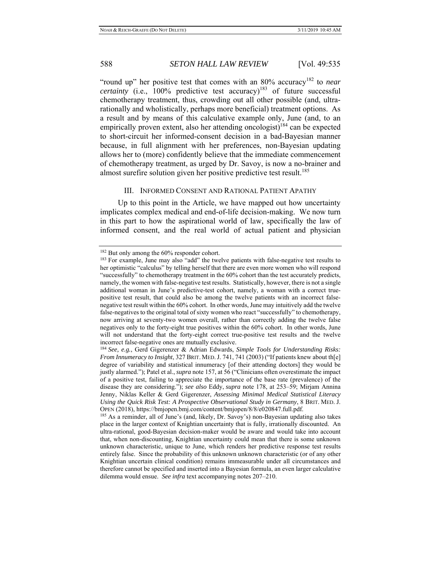"round up" her positive test that comes with an 80% accuracy<sup>182</sup> to *near certainty* (i.e.,  $100\%$  predictive test accuracy)<sup>183</sup> of future successful chemotherapy treatment, thus, crowding out all other possible (and, ultrarationally and wholistically, perhaps more beneficial) treatment options. As a result and by means of this calculative example only, June (and, to an empirically proven extent, also her attending oncologist)<sup>184</sup> can be expected to short-circuit her informed-consent decision in a bad-Bayesian manner because, in full alignment with her preferences, non-Bayesian updating allows her to (more) confidently believe that the immediate commencement of chemotherapy treatment, as urged by Dr. Savoy, is now a no-brainer and almost surefire solution given her positive predictive test result.<sup>185</sup>

### III. INFORMED CONSENT AND RATIONAL PATIENT APATHY

 Up to this point in the Article, we have mapped out how uncertainty implicates complex medical and end-of-life decision-making. We now turn in this part to how the aspirational world of law, specifically the law of informed consent, and the real world of actual patient and physician

 $182$  But only among the 60% responder cohort.<br> $183$  For example, June may also "add" the twelve patients with false-negative test results to her optimistic "calculus" by telling herself that there are even more women who will respond "successfully" to chemotherapy treatment in the 60% cohort than the test accurately predicts, namely, the women with false-negative test results. Statistically, however, there is not a single additional woman in June's predictive-test cohort, namely, a woman with a correct truepositive test result, that could also be among the twelve patients with an incorrect falsenegative test result within the 60% cohort. In other words, June may intuitively add the twelve false-negatives to the original total of sixty women who react "successfully" to chemotherapy, now arriving at seventy-two women overall, rather than correctly adding the twelve false negatives only to the forty-eight true positives within the 60% cohort. In other words, June will not understand that the forty-eight correct true-positive test results and the twelve incorrect false-negative ones are mutually exclusive.

<sup>184</sup> *See, e.g.*, Gerd Gigerenzer & Adrian Edwards, *Simple Tools for Understanding Risks: From Innumeracy to Insight*, 327 BRIT. MED. J. 741, 741 (2003) ("If patients knew about th[e] degree of variability and statistical innumeracy [of their attending doctors] they would be justly alarmed."); Patel et al., *supra* note 157, at 56 ("Clinicians often overestimate the impact of a positive test, failing to appreciate the importance of the base rate (prevalence) of the disease they are considering."); *see also* Eddy, *supra* note 178, at 253–59; Mirjam Annina Jenny, Niklas Keller & Gerd Gigerenzer, *Assessing Minimal Medical Statistical Literacy Using the Quick Risk Test: A Prospective Observational Study in Germany*, 8 BRIT. MED. J. OPEN (2018), https://bmjopen.bmj.com/content/bmjopen/8/8/e020847.full.pdf. 185 As a reminder, all of June's (and, likely, Dr. Savoy's) non-Bayesian updating also takes

place in the larger context of Knightian uncertainty that is fully, irrationally discounted. An ultra-rational, good-Bayesian decision-maker would be aware and would take into account that, when non-discounting, Knightian uncertainty could mean that there is some unknown unknown characteristic, unique to June, which renders her predictive response test results entirely false. Since the probability of this unknown unknown characteristic (or of any other Knightian uncertain clinical condition) remains immeasurable under all circumstances and therefore cannot be specified and inserted into a Bayesian formula, an even larger calculative dilemma would ensue. *See infra* text accompanying notes 207–210.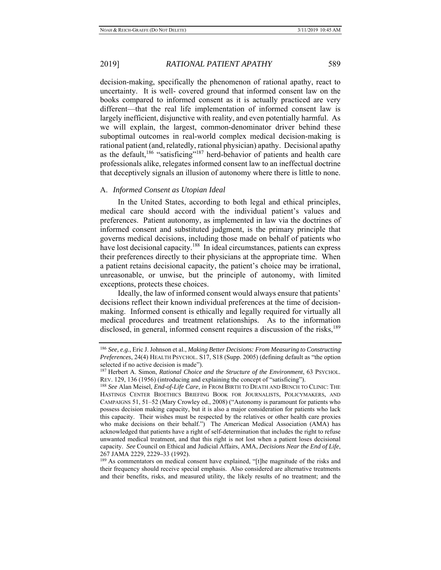decision-making, specifically the phenomenon of rational apathy, react to uncertainty. It is well- covered ground that informed consent law on the books compared to informed consent as it is actually practiced are very different—that the real life implementation of informed consent law is largely inefficient, disjunctive with reality, and even potentially harmful. As we will explain, the largest, common-denominator driver behind these suboptimal outcomes in real-world complex medical decision-making is rational patient (and, relatedly, rational physician) apathy. Decisional apathy as the default,<sup>186</sup> "satisficing"<sup>187</sup> herd-behavior of patients and health care professionals alike, relegates informed consent law to an ineffectual doctrine that deceptively signals an illusion of autonomy where there is little to none.

## A. *Informed Consent as Utopian Ideal*

 In the United States, according to both legal and ethical principles, medical care should accord with the individual patient's values and preferences. Patient autonomy, as implemented in law via the doctrines of informed consent and substituted judgment, is the primary principle that governs medical decisions, including those made on behalf of patients who have lost decisional capacity.<sup>188</sup> In ideal circumstances, patients can express their preferences directly to their physicians at the appropriate time. When a patient retains decisional capacity, the patient's choice may be irrational, unreasonable, or unwise, but the principle of autonomy, with limited exceptions, protects these choices.

 Ideally, the law of informed consent would always ensure that patients' decisions reflect their known individual preferences at the time of decisionmaking. Informed consent is ethically and legally required for virtually all medical procedures and treatment relationships. As to the information disclosed, in general, informed consent requires a discussion of the risks,  $^{189}$ 

their frequency should receive special emphasis. Also considered are alternative treatments and their benefits, risks, and measured utility, the likely results of no treatment; and the

<sup>186</sup> *See, e.g.*, Eric J. Johnson et al., *Making Better Decisions: From Measuring to Constructing Preferences*, 24(4) HEALTH PSYCHOL. S17, S18 (Supp. 2005) (defining default as "the option selected if no active decision is made").

<sup>187</sup> Herbert A. Simon, *Rational Choice and the Structure of the Environment*, 63 PSYCHOL.

REV. 129, 136 (1956) (introducing and explaining the concept of "satisficing"). 188 *See* Alan Meisel, *End-of-Life Care*, *in* FROM BIRTH TO DEATH AND BENCH TO CLINIC: THE HASTINGS CENTER BIOETHICS BRIEFING BOOK FOR JOURNALISTS, POLICYMAKERS, AND CAMPAIGNS 51, 51–52 (Mary Crowley ed., 2008) ("Autonomy is paramount for patients who possess decision making capacity, but it is also a major consideration for patients who lack this capacity. Their wishes must be respected by the relatives or other health care proxies who make decisions on their behalf.") The American Medical Association (AMA) has acknowledged that patients have a right of self-determination that includes the right to refuse unwanted medical treatment, and that this right is not lost when a patient loses decisional capacity. *See* Council on Ethical and Judicial Affairs, AMA, *Decisions Near the End of Life*, 267 JAMA 2229, 2229**–**33 (1992). 189 As commentators on medical consent have explained, "[t]he magnitude of the risks and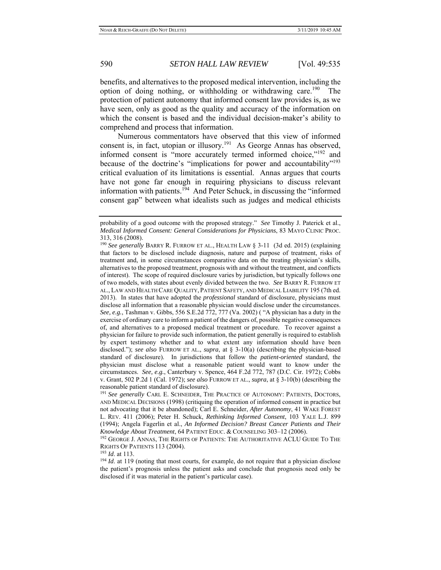benefits, and alternatives to the proposed medical intervention, including the option of doing nothing, or withholding or withdrawing care.<sup>190</sup> The protection of patient autonomy that informed consent law provides is, as we have seen, only as good as the quality and accuracy of the information on which the consent is based and the individual decision-maker's ability to comprehend and process that information.

 Numerous commentators have observed that this view of informed consent is, in fact, utopian or illusory.<sup>191</sup> As George Annas has observed, informed consent is "more accurately termed informed choice,"<sup>192</sup> and because of the doctrine's "implications for power and accountability"<sup>193</sup> critical evaluation of its limitations is essential. Annas argues that courts have not gone far enough in requiring physicians to discuss relevant information with patients.<sup>194</sup> And Peter Schuck, in discussing the "informed" consent gap" between what idealists such as judges and medical ethicists

probability of a good outcome with the proposed strategy." *See* Timothy J. Paterick et al., *Medical Informed Consent: General Considerations for Physicians*, 83 MAYO CLINIC PROC. 313, 316 (2008).

<sup>190</sup> *See generally* BARRY R. FURROW ET AL., HEALTH LAW § 3-11 (3d ed. 2015) (explaining that factors to be disclosed include diagnosis, nature and purpose of treatment, risks of treatment and, in some circumstances comparative data on the treating physician's skills, alternatives to the proposed treatment, prognosis with and without the treatment, and conflicts of interest). The scope of required disclosure varies by jurisdiction, but typically follows one of two models, with states about evenly divided between the two. *See* BARRY R. FURROW ET AL., LAW AND HEALTH CARE QUALITY, PATIENT SAFETY, AND MEDICAL LIABILITY 195 (7th ed. 2013). In states that have adopted the *professional* standard of disclosure, physicians must disclose all information that a reasonable physician would disclose under the circumstances. *See, e.g.*, Tashman v. Gibbs, 556 S.E.2d 772, 777 (Va. 2002) ( "A physician has a duty in the exercise of ordinary care to inform a patient of the dangers of, possible negative consequences of, and alternatives to a proposed medical treatment or procedure. To recover against a physician for failure to provide such information, the patient generally is required to establish by expert testimony whether and to what extent any information should have been disclosed."); *see also* FURROW ET AL., *supra*, at § 3-10(a) (describing the physician-based standard of disclosure). In jurisdictions that follow the *patient-oriented* standard, the physician must disclose what a reasonable patient would want to know under the circumstances. *See, e.g.*, Canterbury v. Spence, 464 F.2d 772, 787 (D.C. Cir. 1972); Cobbs v. Grant, 502 P.2d 1 (Cal. 1972); *see also* FURROW ET AL., *supra*, at § 3-10(b) (describing the reasonable patient standard of disclosure). 191 *See generally* CARL E. SCHNEIDER, THE PRACTICE OF AUTONOMY: PATIENTS, DOCTORS,

AND MEDICAL DECISIONS (1998) (critiquing the operation of informed consent in practice but not advocating that it be abandoned); Carl E. Schneider, *After Autonomy*, 41 WAKE FOREST L. REV. 411 (2006); Peter H. Schuck, *Rethinking Informed Consent*, 103 YALE L.J. 899 (1994); Angela Fagerlin et al., *An Informed Decision? Breast Cancer Patients and Their* 

<sup>&</sup>lt;sup>192</sup> GEORGE J. ANNAS, THE RIGHTS OF PATIENTS: THE AUTHORITATIVE ACLU GUIDE TO THE RIGHTS OF PATIENTS 113 (2004).<br><sup>193</sup> *Id.* at 113.<br><sup>194</sup> *Id.* at 119 (noting that most courts, for example, do not require that a physician disclose

the patient's prognosis unless the patient asks and conclude that prognosis need only be disclosed if it was material in the patient's particular case).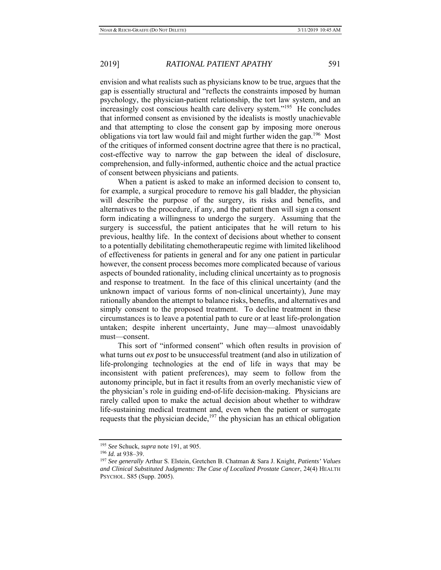envision and what realists such as physicians know to be true, argues that the gap is essentially structural and "reflects the constraints imposed by human psychology, the physician-patient relationship, the tort law system, and an increasingly cost conscious health care delivery system."<sup>195</sup> He concludes that informed consent as envisioned by the idealists is mostly unachievable and that attempting to close the consent gap by imposing more onerous obligations via tort law would fail and might further widen the gap.<sup>196</sup> Most of the critiques of informed consent doctrine agree that there is no practical, cost-effective way to narrow the gap between the ideal of disclosure, comprehension, and fully-informed, authentic choice and the actual practice of consent between physicians and patients.

 When a patient is asked to make an informed decision to consent to, for example, a surgical procedure to remove his gall bladder, the physician will describe the purpose of the surgery, its risks and benefits, and alternatives to the procedure, if any, and the patient then will sign a consent form indicating a willingness to undergo the surgery. Assuming that the surgery is successful, the patient anticipates that he will return to his previous, healthy life. In the context of decisions about whether to consent to a potentially debilitating chemotherapeutic regime with limited likelihood of effectiveness for patients in general and for any one patient in particular however, the consent process becomes more complicated because of various aspects of bounded rationality, including clinical uncertainty as to prognosis and response to treatment. In the face of this clinical uncertainty (and the unknown impact of various forms of non-clinical uncertainty), June may rationally abandon the attempt to balance risks, benefits, and alternatives and simply consent to the proposed treatment. To decline treatment in these circumstances is to leave a potential path to cure or at least life-prolongation untaken; despite inherent uncertainty, June may—almost unavoidably must—consent.

 This sort of "informed consent" which often results in provision of what turns out *ex post* to be unsuccessful treatment (and also in utilization of life-prolonging technologies at the end of life in ways that may be inconsistent with patient preferences), may seem to follow from the autonomy principle, but in fact it results from an overly mechanistic view of the physician's role in guiding end-of-life decision-making. Physicians are rarely called upon to make the actual decision about whether to withdraw life-sustaining medical treatment and, even when the patient or surrogate requests that the physician decide,<sup>197</sup> the physician has an ethical obligation

<sup>195</sup> *See* Schuck, *supra* note 191, at 905. 196 *Id.* at 938–39. 197 *See generally* Arthur S. Elstein, Gretchen B. Chatman & Sara J. Knight, *Patients' Values and Clinical Substituted Judgments: The Case of Localized Prostate Cancer*, 24(4) HEALTH PSYCHOL. S85 (Supp. 2005).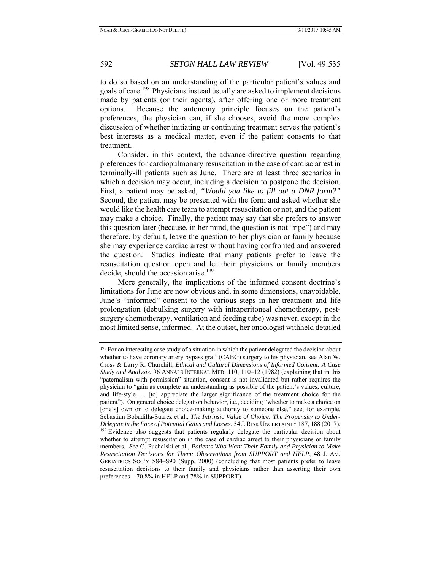to do so based on an understanding of the particular patient's values and goals of care.198 Physicians instead usually are asked to implement decisions made by patients (or their agents), after offering one or more treatment options. Because the autonomy principle focuses on the patient's preferences, the physician can, if she chooses, avoid the more complex discussion of whether initiating or continuing treatment serves the patient's best interests as a medical matter, even if the patient consents to that treatment.

 Consider, in this context, the advance-directive question regarding preferences for cardiopulmonary resuscitation in the case of cardiac arrest in terminally-ill patients such as June. There are at least three scenarios in which a decision may occur, including a decision to postpone the decision. First, a patient may be asked, *"Would you like to fill out a DNR form?"* Second, the patient may be presented with the form and asked whether she would like the health care team to attempt resuscitation or not, and the patient may make a choice. Finally, the patient may say that she prefers to answer this question later (because, in her mind, the question is not "ripe") and may therefore, by default, leave the question to her physician or family because she may experience cardiac arrest without having confronted and answered the question. Studies indicate that many patients prefer to leave the resuscitation question open and let their physicians or family members decide, should the occasion arise.<sup>199</sup>

 More generally, the implications of the informed consent doctrine's limitations for June are now obvious and, in some dimensions, unavoidable. June's "informed" consent to the various steps in her treatment and life prolongation (debulking surgery with intraperitoneal chemotherapy, postsurgery chemotherapy, ventilation and feeding tube) was never, except in the most limited sense, informed. At the outset, her oncologist withheld detailed

<sup>&</sup>lt;sup>198</sup> For an interesting case study of a situation in which the patient delegated the decision about whether to have coronary artery bypass graft (CABG) surgery to his physician, see Alan W. Cross & Larry R. Churchill, *Ethical and Cultural Dimensions of Informed Consent: A Case Study and Analysis*, 96 ANNALS INTERNAL MED. 110, 110–12 (1982) (explaining that in this "paternalism with permission" situation, consent is not invalidated but rather requires the physician to "gain as complete an understanding as possible of the patient's values, culture, and life-style . . . [to] appreciate the larger significance of the treatment choice for the patient"). On general choice delegation behavior, i.e., deciding "whether to make a choice on [one's] own or to delegate choice-making authority to someone else," see, for example, Sebastian Bobadilla-Suarez et al., *The Intrinsic Value of Choice: The Propensity to Under-Delegate in the Face of Potential Gains and Losses*, 54 J.RISK UNCERTAINTY 187, 188 (2017). 199 Evidence also suggests that patients regularly delegate the particular decision about whether to attempt resuscitation in the case of cardiac arrest to their physicians or family members. *See* C. Puchalski et al., *Patients Who Want Their Family and Physician to Make Resuscitation Decisions for Them: Observations from SUPPORT and HELP*, 48 J. AM. GERIATRICS SOC'Y S84–S90 (Supp. 2000) (concluding that most patients prefer to leave resuscitation decisions to their family and physicians rather than asserting their own preferences—70.8% in HELP and 78% in SUPPORT).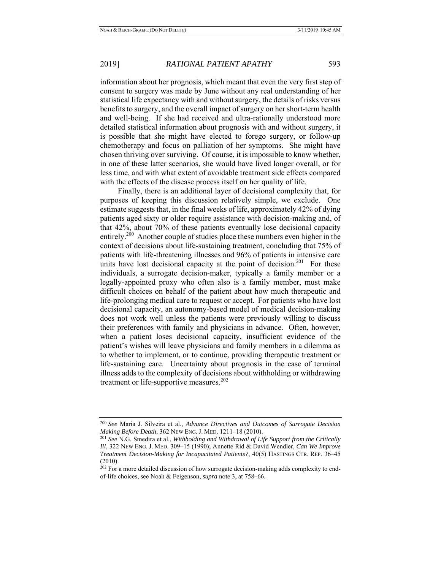information about her prognosis, which meant that even the very first step of consent to surgery was made by June without any real understanding of her statistical life expectancy with and without surgery, the details of risks versus benefits to surgery, and the overall impact of surgery on her short-term health and well-being. If she had received and ultra-rationally understood more detailed statistical information about prognosis with and without surgery, it is possible that she might have elected to forego surgery, or follow-up chemotherapy and focus on palliation of her symptoms. She might have chosen thriving over surviving. Of course, it is impossible to know whether, in one of these latter scenarios, she would have lived longer overall, or for less time, and with what extent of avoidable treatment side effects compared with the effects of the disease process itself on her quality of life.

 Finally, there is an additional layer of decisional complexity that, for purposes of keeping this discussion relatively simple, we exclude. One estimate suggests that, in the final weeks of life, approximately 42% of dying patients aged sixty or older require assistance with decision-making and, of that 42%, about 70% of these patients eventually lose decisional capacity entirely.<sup>200</sup> Another couple of studies place these numbers even higher in the context of decisions about life-sustaining treatment, concluding that 75% of patients with life-threatening illnesses and 96% of patients in intensive care units have lost decisional capacity at the point of decision.<sup>201</sup> For these individuals, a surrogate decision-maker, typically a family member or a legally-appointed proxy who often also is a family member, must make difficult choices on behalf of the patient about how much therapeutic and life-prolonging medical care to request or accept. For patients who have lost decisional capacity, an autonomy-based model of medical decision-making does not work well unless the patients were previously willing to discuss their preferences with family and physicians in advance. Often, however, when a patient loses decisional capacity, insufficient evidence of the patient's wishes will leave physicians and family members in a dilemma as to whether to implement, or to continue, providing therapeutic treatment or life-sustaining care. Uncertainty about prognosis in the case of terminal illness adds to the complexity of decisions about withholding or withdrawing treatment or life-supportive measures. $202$ 

<sup>200</sup> *See* Maria J. Silveira et al., *Advance Directives and Outcomes of Surrogate Decision* 

<sup>&</sup>lt;sup>201</sup> See N.G. Smedira et al., *Withholding and Withdrawal of Life Support from the Critically Ill*, 322 NEW ENG. J. MED. 309–15 (1990); Annette Rid & David Wendler, *Can We Improve Treatment Decision-Making for Incapacitated Patients?*, 40(5) HASTINGS CTR. REP. 36–45 (2010).

<sup>&</sup>lt;sup>202</sup> For a more detailed discussion of how surrogate decision-making adds complexity to endof-life choices, see Noah & Feigenson, *supra* note 3, at 758–66.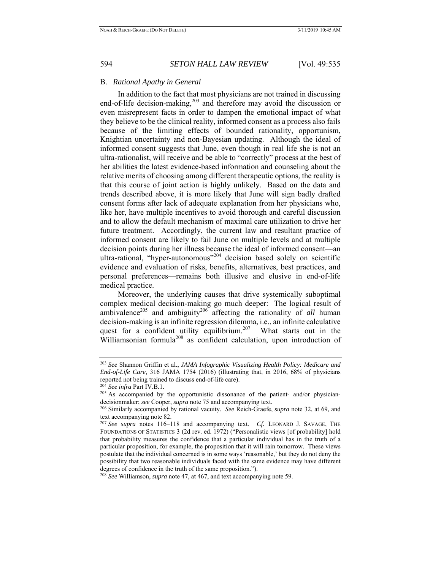### B. *Rational Apathy in General*

 In addition to the fact that most physicians are not trained in discussing end-of-life decision-making,<sup>203</sup> and therefore may avoid the discussion or even misrepresent facts in order to dampen the emotional impact of what they believe to be the clinical reality, informed consent as a process also fails because of the limiting effects of bounded rationality, opportunism, Knightian uncertainty and non-Bayesian updating. Although the ideal of informed consent suggests that June, even though in real life she is not an ultra-rationalist, will receive and be able to "correctly" process at the best of her abilities the latest evidence-based information and counseling about the relative merits of choosing among different therapeutic options, the reality is that this course of joint action is highly unlikely. Based on the data and trends described above, it is more likely that June will sign badly drafted consent forms after lack of adequate explanation from her physicians who, like her, have multiple incentives to avoid thorough and careful discussion and to allow the default mechanism of maximal care utilization to drive her future treatment. Accordingly, the current law and resultant practice of informed consent are likely to fail June on multiple levels and at multiple decision points during her illness because the ideal of informed consent—an ultra-rational, "hyper-autonomous"<sup>204</sup> decision based solely on scientific evidence and evaluation of risks, benefits, alternatives, best practices, and personal preferences—remains both illusive and elusive in end-of-life medical practice.

 Moreover, the underlying causes that drive systemically suboptimal complex medical decision-making go much deeper: The logical result of ambivalence<sup>205</sup> and ambiguity<sup>206</sup> affecting the rationality of *all* human decision-making is an infinite regression dilemma, i.e., an infinite calculative quest for a confident utility equilibrium.<sup>207</sup> What starts out in the Williamsonian formula<sup>208</sup> as confident calculation, upon introduction of

<sup>203</sup> *See* Shannon Griffin et al., *JAMA Infographic Visualizing Health Policy: Medicare and End-of-Life Care*, 316 JAMA 1754 (2016) (illustrating that, in 2016, 68% of physicians reported not being trained to discuss end-of-life care).<br><sup>204</sup> *See infra* Part IV.B.1.<br><sup>205</sup> As accompanied by the opportunistic dissonance of the patient- and/or physician-

decisionmaker; *see* Cooper, *supra* note 75 and accompanying text. 206 Similarly accompanied by rational vacuity. *See* Reich-Graefe, *supra* note 32, at 69, and

text accompanying note 82.

<sup>207</sup> *See supra* notes 116–118 and accompanying text. *Cf.* LEONARD J. SAVAGE, THE FOUNDATIONS OF STATISTICS 3 (2d rev. ed. 1972) ("Personalistic views [of probability] hold that probability measures the confidence that a particular individual has in the truth of a particular proposition, for example, the proposition that it will rain tomorrow. These views postulate that the individual concerned is in some ways 'reasonable,' but they do not deny the possibility that two reasonable individuals faced with the same evidence may have different degrees of confidence in the truth of the same proposition."). 208 *See* Williamson, *supra* note 47, at 467, and text accompanying note 59.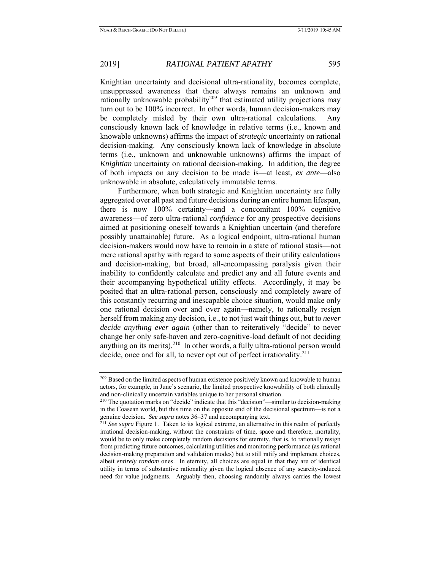Knightian uncertainty and decisional ultra-rationality, becomes complete, unsuppressed awareness that there always remains an unknown and rationally unknowable probability<sup>209</sup> that estimated utility projections may turn out to be 100% incorrect. In other words, human decision-makers may be completely misled by their own ultra-rational calculations. Any consciously known lack of knowledge in relative terms (i.e., known and knowable unknowns) affirms the impact of *strategic* uncertainty on rational decision-making. Any consciously known lack of knowledge in absolute terms (i.e., unknown and unknowable unknowns) affirms the impact of *Knightian* uncertainty on rational decision-making. In addition, the degree of both impacts on any decision to be made is—at least, *ex ante*—also unknowable in absolute, calculatively immutable terms.

 Furthermore, when both strategic and Knightian uncertainty are fully aggregated over all past and future decisions during an entire human lifespan, there is now 100% certainty—and a concomitant 100% cognitive awareness—of zero ultra-rational *confidence* for any prospective decisions aimed at positioning oneself towards a Knightian uncertain (and therefore possibly unattainable) future. As a logical endpoint, ultra-rational human decision-makers would now have to remain in a state of rational stasis—not mere rational apathy with regard to some aspects of their utility calculations and decision-making, but broad, all-encompassing paralysis given their inability to confidently calculate and predict any and all future events and their accompanying hypothetical utility effects. Accordingly, it may be posited that an ultra-rational person, consciously and completely aware of this constantly recurring and inescapable choice situation, would make only one rational decision over and over again—namely, to rationally resign herself from making any decision, i.e., to not just wait things out, but to *never decide anything ever again* (other than to reiteratively "decide" to never change her only safe-haven and zero-cognitive-load default of not deciding anything on its merits). $^{210}$  In other words, a fully ultra-rational person would decide, once and for all, to never opt out of perfect irrationality.<sup>211</sup>

<sup>&</sup>lt;sup>209</sup> Based on the limited aspects of human existence positively known and knowable to human actors, for example, in June's scenario, the limited prospective knowability of both clinically and non-clinically uncertain variables unique to her personal situation.<br><sup>210</sup> The quotation marks on "decide" indicate that this "decision"—similar to decision-making

in the Coasean world, but this time on the opposite end of the decisional spectrum—is not a genuine decision. See supra notes  $36-37$  and accompanying text.

<sup>&</sup>lt;sup>211</sup> See supra Figure 1. Taken to its logical extreme, an alternative in this realm of perfectly irrational decision-making, without the constraints of time, space and therefore, mortality, would be to only make completely random decisions for eternity, that is, to rationally resign from predicting future outcomes, calculating utilities and monitoring performance (as rational decision-making preparation and validation modes) but to still ratify and implement choices, albeit *entirely random* ones. In eternity, all choices are equal in that they are of identical utility in terms of substantive rationality given the logical absence of any scarcity-induced need for value judgments. Arguably then, choosing randomly always carries the lowest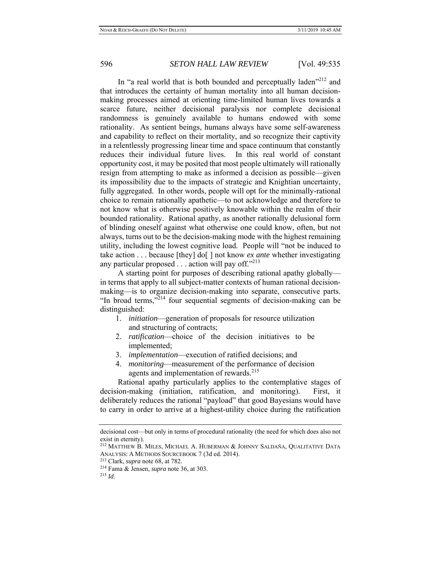In "a real world that is both bounded and perceptually laden"<sup>212</sup> and that introduces the certainty of human mortality into all human decisionmaking processes aimed at orienting time-limited human lives towards a scarce future, neither decisional paralysis nor complete decisional randomness is genuinely available to humans endowed with some rationality. As sentient beings, humans always have some self-awareness and capability to reflect on their mortality, and so recognize their captivity in a relentlessly progressing linear time and space continuum that constantly reduces their individual future lives. In this real world of constant opportunity cost, it may be posited that most people ultimately will rationally resign from attempting to make as informed a decision as possible—given its impossibility due to the impacts of strategic and Knightian uncertainty, fully aggregated. In other words, people will opt for the minimally-rational choice to remain rationally apathetic—to not acknowledge and therefore to not know what is otherwise positively knowable within the realm of their bounded rationality. Rational apathy, as another rationally delusional form of blinding oneself against what otherwise one could know, often, but not always, turns out to be the decision-making mode with the highest remaining utility, including the lowest cognitive load. People will "not be induced to take action . . . because [they] do[ ] not know *ex ante* whether investigating any particular proposed  $\ldots$  action will pay off."<sup>213</sup>

 A starting point for purposes of describing rational apathy globally in terms that apply to all subject-matter contexts of human rational decisionmaking—is to organize decision-making into separate, consecutive parts. "In broad terms," $^{214}$  four sequential segments of decision-making can be distinguished:

- 1. *initiation*—generation of proposals for resource utilization and structuring of contracts;
- 2. *ratification*—choice of the decision initiatives to be implemented;
- 3. *implementation*—execution of ratified decisions; and
- 4. *monitoring*—measurement of the performance of decision agents and implementation of rewards.<sup>215</sup>

 Rational apathy particularly applies to the contemplative stages of decision-making (initiation, ratification, and monitoring). First, it deliberately reduces the rational "payload" that good Bayesians would have to carry in order to arrive at a highest-utility choice during the ratification

decisional cost—but only in terms of procedural rationality (the need for which does also not exist in eternity).

<sup>212</sup> MATTHEW B. MILES, MICHAEL A. HUBERMAN & JOHNNY SALDAÑA, QUALITATIVE DATA ANALYSIS: <sup>A</sup> METHODS SOURCEBOOK 7 (3d ed. 2014). 213 Clark, *supra* note 68, at 782. 214 Fama & Jensen, *supra* note 36, at 303. 215 *Id*.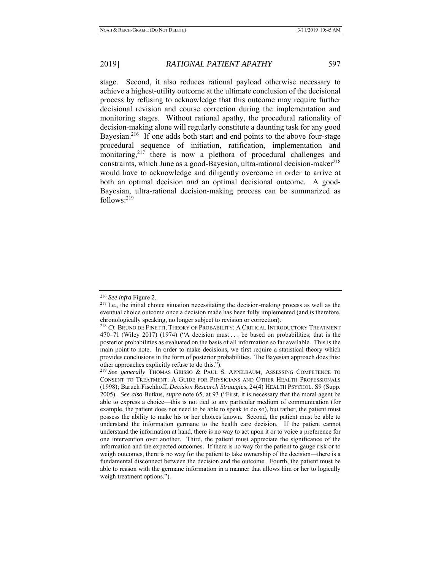stage. Second, it also reduces rational payload otherwise necessary to achieve a highest-utility outcome at the ultimate conclusion of the decisional process by refusing to acknowledge that this outcome may require further decisional revision and course correction during the implementation and monitoring stages. Without rational apathy, the procedural rationality of decision-making alone will regularly constitute a daunting task for any good Bayesian.<sup>216</sup> If one adds both start and end points to the above four-stage procedural sequence of initiation, ratification, implementation and monitoring, $2^{17}$  there is now a plethora of procedural challenges and constraints, which June as a good-Bayesian, ultra-rational decision-maker<sup>218</sup> would have to acknowledge and diligently overcome in order to arrive at both an optimal decision *and* an optimal decisional outcome. A good-Bayesian, ultra-rational decision-making process can be summarized as  $follows: <sup>219</sup>$ 

<sup>&</sup>lt;sup>216</sup> *See infra* Figure 2.<br><sup>217</sup> I.e., the initial choice situation necessitating the decision-making process as well as the eventual choice outcome once a decision made has been fully implemented (and is therefore, chronologically speaking, no longer subject to revision or correction).

<sup>&</sup>lt;sup>218</sup> Cf. BRUNO DE FINETTI, THEORY OF PROBABILITY: A CRITICAL INTRODUCTORY TREATMENT 470–71 (Wiley 2017) (1974) ("A decision must . . . be based on probabilities; that is the posterior probabilities as evaluated on the basis of all information so far available. This is the main point to note. In order to make decisions, we first require a statistical theory which provides conclusions in the form of posterior probabilities. The Bayesian approach does this: other approaches explicitly refuse to do this.").

<sup>&</sup>lt;sup>219</sup> See generally THOMAS GRISSO & PAUL S. APPELBAUM, ASSESSING COMPETENCE TO CONSENT TO TREATMENT: A GUIDE FOR PHYSICIANS AND OTHER HEALTH PROFESSIONALS (1998); Baruch Fischhoff, *Decision Research Strategies*, 24(4) HEALTH PSYCHOL. S9 (Supp. 2005). *See also* Butkus, *supra* note 65, at 93 ("First, it is necessary that the moral agent be able to express a choice—this is not tied to any particular medium of communication (for example, the patient does not need to be able to speak to do so), but rather, the patient must possess the ability to make his or her choices known. Second, the patient must be able to understand the information germane to the health care decision. If the patient cannot understand the information at hand, there is no way to act upon it or to voice a preference for one intervention over another. Third, the patient must appreciate the significance of the information and the expected outcomes. If there is no way for the patient to gauge risk or to weigh outcomes, there is no way for the patient to take ownership of the decision—there is a fundamental disconnect between the decision and the outcome. Fourth, the patient must be able to reason with the germane information in a manner that allows him or her to logically weigh treatment options.").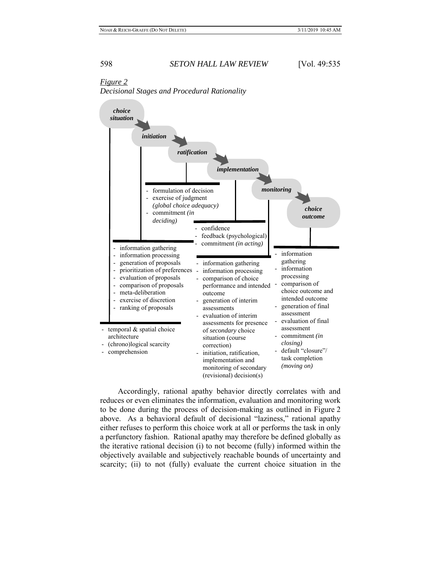# *Figure 2*

*Decisional Stages and Procedural Rationality* 



 Accordingly, rational apathy behavior directly correlates with and reduces or even eliminates the information, evaluation and monitoring work to be done during the process of decision-making as outlined in Figure 2 above. As a behavioral default of decisional "laziness," rational apathy either refuses to perform this choice work at all or performs the task in only a perfunctory fashion. Rational apathy may therefore be defined globally as the iterative rational decision (i) to not become (fully) informed within the objectively available and subjectively reachable bounds of uncertainty and scarcity; (ii) to not (fully) evaluate the current choice situation in the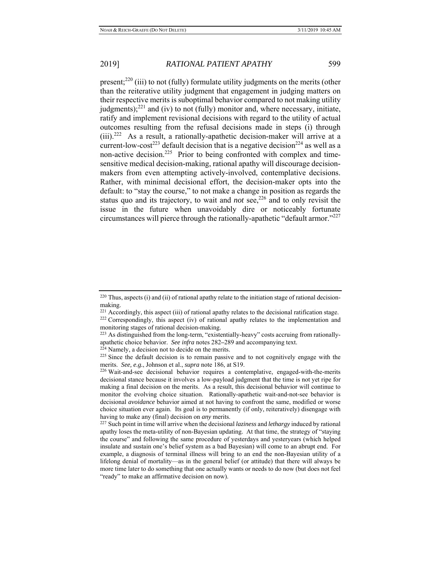present;<sup>220</sup> (iii) to not (fully) formulate utility judgments on the merits (other than the reiterative utility judgment that engagement in judging matters on their respective merits is suboptimal behavior compared to not making utility judgments); $^{221}$  and (iv) to not (fully) monitor and, where necessary, initiate, ratify and implement revisional decisions with regard to the utility of actual outcomes resulting from the refusal decisions made in steps (i) through  $(iii)$ .<sup>222</sup> As a result, a rationally-apathetic decision-maker will arrive at a current-low-cost<sup>223</sup> default decision that is a negative decision<sup>224</sup> as well as a non-active decision.<sup>225</sup> Prior to being confronted with complex and timesensitive medical decision-making, rational apathy will discourage decisionmakers from even attempting actively-involved, contemplative decisions. Rather, with minimal decisional effort, the decision-maker opts into the default: to "stay the course," to not make a change in position as regards the status quo and its trajectory, to wait and *not*  $\sec^{226}$  and to only revisit the issue in the future when unavoidably dire or noticeably fortunate circumstances will pierce through the rationally-apathetic "default armor."227

 $220$  Thus, aspects (i) and (ii) of rational apathy relate to the initiation stage of rational decisionmaking.<br><sup>221</sup> Accordingly, this aspect (iii) of rational apathy relates to the decisional ratification stage.

<sup>&</sup>lt;sup>222</sup> Correspondingly, this aspect (iv) of rational apathy relates to the implementation and

monitoring stages of rational decision-making.<br><sup>223</sup> As distinguished from the long-term, "existentially-heavy" costs accruing from rationallyapathetic choice behavior. See infra notes 282–289 and accompanying text.<br><sup>224</sup> Namely, a decision not to decide on the merits.<br><sup>225</sup> Since the default decision is to remain passive and to not cognitively engage with the

merits. *See, e.g.*, Johnson et al., *supra* note 186, at S19.<br><sup>226</sup> Wait-and-see decisional behavior requires a contemplative, engaged-with-the-merits

decisional stance because it involves a low-payload judgment that the time is not yet ripe for making a final decision on the merits. As a result, this decisional behavior will continue to monitor the evolving choice situation. Rationally-apathetic wait-and-not-see behavior is decisional *avoidance* behavior aimed at not having to confront the same, modified or worse choice situation ever again. Its goal is to permanently (if only, reiteratively) disengage with having to make any (final) decision on *any* merits. 227 Such point in time will arrive when the decisional *laziness* and *lethargy* induced by rational

apathy loses the meta-utility of non-Bayesian updating. At that time, the strategy of "staying the course" and following the same procedure of yesterdays and yesteryears (which helped insulate and sustain one's belief system as a bad Bayesian) will come to an abrupt end. For example, a diagnosis of terminal illness will bring to an end the non-Bayesian utility of a lifelong denial of mortality—as in the general belief (or attitude) that there will always be more time later to do something that one actually wants or needs to do now (but does not feel "ready" to make an affirmative decision on now).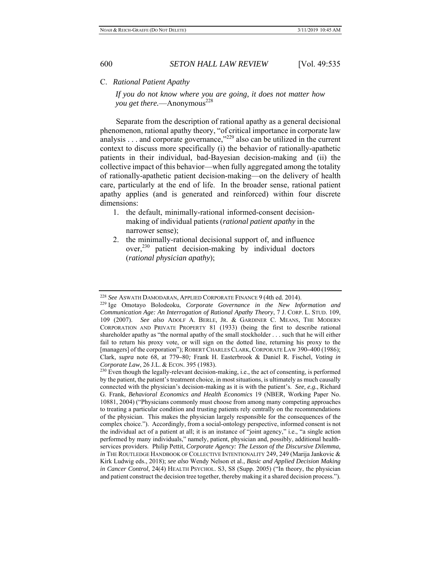### C. *Rational Patient Apathy*

*If you do not know where you are going, it does not matter how you get there.*—Anonymous<sup>228</sup>

 Separate from the description of rational apathy as a general decisional phenomenon, rational apathy theory, "of critical importance in corporate law analysis  $\ldots$  and corporate governance,"<sup>229</sup> also can be utilized in the current context to discuss more specifically (i) the behavior of rationally-apathetic patients in their individual, bad-Bayesian decision-making and (ii) the collective impact of this behavior—when fully aggregated among the totality of rationally-apathetic patient decision-making—on the delivery of health care, particularly at the end of life. In the broader sense, rational patient apathy applies (and is generated and reinforced) within four discrete dimensions:

- 1. the default, minimally-rational informed-consent decisionmaking of individual patients (*rational patient apathy* in the narrower sense);
- 2. the minimally-rational decisional support of, and influence  $over^{230}$  patient decision-making by individual doctors (*rational physician apathy*);

<sup>228</sup> *See* ASWATH DAMODARAN, APPLIED CORPORATE FINANCE 9 (4th ed. 2014). 229 Ige Omotayo Bolodeoku, *Corporate Governance in the New Information and Communication Age: An Interrogation of Rational Apathy Theory*, 7 J. CORP. L. STUD. 109, 109 (2007). *See also* ADOLF A. BERLE, JR. & GARDINER C. MEANS, THE MODERN CORPORATION AND PRIVATE PROPERTY 81 (1933) (being the first to describe rational shareholder apathy as "the normal apathy of the small stockholder . . . such that he will either fail to return his proxy vote, or will sign on the dotted line, returning his proxy to the [managers] of the corporation"); ROBERT CHARLES CLARK,CORPORATE LAW 390**–**400 (1986); Clark, *supra* note 68, at 779**–**80*;* Frank H. Easterbrook & Daniel R. Fischel, *Voting in Corporate Law*, 26 J.L. & ECON. 395 (1983).<br><sup>230</sup> Even though the legally-relevant decision-making, i.e., the act of consenting, is performed

by the patient, the patient's treatment choice, in most situations, is ultimately as much causally connected with the physician's decision-making as it is with the patient's. *See, e.g.*, Richard G. Frank, *Behavioral Economics and Health Economics* 19 (NBER, Working Paper No. 10881, 2004) ("Physicians commonly must choose from among many competing approaches to treating a particular condition and trusting patients rely centrally on the recommendations of the physician. This makes the physician largely responsible for the consequences of the complex choice."). Accordingly, from a social-ontology perspective, informed consent is not the individual act of a patient at all; it is an instance of "joint agency," i.e., "a single action performed by many individuals," namely, patient, physician and, possibly, additional healthservices providers. Philip Pettit, *Corporate Agency: The Lesson of the Discursive Dilemma*, *in* THE ROUTLEDGE HANDBOOK OF COLLECTIVE INTENTIONALITY 249, 249 (Marija Jankovic & Kirk Ludwig eds., 2018); *see also* Wendy Nelson et al., *Basic and Applied Decision Making in Cancer Control*, 24(4) HEALTH PSYCHOL. S3, S8 (Supp. 2005) ("In theory, the physician and patient construct the decision tree together, thereby making it a shared decision process.").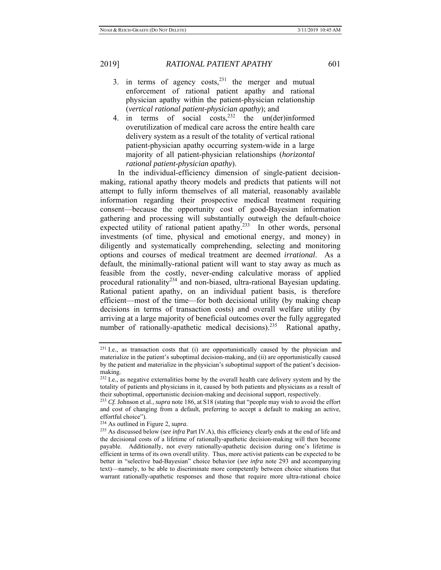- 3. in terms of agency  $costs<sub>1</sub><sup>231</sup>$  the merger and mutual enforcement of rational patient apathy and rational physician apathy within the patient-physician relationship (*vertical rational patient-physician apathy*); and
- 4. in terms of social  $\cos^{232}$  the un(der)informed overutilization of medical care across the entire health care delivery system as a result of the totality of vertical rational patient-physician apathy occurring system-wide in a large majority of all patient-physician relationships (*horizontal rational patient-physician apathy*).

 In the individual-efficiency dimension of single-patient decisionmaking, rational apathy theory models and predicts that patients will not attempt to fully inform themselves of all material, reasonably available information regarding their prospective medical treatment requiring consent—because the opportunity cost of good-Bayesian information gathering and processing will substantially outweigh the default-choice expected utility of rational patient apathy.<sup>233</sup> In other words, personal investments (of time, physical and emotional energy, and money) in diligently and systematically comprehending, selecting and monitoring options and courses of medical treatment are deemed *irrational*. As a default, the minimally-rational patient will want to stay away as much as feasible from the costly, never-ending calculative morass of applied procedural rationality<sup>234</sup> and non-biased, ultra-rational Bayesian updating. Rational patient apathy, on an individual patient basis, is therefore efficient—most of the time—for both decisional utility (by making cheap decisions in terms of transaction costs) and overall welfare utility (by arriving at a large majority of beneficial outcomes over the fully aggregated number of rationally-apathetic medical decisions).<sup>235</sup> Rational apathy,

<sup>&</sup>lt;sup>231</sup> I.e., as transaction costs that (i) are opportunistically caused by the physician and materialize in the patient's suboptimal decision-making, and (ii) are opportunistically caused by the patient and materialize in the physician's suboptimal support of the patient's decisionmaking.

<sup>&</sup>lt;sup>232</sup> I.e., as negative externalities borne by the overall health care delivery system and by the totality of patients and physicians in it, caused by both patients and physicians as a result of their suboptimal, opportunistic decision-making and decisional support, respectively. 233 *Cf.* Johnson et al., *supra* note 186, at S18 (stating that "people may wish to avoid the effort

and cost of changing from a default, preferring to accept a default to making an active, effortful choice").

<sup>&</sup>lt;sup>234</sup> As outlined in Figure 2, *supra*.<br><sup>235</sup> As discussed below (*see infra* Part IV.A), this efficiency clearly ends at the end of life and the decisional costs of a lifetime of rationally-apathetic decision-making will then become payable. Additionally, not every rationally-apathetic decision during one's lifetime is efficient in terms of its own overall utility. Thus, more activist patients can be expected to be better in "selective bad-Bayesian" choice behavior (*see infra* note 293 and accompanying text)—namely, to be able to discriminate more competently between choice situations that warrant rationally-apathetic responses and those that require more ultra-rational choice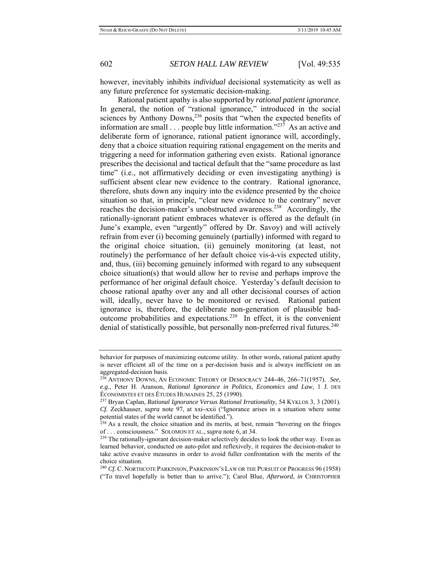however, inevitably inhibits *individual* decisional systematicity as well as any future preference for systematic decision-making.

 Rational patient apathy is also supported by *rational patient ignorance*. In general, the notion of "rational ignorance," introduced in the social sciences by Anthony Downs,<sup>236</sup> posits that "when the expected benefits of information are small  $\ldots$  people buy little information."<sup>237</sup> As an active and deliberate form of ignorance, rational patient ignorance will, accordingly, deny that a choice situation requiring rational engagement on the merits and triggering a need for information gathering even exists. Rational ignorance prescribes the decisional and tactical default that the "same procedure as last time" (i.e., not affirmatively deciding or even investigating anything) is sufficient absent clear new evidence to the contrary. Rational ignorance, therefore, shuts down any inquiry into the evidence presented by the choice situation so that, in principle, "clear new evidence to the contrary" never reaches the decision-maker's unobstructed awareness.<sup>238</sup> Accordingly, the rationally-ignorant patient embraces whatever is offered as the default (in June's example, even "urgently" offered by Dr. Savoy) and will actively refrain from ever (i) becoming genuinely (partially) informed with regard to the original choice situation, (ii) genuinely monitoring (at least, not routinely) the performance of her default choice vis-à-vis expected utility, and, thus, (iii) becoming genuinely informed with regard to any subsequent choice situation(s) that would allow her to revise and perhaps improve the performance of her original default choice. Yesterday's default decision to choose rational apathy over any and all other decisional courses of action will, ideally, never have to be monitored or revised. Rational patient ignorance is, therefore, the deliberate non-generation of plausible badoutcome probabilities and expectations.239 In effect, it is the convenient denial of statistically possible, but personally non-preferred rival futures.<sup>240</sup>

behavior for purposes of maximizing outcome utility. In other words, rational patient apathy is never efficient all of the time on a per-decision basis and is always inefficient on an aggregated-decision basis.

<sup>236</sup> ANTHONY DOWNS, AN ECONOMIC THEORY OF DEMOCRACY 244**–**46, 266**–**71(1957). *See, e.g.*, Peter H. Aranson, *Rational Ignorance in Politics, Economics and Law*, 1 J. DES ÉCONOMISTES ET DES ÉTUDES HUMAINES 25, 25 (1990).

<sup>237</sup> Bryan Caplan, *Rational Ignorance Versus Rational Irrationality*, 54 KYKLOS 3, 3 (2001). *Cf.* Zeckhauser, *supra* note 97, at xxi**–**xxii ("Ignorance arises in a situation where some potential states of the world cannot be identified.").

<sup>&</sup>lt;sup>238</sup> As a result, the choice situation and its merits, at best, remain "hovering on the fringes of ... consciousness." SOLOMON ET AL., *supra* note 6, at 34.

<sup>&</sup>lt;sup>239</sup> The rationally-ignorant decision-maker selectively decides to look the other way. Even as learned behavior, conducted on auto-pilot and reflexively, it requires the decision-maker to take active evasive measures in order to avoid fuller confrontation with the merits of the choice situation.

<sup>&</sup>lt;sup>240</sup> *Cf.* C. NORTHCOTE PARKINSON, PARKINSON'S LAW OR THE PURSUIT OF PROGRESS 96 (1958) ("To travel hopefully is better than to arrive."); Carol Blue, *Afterword*, *in* CHRISTOPHER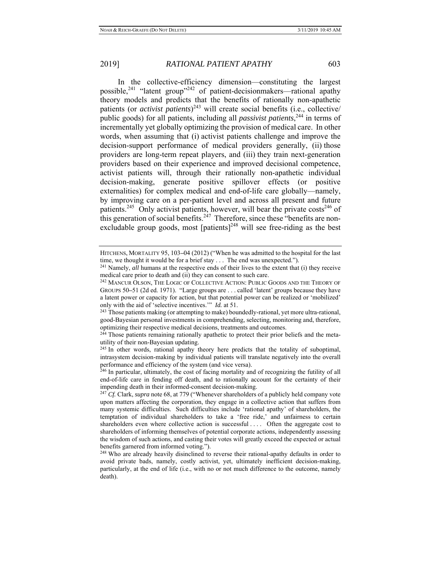In the collective-efficiency dimension—constituting the largest possible,241 "latent group"242 of patient-decisionmakers—rational apathy theory models and predicts that the benefits of rationally non-apathetic patients (or *activist patients*) 243 will create social benefits (i.e., collective/ public goods) for all patients, including all *passivist patients*, 244 in terms of incrementally yet globally optimizing the provision of medical care. In other words, when assuming that (i) activist patients challenge and improve the decision-support performance of medical providers generally, (ii) those providers are long-term repeat players, and (iii) they train next-generation providers based on their experience and improved decisional competence, activist patients will, through their rationally non-apathetic individual decision-making, generate positive spillover effects (or positive externalities) for complex medical and end-of-life care globally—namely, by improving care on a per-patient level and across all present and future patients.<sup>245</sup> Only activist patients, however, will bear the private  $costs<sup>246</sup>$  of this generation of social benefits.<sup>247</sup> Therefore, since these "benefits are nonexcludable group goods, most  $[patients]^{248}$  will see free-riding as the best

HITCHENS, MORTALITY 95, 103**–**04 (2012) ("When he was admitted to the hospital for the last time, we thought it would be for a brief stay . . . The end was unexpected."). 241 Namely, *all* humans at the respective ends of their lives to the extent that (i) they receive

medical care prior to death and (ii) they can consent to such care.<br><sup>242</sup> MANCUR OLSON, THE LOGIC OF COLLECTIVE ACTION: PUBLIC GOODS AND THE THEORY OF

GROUPS 50**–**51 (2d ed. 1971). "Large groups are . . . called 'latent' groups because they have a latent power or capacity for action, but that potential power can be realized or 'mobilized' only with the aid of 'selective incentives.'" *Id.* at 51.<br><sup>243</sup> Those patients making (or attempting to make) boundedly-rational, yet more ultra-rational,

good-Bayesian personal investments in comprehending, selecting, monitoring and, therefore, optimizing their respective medical decisions, treatments and outcomes. 244 Those patients remaining rationally apathetic to protect their prior beliefs and the meta-

utility of their non-Bayesian updating.

 $^{245}$  In other words, rational apathy theory here predicts that the totality of suboptimal, intrasystem decision-making by individual patients will translate negatively into the overall performance and efficiency of the system (and vice versa).

<sup>&</sup>lt;sup>246</sup> In particular, ultimately, the cost of facing mortality and of recognizing the futility of all end-of-life care in fending off death, and to rationally account for the certainty of their impending death in their informed-consent decision-making. 247 *Cf.* Clark, *supra* note 68, at 779 ("Whenever shareholders of a publicly held company vote

upon matters affecting the corporation, they engage in a collective action that suffers from many systemic difficulties. Such difficulties include 'rational apathy' of shareholders, the temptation of individual shareholders to take a 'free ride,' and unfairness to certain shareholders even where collective action is successful .... Often the aggregate cost to shareholders of informing themselves of potential corporate actions, independently assessing the wisdom of such actions, and casting their votes will greatly exceed the expected or actual benefits garnered from informed voting.").

<sup>&</sup>lt;sup>248</sup> Who are already heavily disinclined to reverse their rational-apathy defaults in order to avoid private bads, namely, costly activist, yet, ultimately inefficient decision-making, particularly, at the end of life (i.e., with no or not much difference to the outcome, namely death).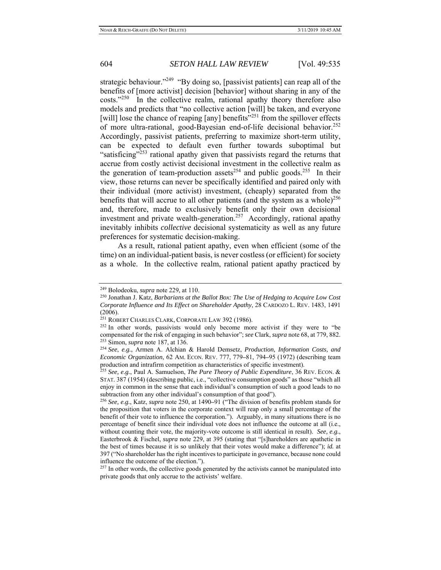strategic behaviour."<sup>249</sup> "By doing so, [passivist patients] can reap all of the benefits of [more activist] decision [behavior] without sharing in any of the  $costs." <sup>250</sup>$  In the collective realm, rational apathy theory therefore also models and predicts that "no collective action [will] be taken, and everyone [will] lose the chance of reaping [any] benefits"<sup>251</sup> from the spillover effects of more ultra-rational, good-Bayesian end-of-life decisional behavior.<sup>252</sup> Accordingly, passivist patients, preferring to maximize short-term utility, can be expected to default even further towards suboptimal but "satisficing"<sup>253</sup> rational apathy given that passivists regard the returns that accrue from costly activist decisional investment in the collective realm as the generation of team-production assets<sup>254</sup> and public goods.<sup>255</sup> In their view, those returns can never be specifically identified and paired only with their individual (more activist) investment, (cheaply) separated from the benefits that will accrue to all other patients (and the system as a whole)<sup>256</sup> and, therefore, made to exclusively benefit only their own decisional investment and private wealth-generation.<sup>257</sup> Accordingly, rational apathy inevitably inhibits *collective* decisional systematicity as well as any future preferences for systematic decision-making.

 As a result, rational patient apathy, even when efficient (some of the time) on an individual-patient basis, is never costless (or efficient) for society as a whole. In the collective realm, rational patient apathy practiced by

<sup>&</sup>lt;sup>249</sup> Bolodeoku, *supra* note 229, at 110.<br><sup>250</sup> Jonathan J. Katz, *Barbarians at the Ballot Box: The Use of Hedging to Acquire Low Cost Corporate Influence and Its Effect on Shareholder Apathy*, 28 CARDOZO L. REV. 1483, 1491 (2006).<br><sup>251</sup> Robert Charles Clark, Corporate Law 392 (1986).

 $252$  In other words, passivists would only become more activist if they were to "be compensated for the risk of engaging in such behavior"; see Clark, supra note 68, at 779, 882.<br><sup>253</sup> Simon, supra note 187, at 136.<br><sup>254</sup> See, e.e., Armen A. Alchian & Harold Demsetz, *Production, Information Costs, and* 

*Economic Organization*, 62 AM. ECON. REV. 777, 779**–**81, 794**–**95 (1972) (describing team production and intrafirm competition as characteristics of specific investment). 255 *See, e.g.*, Paul A. Samuelson, *The Pure Theory of Public Expenditure*, 36 REV. ECON. &

STAT. 387 (1954) (describing public, i.e., "collective consumption goods" as those "which all enjoy in common in the sense that each individual's consumption of such a good leads to no subtraction from any other individual's consumption of that good"). 256 *See, e.g.*, Katz, *supra* note 250, at 1490**–**91 ("The division of benefits problem stands for

the proposition that voters in the corporate context will reap only a small percentage of the benefit of their vote to influence the corporation."). Arguably, in many situations there is no percentage of benefit since their individual vote does not influence the outcome at all (i.e., without counting their vote, the majority-vote outcome is still identical in result). *See, e.g.*, Easterbrook & Fischel, *supra* note 229, at 395 (stating that "[s]hareholders are apathetic in the best of times because it is so unlikely that their votes would make a difference"); *id.* at 397 ("No shareholder has the right incentives to participate in governance, because none could influence the outcome of the election.").

<sup>&</sup>lt;sup>257</sup> In other words, the collective goods generated by the activists cannot be manipulated into private goods that only accrue to the activists' welfare.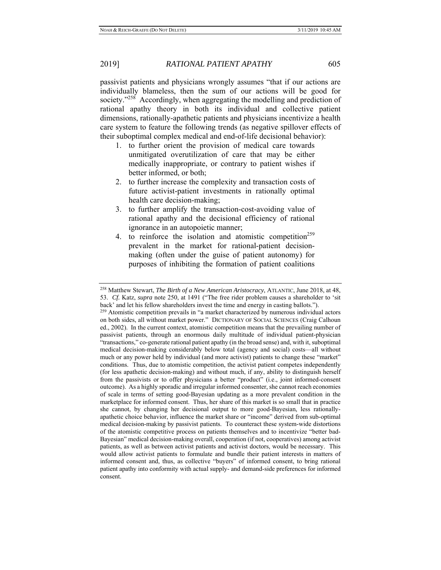passivist patients and physicians wrongly assumes "that if our actions are individually blameless, then the sum of our actions will be good for society."<sup>258</sup> Accordingly, when aggregating the modelling and prediction of rational apathy theory in both its individual and collective patient dimensions, rationally-apathetic patients and physicians incentivize a health care system to feature the following trends (as negative spillover effects of their suboptimal complex medical and end-of-life decisional behavior):

- 1. to further orient the provision of medical care towards unmitigated overutilization of care that may be either medically inappropriate, or contrary to patient wishes if better informed, or both;
- 2. to further increase the complexity and transaction costs of future activist-patient investments in rationally optimal health care decision-making;
- 3. to further amplify the transaction-cost-avoiding value of rational apathy and the decisional efficiency of rational ignorance in an autopoietic manner;
- 4. to reinforce the isolation and atomistic competition<sup>259</sup> prevalent in the market for rational-patient decisionmaking (often under the guise of patient autonomy) for purposes of inhibiting the formation of patient coalitions

<sup>258</sup> Matthew Stewart, *The Birth of a New American Aristocracy*, ATLANTIC, June 2018, at 48, 53. *Cf.* Katz, *supra* note 250, at 1491 ("The free rider problem causes a shareholder to 'sit back' and let his fellow shareholders invest the time and energy in casting ballots."). 259 Atomistic competition prevails in "a market characterized by numerous individual actors

on both sides, all without market power." DICTIONARY OF SOCIAL SCIENCES (Craig Calhoun ed., 2002). In the current context, atomistic competition means that the prevailing number of passivist patients, through an enormous daily multitude of individual patient-physician "transactions," co-generate rational patient apathy (in the broad sense) and, with it, suboptimal medical decision-making considerably below total (agency and social) costs—all without much or any power held by individual (and more activist) patients to change these "market" conditions. Thus, due to atomistic competition, the activist patient competes independently (for less apathetic decision-making) and without much, if any, ability to distinguish herself from the passivists or to offer physicians a better "product" (i.e., joint informed-consent outcome). As a highly sporadic and irregular informed consenter, she cannot reach economies of scale in terms of setting good-Bayesian updating as a more prevalent condition in the marketplace for informed consent. Thus, her share of this market is so small that in practice she cannot, by changing her decisional output to more good-Bayesian, less rationallyapathetic choice behavior, influence the market share or "income" derived from sub-optimal medical decision-making by passivist patients. To counteract these system-wide distortions of the atomistic competitive process on patients themselves and to incentivize "better bad-Bayesian" medical decision-making overall, cooperation (if not, cooperatives) among activist patients, as well as between activist patients and activist doctors, would be necessary. This would allow activist patients to formulate and bundle their patient interests in matters of informed consent and, thus, as collective "buyers" of informed consent, to bring rational patient apathy into conformity with actual supply- and demand-side preferences for informed consent.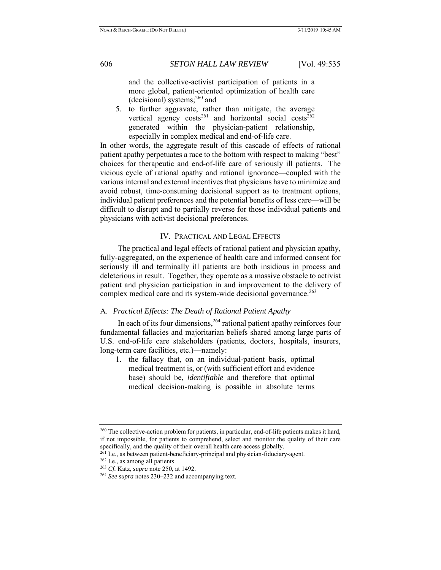and the collective-activist participation of patients in a more global, patient-oriented optimization of health care (decisional) systems; $^{260}$  and

5. to further aggravate, rather than mitigate, the average vertical agency  $costs^{261}$  and horizontal social costs<sup>262</sup> generated within the physician-patient relationship, especially in complex medical and end-of-life care.

In other words, the aggregate result of this cascade of effects of rational patient apathy perpetuates a race to the bottom with respect to making "best" choices for therapeutic and end-of-life care of seriously ill patients. The vicious cycle of rational apathy and rational ignorance—coupled with the various internal and external incentives that physicians have to minimize and avoid robust, time-consuming decisional support as to treatment options, individual patient preferences and the potential benefits of less care—will be difficult to disrupt and to partially reverse for those individual patients and physicians with activist decisional preferences.

### IV. PRACTICAL AND LEGAL EFFECTS

 The practical and legal effects of rational patient and physician apathy, fully-aggregated, on the experience of health care and informed consent for seriously ill and terminally ill patients are both insidious in process and deleterious in result. Together, they operate as a massive obstacle to activist patient and physician participation in and improvement to the delivery of complex medical care and its system-wide decisional governance.<sup>263</sup>

## A. *Practical Effects: The Death of Rational Patient Apathy*

In each of its four dimensions,  $264$  rational patient apathy reinforces four fundamental fallacies and majoritarian beliefs shared among large parts of U.S. end-of-life care stakeholders (patients, doctors, hospitals, insurers, long-term care facilities, etc.)—namely:

1. the fallacy that, on an individual-patient basis, optimal medical treatment is, or (with sufficient effort and evidence base) should be, *identifiable* and therefore that optimal medical decision-making is possible in absolute terms

<sup>&</sup>lt;sup>260</sup> The collective-action problem for patients, in particular, end-of-life patients makes it hard, if not impossible, for patients to comprehend, select and monitor the quality of their care specifically, and the quality of their overall health care access globally.<br><sup>261</sup> I.e., as between patient-beneficiary-principal and physician-fiduciary-agent.<br><sup>262</sup> I.e., as among all patients.<br><sup>263</sup> Cf. Katz, *supra* no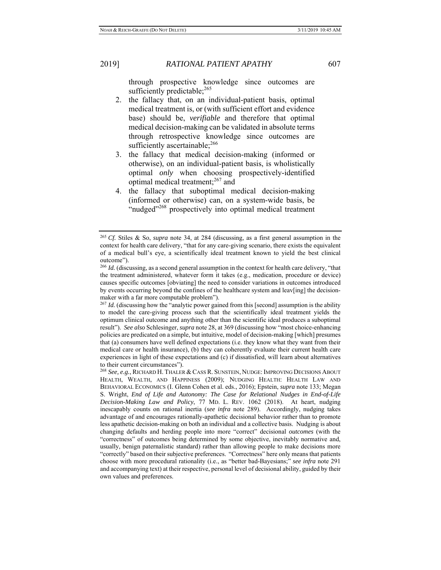through prospective knowledge since outcomes are sufficiently predictable;<sup>265</sup>

- 2. the fallacy that, on an individual-patient basis, optimal medical treatment is, or (with sufficient effort and evidence base) should be, *verifiable* and therefore that optimal medical decision-making can be validated in absolute terms through retrospective knowledge since outcomes are sufficiently ascertainable; $^{266}$
- 3. the fallacy that medical decision-making (informed or otherwise), on an individual-patient basis, is wholistically optimal *only* when choosing prospectively-identified optimal medical treatment;<sup>267</sup> and
- 4. the fallacy that suboptimal medical decision-making (informed or otherwise) can, on a system-wide basis, be "nudged"<sup>268</sup> prospectively into optimal medical treatment

<sup>265</sup> *Cf.* Stiles & So, *supra* note 34, at 284 (discussing, as a first general assumption in the context for health care delivery, "that for any care-giving scenario, there exists the equivalent of a medical bull's eye, a scientifically ideal treatment known to yield the best clinical outcome").

<sup>&</sup>lt;sup>266</sup> *Id.* (discussing, as a second general assumption in the context for health care delivery, "that the treatment administered, whatever form it takes (e.g., medication, procedure or device) causes specific outcomes [obviating] the need to consider variations in outcomes introduced by events occurring beyond the confines of the healthcare system and leav[ing] the decisionmaker with a far more computable problem").

<sup>&</sup>lt;sup>267</sup> *Id.* (discussing how the "analytic power gained from this [second] assumption is the ability to model the care-giving process such that the scientifically ideal treatment yields the optimum clinical outcome and anything other than the scientific ideal produces a suboptimal result"). *See also* Schlesinger, *supra* note 28, at 369 (discussing how "most choice-enhancing policies are predicated on a simple, but intuitive, model of decision-making [which] presumes that (a) consumers have well defined expectations (i.e. they know what they want from their medical care or health insurance), (b) they can coherently evaluate their current health care experiences in light of these expectations and (c) if dissatisfied, will learn about alternatives to their current circumstances").

<sup>268</sup> *See, e.g.*, RICHARD H. THALER & CASS R. SUNSTEIN, NUDGE: IMPROVING DECISIONS ABOUT HEALTH, WEALTH, AND HAPPINESS (2009); NUDGING HEALTH: HEALTH LAW AND BEHAVIORAL ECONOMICS (I. Glenn Cohen et al. eds., 2016); Epstein, *supra* note 133; Megan S. Wright, *End of Life and Autonomy: The Case for Relational Nudges in End-of-Life Decision-Making Law and Policy*, 77 MD. L. REV. 1062 (2018). At heart, nudging inescapably counts on rational inertia (*see infra* note 289). Accordingly, nudging takes advantage of and encourages rationally-apathetic decisional behavior rather than to promote less apathetic decision-making on both an individual and a collective basis. Nudging is about changing defaults and herding people into more "correct" decisional *outcomes* (with the "correctness" of outcomes being determined by some objective, inevitably normative and, usually, benign paternalistic standard) rather than allowing people to make decisions more "correctly" based on their subjective preferences. "Correctness" here only means that patients choose with more procedural rationality (i.e., as "better bad-Bayesians;" *see infra* note 291 and accompanying text) at their respective, personal level of decisional ability, guided by their own values and preferences.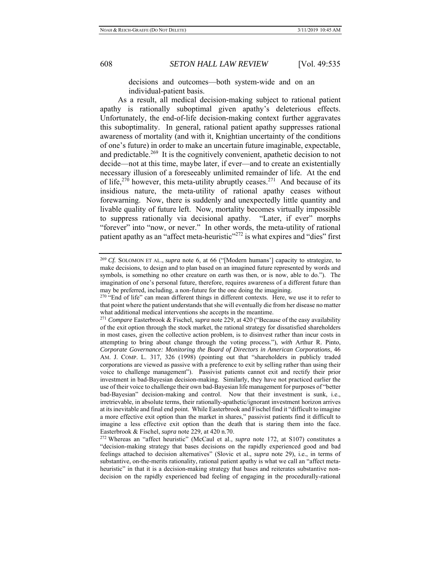decisions and outcomes—both system-wide and on an individual-patient basis.

 As a result, all medical decision-making subject to rational patient apathy is rationally suboptimal given apathy's deleterious effects. Unfortunately, the end-of-life decision-making context further aggravates this suboptimality. In general, rational patient apathy suppresses rational awareness of mortality (and with it, Knightian uncertainty of the conditions of one's future) in order to make an uncertain future imaginable, expectable, and predictable.<sup>269</sup> It is the cognitively convenient, apathetic decision to not decide—not at this time, maybe later, if ever—and to create an existentially necessary illusion of a foreseeably unlimited remainder of life. At the end of life,<sup>270</sup> however, this meta-utility abruptly ceases.<sup>271</sup> And because of its insidious nature, the meta-utility of rational apathy ceases without forewarning. Now, there is suddenly and unexpectedly little quantity and livable quality of future left. Now, mortality becomes virtually impossible to suppress rationally via decisional apathy. "Later, if ever" morphs "forever" into "now, or never." In other words, the meta-utility of rational patient apathy as an "affect meta-heuristic"<sup>272</sup> is what expires and "dies" first

<sup>269</sup> *Cf.* SOLOMON ET AL., *supra* note 6, at 66 ("[Modern humans'] capacity to strategize, to make decisions, to design and to plan based on an imagined future represented by words and symbols, is something no other creature on earth was then, or is now, able to do."). The imagination of one's personal future, therefore, requires awareness of a different future than may be preferred, including, a non-future for the one doing the imagining.<br><sup>270</sup> "End of life" can mean different things in different contexts. Here, we use it to refer to

that point where the patient understands that she will eventually die from her disease no matter what additional medical interventions she accepts in the meantime. 271 *Compare* Easterbrook & Fischel, *supra* note 229, at 420 ("Because of the easy availability

of the exit option through the stock market, the rational strategy for dissatisfied shareholders in most cases, given the collective action problem, is to disinvest rather than incur costs in attempting to bring about change through the voting process."), *with* Arthur R. Pinto, *Corporate Governance: Monitoring the Board of Directors in American Corporations*, 46 AM. J. COMP. L. 317, 326 (1998) (pointing out that "shareholders in publicly traded corporations are viewed as passive with a preference to exit by selling rather than using their voice to challenge management"). Passivist patients cannot exit and rectify their prior investment in bad-Bayesian decision-making. Similarly, they have not practiced earlier the use of their voice to challenge their own bad-Bayesian life management for purposes of "better bad-Bayesian" decision-making and control. Now that their investment is sunk, i.e., irretrievable, in absolute terms, their rationally-apathetic/ignorant investment horizon arrives at its inevitable and final end point. While Easterbrook and Fischel find it "difficult to imagine a more effective exit option than the market in shares," passivist patients find it difficult to imagine a less effective exit option than the death that is staring them into the face.

Easterbrook & Fischel, *supra* note 229, at 420 n.70. 272 Whereas an "affect heuristic" (McCaul et al., *supra* note 172, at S107) constitutes a "decision-making strategy that bases decisions on the rapidly experienced good and bad feelings attached to decision alternatives" (Slovic et al., *supra* note 29), i.e., in terms of substantive, on-the-merits rationality, rational patient apathy is what we call an "affect metaheuristic" in that it is a decision-making strategy that bases and reiterates substantive nondecision on the rapidly experienced bad feeling of engaging in the procedurally-rational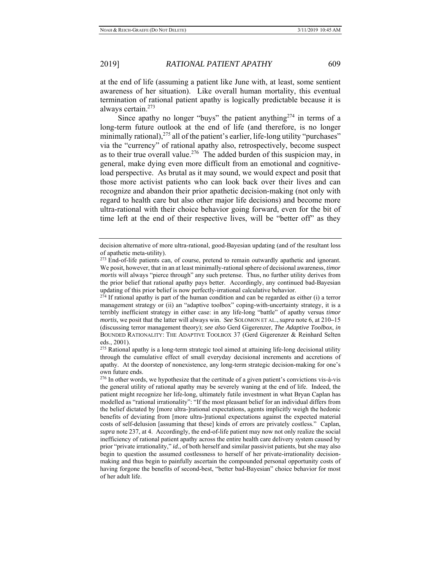at the end of life (assuming a patient like June with, at least, some sentient awareness of her situation). Like overall human mortality, this eventual termination of rational patient apathy is logically predictable because it is always certain.273

Since apathy no longer "buys" the patient anything<sup>274</sup> in terms of a long-term future outlook at the end of life (and therefore, is no longer minimally rational),<sup>275</sup> all of the patient's earlier, life-long utility "purchases" via the "currency" of rational apathy also, retrospectively, become suspect as to their true overall value.<sup>276</sup> The added burden of this suspicion may, in general, make dying even more difficult from an emotional and cognitiveload perspective. As brutal as it may sound, we would expect and posit that those more activist patients who can look back over their lives and can recognize and abandon their prior apathetic decision-making (not only with regard to health care but also other major life decisions) and become more ultra-rational with their choice behavior going forward, even for the bit of time left at the end of their respective lives, will be "better off" as they

management strategy or (ii) an "adaptive toolbox" coping-with-uncertainty strategy, it is a terribly inefficient strategy in either case: in any life-long "battle" of apathy versus *timor mortis*, we posit that the latter will always win. *See* SOLOMON ET AL.,*supra* note 6, at 210**–**15 (discussing terror management theory); *see also* Gerd Gigerenzer, *The Adaptive Toolbox*, *in* BOUNDED RATIONALITY: THE ADAPTIVE TOOLBOX 37 (Gerd Gigerenzer & Reinhard Selten eds., 2001).

decision alternative of more ultra-rational, good-Bayesian updating (and of the resultant loss of apathetic meta-utility).

 $^{273}$  End-of-life patients can, of course, pretend to remain outwardly apathetic and ignorant. We posit, however, that in an at least minimally-rational sphere of decisional awareness, *timor mortis* will always "pierce through" any such pretense. Thus, no further utility derives from the prior belief that rational apathy pays better. Accordingly, any continued bad-Bayesian updating of this prior belief is now perfectly-irrational calculative behavior.<br><sup>274</sup> If rational apathy is part of the human condition and can be regarded as either (i) a terror

 $275$  Rational apathy is a long-term strategic tool aimed at attaining life-long decisional utility through the cumulative effect of small everyday decisional increments and accretions of apathy. At the doorstep of nonexistence, any long-term strategic decision-making for one's own future ends.

<sup>&</sup>lt;sup>276</sup> In other words, we hypothesize that the certitude of a given patient's convictions vis-à-vis the general utility of rational apathy may be severely waning at the end of life. Indeed, the patient might recognize her life-long, ultimately futile investment in what Bryan Caplan has modelled as "rational irrationality": "If the most pleasant belief for an individual differs from the belief dictated by [more ultra-]rational expectations, agents implicitly weigh the hedonic benefits of deviating from [more ultra-]rational expectations against the expected material costs of self-delusion [assuming that these] kinds of errors are privately costless." Caplan, *supra* note 237, at 4. Accordingly, the end-of-life patient may now not only realize the social inefficiency of rational patient apathy across the entire health care delivery system caused by prior "private irrationality," *id.*, of both herself and similar passivist patients, but she may also begin to question the assumed costlessness to herself of her private-irrationality decisionmaking and thus begin to painfully ascertain the compounded personal opportunity costs of having forgone the benefits of second-best, "better bad-Bayesian" choice behavior for most of her adult life.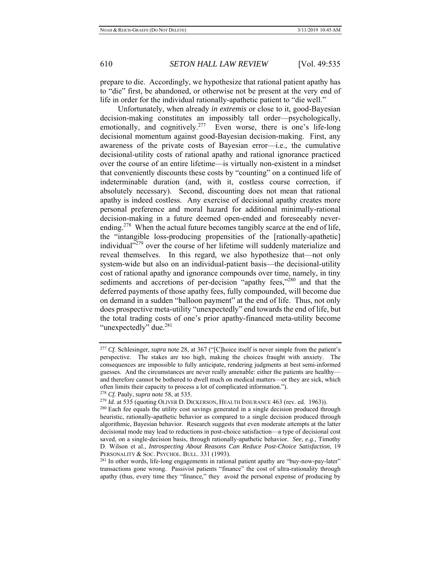prepare to die. Accordingly, we hypothesize that rational patient apathy has to "die" first, be abandoned, or otherwise not be present at the very end of life in order for the individual rationally-apathetic patient to "die well."

 Unfortunately, when already *in extremis* or close to it, good-Bayesian decision-making constitutes an impossibly tall order—psychologically, emotionally, and cognitively.<sup>277</sup> Even worse, there is one's life-long decisional momentum against good-Bayesian decision-making. First, any awareness of the private costs of Bayesian error—i.e., the cumulative decisional-utility costs of rational apathy and rational ignorance practiced over the course of an entire lifetime—is virtually non-existent in a mindset that conveniently discounts these costs by "counting" on a continued life of indeterminable duration (and, with it, costless course correction, if absolutely necessary). Second, discounting does not mean that rational apathy is indeed costless. Any exercise of decisional apathy creates more personal preference and moral hazard for additional minimally-rational decision-making in a future deemed open-ended and foreseeably neverending.<sup>278</sup> When the actual future becomes tangibly scarce at the end of life, the "intangible loss-producing propensities of the [rationally-apathetic] individual"<sup>279</sup> over the course of her lifetime will suddenly materialize and reveal themselves. In this regard, we also hypothesize that—not only system-wide but also on an individual-patient basis—the decisional-utility cost of rational apathy and ignorance compounds over time, namely, in tiny sediments and accretions of per-decision "apathy fees,"<sup>280</sup> and that the deferred payments of those apathy fees, fully compounded, will become due on demand in a sudden "balloon payment" at the end of life. Thus, not only does prospective meta-utility "unexpectedly" end towards the end of life, but the total trading costs of one's prior apathy-financed meta-utility become "unexpectedly" due.<sup>281</sup>

<sup>277</sup> *Cf.* Schlesinger, *supra* note 28, at 367 ("[C]hoice itself is never simple from the patient's perspective. The stakes are too high, making the choices fraught with anxiety. The consequences are impossible to fully anticipate, rendering judgments at best semi-informed guesses. And the circumstances are never really amenable: either the patients are healthy and therefore cannot be bothered to dwell much on medical matters—or they are sick, which often limits their capacity to process a lot of complicated information.").<br><sup>278</sup> *Cf.* Pauly, *supra* note 58, at 535.<br><sup>279</sup> *Id.* at 535 (quoting OLIVER D. DICKERSON, HEALTH INSURANCE 463 (rev. ed. 1963)).<br><sup>280</sup> Each fe

heuristic, rationally-apathetic behavior as compared to a single decision produced through algorithmic, Bayesian behavior. Research suggests that even moderate attempts at the latter decisional mode may lead to reductions in post-choice satisfaction—a type of decisional cost saved, on a single-decision basis, through rationally-apathetic behavior. *See, e.g.*, Timothy D. Wilson et al., *Introspecting About Reasons Can Reduce Post-Choice Satisfaction*, 19 PERSONALITY & SOC. PSYCHOL. BULL. 331 (1993).<br><sup>281</sup> In other words, life-long engagements in rational patient apathy are "buy-now-pay-later"

transactions gone wrong. Passivist patients "finance" the cost of ultra-rationality through apathy (thus, every time they "finance," they avoid the personal expense of producing by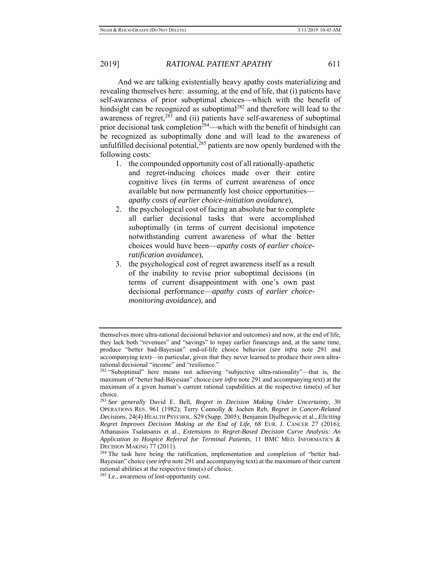And we are talking existentially heavy apathy costs materializing and revealing themselves here: assuming, at the end of life, that (i) patients have self-awareness of prior suboptimal choices—which with the benefit of hindsight can be recognized as suboptimal $282$  and therefore will lead to the awareness of regret, $^{283}$  and (ii) patients have self-awareness of suboptimal prior decisional task completion<sup>284</sup>—which with the benefit of hindsight can be recognized as suboptimally done and will lead to the awareness of unfulfilled decisional potential,  $285$  patients are now openly burdened with the following costs:

- 1. the compounded opportunity cost of all rationally-apathetic and regret-inducing choices made over their entire cognitive lives (in terms of current awareness of once available but now permanently lost choice opportunities *apathy costs of earlier choice-initiation avoidance*),
- 2. the psychological cost of facing an absolute bar to complete all earlier decisional tasks that were accomplished suboptimally (in terms of current decisional impotence notwithstanding current awareness of what the better choices would have been—*apathy costs of earlier choiceratification avoidance*),
- 3. the psychological cost of regret awareness itself as a result of the inability to revise prior suboptimal decisions (in terms of current disappointment with one's own past decisional performance—*apathy costs of earlier choicemonitoring avoidance*), and

themselves more ultra-rational decisional behavior and outcomes) and now, at the end of life, they lack both "revenues" and "savings" to repay earlier financings and, at the same time, produce "better bad-Bayesian" end-of-life choice behavior (*see infra* note 291 and accompanying text)—in particular, given that they never learned to produce their own ultrarational decisional "income" and "resilience."

<sup>&</sup>lt;sup>282</sup> "Suboptimal" here means not achieving "subjective ultra-rationality"—that is, the maximum of "better bad-Bayesian" choice (*see infra* note 291 and accompanying text) at the maximum of a given human's current rational capabilities at the respective time(s) of her choice.

<sup>283</sup> *See generally* David E. Bell, *Regret in Decision Making Under Uncertainty*, 30 OPERATIONS RES. 961 (1982); Terry Connolly & Jochen Reb, *Regret in Cancer-Related Decisions*, 24(4) HEALTH PSYCHOL. S29 (Supp. 2005); Benjamin Djulbegovic et al., *Eliciting Regret Improves Decision Making at the End of Life*, 68 EUR. J. CANCER 27 (2016); Athanasios Tsalatsanis et al., *Extensions to Regret-Based Decision Curve Analysis: An Application to Hospice Referral for Terminal Patients*, 11 BMC MED. INFORMATICS & DECISION MAKING 77 (2011).<br><sup>284</sup> The task here being the ratification, implementation and completion of "better bad-

Bayesian" choice (*see infra* note 291 and accompanying text) at the maximum of their current rational abilities at the respective time(s) of choice.

<sup>285</sup> I.e., awareness of lost-opportunity cost.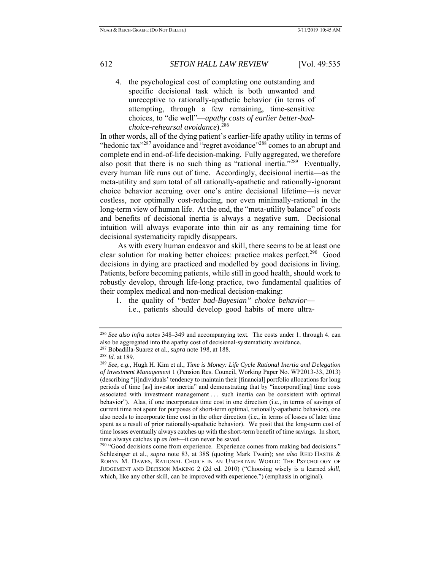4. the psychological cost of completing one outstanding and specific decisional task which is both unwanted and unreceptive to rationally-apathetic behavior (in terms of attempting, through a few remaining, time-sensitive choices, to "die well"—*apathy costs of earlier better-badchoice-rehearsal avoidance*).<sup>286</sup>

In other words, all of the dying patient's earlier-life apathy utility in terms of "hedonic tax"<sup>287</sup> avoidance and "regret avoidance"<sup>288</sup> comes to an abrupt and complete end in end-of-life decision-making. Fully aggregated, we therefore also posit that there is no such thing as "rational inertia."<sup>289</sup> Eventually, every human life runs out of time. Accordingly, decisional inertia—as the meta-utility and sum total of all rationally-apathetic and rationally-ignorant choice behavior accruing over one's entire decisional lifetime—is never costless, nor optimally cost-reducing, nor even minimally-rational in the long-term view of human life. At the end, the "meta-utility balance" of costs and benefits of decisional inertia is always a negative sum. Decisional intuition will always evaporate into thin air as any remaining time for decisional systematicity rapidly disappears.

 As with every human endeavor and skill, there seems to be at least one clear solution for making better choices: practice makes perfect.<sup>290</sup> Good decisions in dying are practiced and modelled by good decisions in living. Patients, before becoming patients, while still in good health, should work to robustly develop, through life-long practice, two fundamental qualities of their complex medical and non-medical decision-making:

1. the quality of *"better bad-Bayesian" choice behavior* i.e., patients should develop good habits of more ultra-

<sup>&</sup>lt;sup>286</sup> *See also infra* notes 348–349 and accompanying text. The costs under 1. through 4. can also be aggregated into the apathy cost of decisional-systematicity avoidance.

<sup>&</sup>lt;sup>287</sup> Bobadilla-Suarez et al., *supra* note 198, at 188.<br><sup>288</sup> Id. at 189.<br><sup>289</sup> See, e.g., Hugh H. Kim et al., *Time is Money: Life Cycle Rational Inertia and Delegation of Investment Management* 1 (Pension Res. Council, Working Paper No. WP2013-33, 2013) (describing "[i]ndividuals' tendency to maintain their [financial] portfolio allocations for long periods of time [as] investor inertia" and demonstrating that by "incorporat[ing] time costs associated with investment management . . . such inertia can be consistent with optimal behavior"). Alas, if one incorporates time cost in one direction (i.e., in terms of savings of current time not spent for purposes of short-term optimal, rationally-apathetic behavior), one also needs to incorporate time cost in the other direction (i.e., in terms of losses of later time spent as a result of prior rationally-apathetic behavior). We posit that the long-term cost of time losses eventually always catches up with the short-term benefit of time savings. In short, time always catches up *as lost*—it can never be saved.<br><sup>290</sup> "Good decisions come from experience. Experience comes from making bad decisions."

Schlesinger et al., *supra* note 83, at 38S (quoting Mark Twain); *see also* REID HASTIE & ROBYN M. DAWES, RATIONAL CHOICE IN AN UNCERTAIN WORLD: THE PSYCHOLOGY OF JUDGEMENT AND DECISION MAKING 2 (2d ed. 2010) ("Choosing wisely is a learned *skill*, which, like any other skill, can be improved with experience.") (emphasis in original).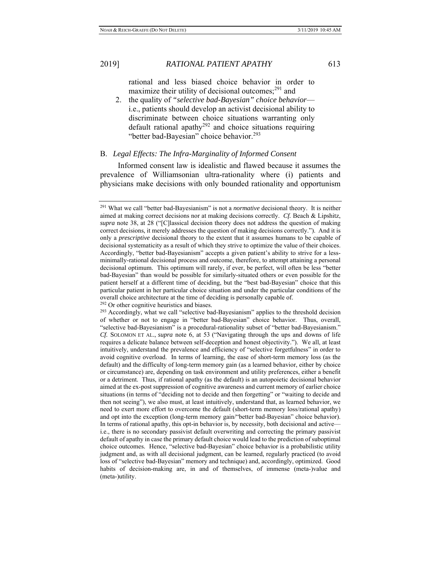rational and less biased choice behavior in order to maximize their utility of decisional outcomes; $^{291}$  and

2. the quality of *"selective bad-Bayesian" choice behavior* i.e., patients should develop an activist decisional ability to discriminate between choice situations warranting only default rational apathy<sup>292</sup> and choice situations requiring "better bad-Bayesian" choice behavior.<sup>293</sup>

## B. *Legal Effects: The Infra-Marginality of Informed Consent*

 Informed consent law is idealistic and flawed because it assumes the prevalence of Williamsonian ultra-rationality where (i) patients and physicians make decisions with only bounded rationality and opportunism

<sup>291</sup> What we call "better bad-Bayesianism" is not a *normative* decisional theory. It is neither aimed at making correct decisions nor at making decisions correctly. *Cf.* Beach & Lipshitz, *supra* note 38, at 28 ("[C]lassical decision theory does not address the question of making correct decisions, it merely addresses the question of making decisions correctly."). And it is only a *prescriptive* decisional theory to the extent that it assumes humans to be capable of decisional systematicity as a result of which they strive to optimize the value of their choices. Accordingly, "better bad-Bayesianism" accepts a given patient's ability to strive for a lessminimally-rational decisional process and outcome, therefore, to attempt attaining a personal decisional optimum. This optimum will rarely, if ever, be perfect, will often be less "better bad-Bayesian" than would be possible for similarly-situated others or even possible for the patient herself at a different time of deciding, but the "best bad-Bayesian" choice that this particular patient in her particular choice situation and under the particular conditions of the overall choice architecture at the time of deciding is personally capable of.<br><sup>292</sup> Or other cognitive heuristics and biases.<br><sup>293</sup> Accordingly, what we call "selective bad-Bayesianism" applies to the threshold decision

of whether or not to engage in "better bad-Bayesian" choice behavior. Thus, overall, "selective bad-Bayesianism" is a procedural-rationality subset of "better bad-Bayesianism." *Cf.* SOLOMON ET AL., *supra* note 6, at 53 ("Navigating through the ups and downs of life requires a delicate balance between self-deception and honest objectivity."). We all, at least intuitively, understand the prevalence and efficiency of "selective forgetfulness" in order to avoid cognitive overload. In terms of learning, the ease of short-term memory loss (as the default) and the difficulty of long-term memory gain (as a learned behavior, either by choice or circumstance) are, depending on task environment and utility preferences, either a benefit or a detriment. Thus, if rational apathy (as the default) is an autopoietic decisional behavior aimed at the ex-post suppression of cognitive awareness and current memory of earlier choice situations (in terms of "deciding not to decide and then forgetting" or "waiting to decide and then not seeing"), we also must, at least intuitively, understand that, as learned behavior, we need to exert more effort to overcome the default (short-term memory loss/rational apathy) and opt into the exception (long-term memory gain/"better bad-Bayesian" choice behavior). In terms of rational apathy, this opt-in behavior is, by necessity, both decisional and active i.e., there is no secondary passivist default overwriting and correcting the primary passivist default of apathy in case the primary default choice would lead to the prediction of suboptimal choice outcomes. Hence, "selective bad-Bayesian" choice behavior is a probabilistic utility judgment and, as with all decisional judgment, can be learned, regularly practiced (to avoid loss of "selective bad-Bayesian" memory and technique) and, accordingly, optimized. Good habits of decision-making are, in and of themselves, of immense (meta-)value and (meta-)utility.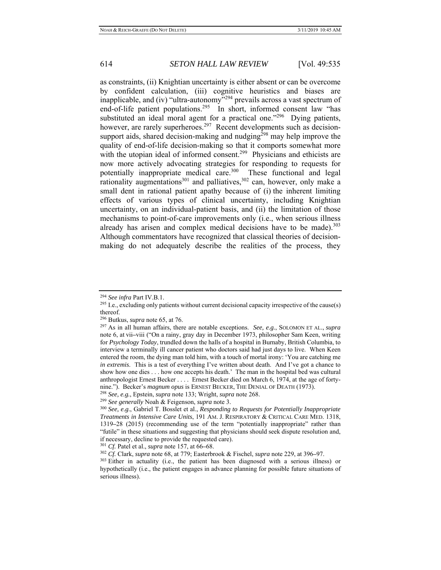as constraints, (ii) Knightian uncertainty is either absent or can be overcome by confident calculation, (iii) cognitive heuristics and biases are inapplicable, and (iv) "ultra-autonomy"<sup>294</sup> prevails across a vast spectrum of end-of-life patient populations.<sup>295</sup> In short, informed consent law "has substituted an ideal moral agent for a practical one." $296$  Dying patients, however, are rarely superheroes.<sup>297</sup> Recent developments such as decisionsupport aids, shared decision-making and nudging<sup>298</sup> may help improve the quality of end-of-life decision-making so that it comports somewhat more with the utopian ideal of informed consent.<sup>299</sup> Physicians and ethicists are now more actively advocating strategies for responding to requests for potentially inappropriate medical care.<sup>300</sup> These functional and legal rationality augmentations<sup>301</sup> and palliatives,<sup>302</sup> can, however, only make a small dent in rational patient apathy because of (i) the inherent limiting effects of various types of clinical uncertainty, including Knightian uncertainty, on an individual-patient basis, and (ii) the limitation of those mechanisms to point-of-care improvements only (i.e., when serious illness already has arisen and complex medical decisions have to be made). $303$ Although commentators have recognized that classical theories of decisionmaking do not adequately describe the realities of the process, they

<sup>&</sup>lt;sup>294</sup> *See infra* Part IV.B.1.<br><sup>295</sup> I.e., excluding only patients without current decisional capacity irrespective of the cause(s) thereof.<br><sup>296</sup> Butkus, *supra* note 65, at 76.

<sup>&</sup>lt;sup>297</sup> As in all human affairs, there are notable exceptions. *See, e.g.*, SOLOMON ET AL., *supra* note 6, at vii**–**viii ("On a rainy, gray day in December 1973, philosopher Sam Keen, writing for *Psychology Today*, trundled down the halls of a hospital in Burnaby, British Columbia, to interview a terminally ill cancer patient who doctors said had just days to live. When Keen entered the room, the dying man told him, with a touch of mortal irony: 'You are catching me *in extremis*. This is a test of everything I've written about death. And I've got a chance to show how one dies . . . how one accepts his death.' The man in the hospital bed was cultural anthropologist Ernest Becker . . . . Ernest Becker died on March 6, 1974, at the age of fortynine."). Becker's *magnum opus* is ERNEST BECKER, THE DENIAL OF DEATH (1973).<br><sup>298</sup> See, e.g., Epstein, *supra* note 133; Wright, *supra* note 268.<br><sup>299</sup> See generally Noah & Feigenson, *supra* note 3.<br><sup>300</sup> See, e.g., Gab

*Treatments in Intensive Care Units*, 191 AM. J. RESPIRATORY & CRITICAL CARE MED. 1318, 1319**–**28 (2015) (recommending use of the term "potentially inappropriate" rather than "futile" in these situations and suggesting that physicians should seek dispute resolution and, if necessary, decline to provide the requested care).

<sup>&</sup>lt;sup>301</sup> *Cf.* Patel et al., *supra* note 157, at 66–68.<br><sup>302</sup> *Cf.* Clark, *supra* note 68, at 779; Easterbrook & Fischel, *supra* note 229, at 396–97.<br><sup>303</sup> Either in actuality (i.e., the patient has been diagnosed with a hypothetically (i.e., the patient engages in advance planning for possible future situations of serious illness).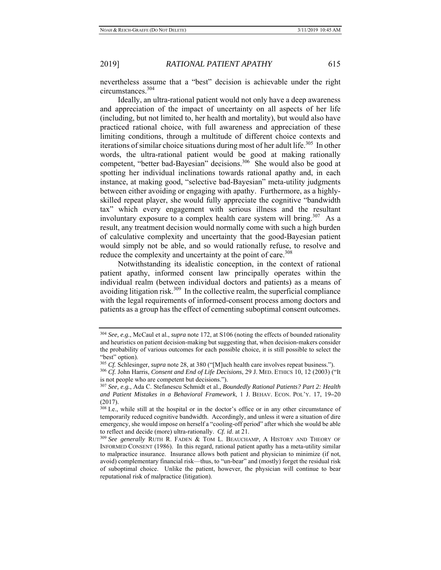nevertheless assume that a "best" decision is achievable under the right circumstances.<sup>304</sup>

 Ideally, an ultra-rational patient would not only have a deep awareness and appreciation of the impact of uncertainty on all aspects of her life (including, but not limited to, her health and mortality), but would also have practiced rational choice, with full awareness and appreciation of these limiting conditions, through a multitude of different choice contexts and iterations of similar choice situations during most of her adult life.<sup>305</sup> In other words, the ultra-rational patient would be good at making rationally competent, "better bad-Bayesian" decisions.<sup>306</sup> She would also be good at spotting her individual inclinations towards rational apathy and, in each instance, at making good, "selective bad-Bayesian" meta-utility judgments between either avoiding or engaging with apathy. Furthermore, as a highlyskilled repeat player, she would fully appreciate the cognitive "bandwidth tax" which every engagement with serious illness and the resultant involuntary exposure to a complex health care system will bring.<sup>307</sup> As a result, any treatment decision would normally come with such a high burden of calculative complexity and uncertainty that the good-Bayesian patient would simply not be able, and so would rationally refuse, to resolve and reduce the complexity and uncertainty at the point of care.<sup>308</sup>

 Notwithstanding its idealistic conception, in the context of rational patient apathy, informed consent law principally operates within the individual realm (between individual doctors and patients) as a means of avoiding litigation risk.<sup>309</sup> In the collective realm, the superficial compliance with the legal requirements of informed-consent process among doctors and patients as a group has the effect of cementing suboptimal consent outcomes.

<sup>304</sup> *See, e.g.*, McCaul et al., *supra* note 172, at S106 (noting the effects of bounded rationality and heuristics on patient decision-making but suggesting that, when decision-makers consider the probability of various outcomes for each possible choice, it is still possible to select the "best" option).<br><sup>305</sup> *Cf.* Schlesinger, *supra* note 28, at 380 ("[M]uch health care involves repeat business.").

<sup>&</sup>lt;sup>306</sup> *Cf.* John Harris, *Consent and End of Life Decisions*, 29 J. MED. ETHICS 10, 12 (2003) ("It is not people who are competent but decisions."). 307 *See, e.g.*, Ada C. Stefanescu Schmidt et al., *Boundedly Rational Patients? Part 2: Health* 

*and Patient Mistakes in a Behavioral Framework*, 1 J. BEHAV. ECON. POL'Y. 17, 19**–**20 (2017).

<sup>&</sup>lt;sup>308</sup> I.e., while still at the hospital or in the doctor's office or in any other circumstance of temporarily reduced cognitive bandwidth. Accordingly, and unless it were a situation of dire emergency, she would impose on herself a "cooling-off period" after which she would be able to reflect and decide (more) ultra-rationally. Cf. id. at 21.

<sup>&</sup>lt;sup>309</sup> See generally RUTH R. FADEN & TOM L. BEAUCHAMP, A HISTORY AND THEORY OF INFORMED CONSENT (1986). In this regard, rational patient apathy has a meta-utility similar to malpractice insurance. Insurance allows both patient and physician to minimize (if not, avoid) complementary financial risk—thus, to "un-bear" and (mostly) forget the residual risk of suboptimal choice. Unlike the patient, however, the physician will continue to bear reputational risk of malpractice (litigation).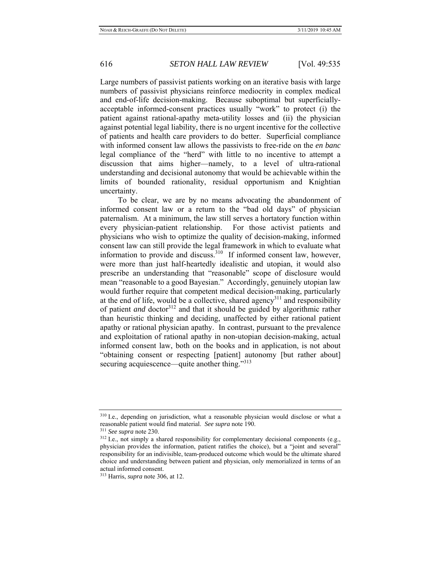Large numbers of passivist patients working on an iterative basis with large numbers of passivist physicians reinforce mediocrity in complex medical and end-of-life decision-making. Because suboptimal but superficiallyacceptable informed-consent practices usually "work" to protect (i) the patient against rational-apathy meta-utility losses and (ii) the physician against potential legal liability, there is no urgent incentive for the collective of patients and health care providers to do better. Superficial compliance with informed consent law allows the passivists to free-ride on the *en banc* legal compliance of the "herd" with little to no incentive to attempt a discussion that aims higher—namely, to a level of ultra-rational understanding and decisional autonomy that would be achievable within the limits of bounded rationality, residual opportunism and Knightian uncertainty.

 To be clear, we are by no means advocating the abandonment of informed consent law or a return to the "bad old days" of physician paternalism. At a minimum, the law still serves a hortatory function within every physician-patient relationship. For those activist patients and physicians who wish to optimize the quality of decision-making, informed consent law can still provide the legal framework in which to evaluate what information to provide and discuss.<sup>310</sup> If informed consent law, however, were more than just half-heartedly idealistic and utopian, it would also prescribe an understanding that "reasonable" scope of disclosure would mean "reasonable to a good Bayesian." Accordingly, genuinely utopian law would further require that competent medical decision-making, particularly at the end of life, would be a collective, shared agency<sup>311</sup> and responsibility of patient *and* doctor<sup>312</sup> and that it should be guided by algorithmic rather than heuristic thinking and deciding, unaffected by either rational patient apathy or rational physician apathy. In contrast, pursuant to the prevalence and exploitation of rational apathy in non-utopian decision-making, actual informed consent law, both on the books and in application, is not about "obtaining consent or respecting [patient] autonomy [but rather about] securing acquiescence—quite another thing."<sup>313</sup>

<sup>310</sup> I.e., depending on jurisdiction, what a reasonable physician would disclose or what a reasonable patient would find material. *See supra* note 190.<br><sup>311</sup> *See supra* note 230.<br><sup>312</sup> I.e., not simply a shared responsibility for complementary decisional components (e.g.,

physician provides the information, patient ratifies the choice), but a "joint and several" responsibility for an indivisible, team-produced outcome which would be the ultimate shared choice and understanding between patient and physician, only memorialized in terms of an actual informed consent.

<sup>313</sup> Harris, *supra* note 306, at 12.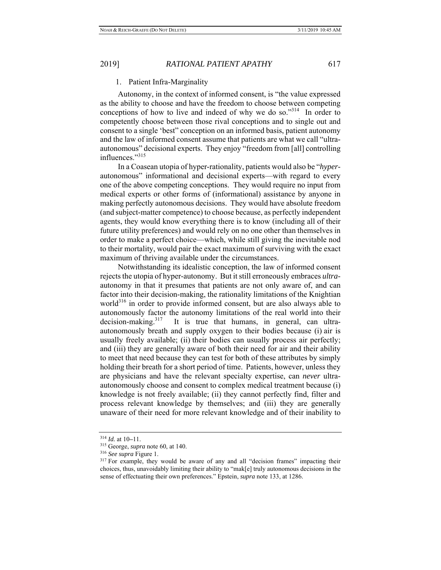### 1. Patient Infra-Marginality

 Autonomy, in the context of informed consent, is "the value expressed as the ability to choose and have the freedom to choose between competing conceptions of how to live and indeed of why we do so."<sup>314</sup> In order to competently choose between those rival conceptions and to single out and consent to a single 'best" conception on an informed basis, patient autonomy and the law of informed consent assume that patients are what we call "ultraautonomous" decisional experts. They enjoy "freedom from [all] controlling influences."315

 In a Coasean utopia of hyper-rationality, patients would also be "*hyper*autonomous" informational and decisional experts—with regard to every one of the above competing conceptions. They would require no input from medical experts or other forms of (informational) assistance by anyone in making perfectly autonomous decisions. They would have absolute freedom (and subject-matter competence) to choose because, as perfectly independent agents, they would know everything there is to know (including all of their future utility preferences) and would rely on no one other than themselves in order to make a perfect choice—which, while still giving the inevitable nod to their mortality, would pair the exact maximum of surviving with the exact maximum of thriving available under the circumstances.

 Notwithstanding its idealistic conception, the law of informed consent rejects the utopia of hyper-autonomy. But it still erroneously embraces *ultra*autonomy in that it presumes that patients are not only aware of, and can factor into their decision-making, the rationality limitations of the Knightian world<sup>316</sup> in order to provide informed consent, but are also always able to autonomously factor the autonomy limitations of the real world into their decision-making.<sup>317</sup> It is true that humans, in general, can ultraautonomously breath and supply oxygen to their bodies because (i) air is usually freely available; (ii) their bodies can usually process air perfectly; and (iii) they are generally aware of both their need for air and their ability to meet that need because they can test for both of these attributes by simply holding their breath for a short period of time. Patients, however, unless they are physicians and have the relevant specialty expertise, can *never* ultraautonomously choose and consent to complex medical treatment because (i) knowledge is not freely available; (ii) they cannot perfectly find, filter and process relevant knowledge by themselves; and (iii) they are generally unaware of their need for more relevant knowledge and of their inability to

<sup>314</sup> *Id.* at 10**–**11. 315 George, *supra* note 60, at 140.

<sup>&</sup>lt;sup>317</sup> For example, they would be aware of any and all "decision frames" impacting their choices, thus, unavoidably limiting their ability to "mak[e] truly autonomous decisions in the sense of effectuating their own preferences." Epstein, *supra* note 133, at 1286.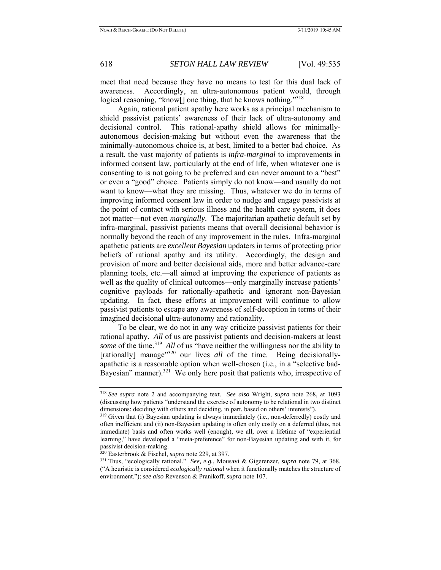meet that need because they have no means to test for this dual lack of awareness. Accordingly, an ultra-autonomous patient would, through logical reasoning, "know<sup>[]</sup> one thing, that he knows nothing."<sup>318</sup>

 Again, rational patient apathy here works as a principal mechanism to shield passivist patients' awareness of their lack of ultra-autonomy and decisional control. This rational-apathy shield allows for minimallyautonomous decision-making but without even the awareness that the minimally-autonomous choice is, at best, limited to a better bad choice. As a result, the vast majority of patients is *infra-marginal* to improvements in informed consent law, particularly at the end of life, when whatever one is consenting to is not going to be preferred and can never amount to a "best" or even a "good" choice. Patients simply do not know—and usually do not want to know—what they are missing. Thus, whatever we do in terms of improving informed consent law in order to nudge and engage passivists at the point of contact with serious illness and the health care system, it does not matter—not even *marginally*. The majoritarian apathetic default set by infra-marginal, passivist patients means that overall decisional behavior is normally beyond the reach of any improvement in the rules. Infra-marginal apathetic patients are *excellent Bayesian* updaters in terms of protecting prior beliefs of rational apathy and its utility. Accordingly, the design and provision of more and better decisional aids, more and better advance-care planning tools, etc.—all aimed at improving the experience of patients as well as the quality of clinical outcomes—only marginally increase patients' cognitive payloads for rationally-apathetic and ignorant non-Bayesian updating. In fact, these efforts at improvement will continue to allow passivist patients to escape any awareness of self-deception in terms of their imagined decisional ultra-autonomy and rationality.

 To be clear, we do not in any way criticize passivist patients for their rational apathy. *All* of us are passivist patients and decision-makers at least *some* of the time.<sup>319</sup> *All* of us "have neither the willingness nor the ability to [rationally] manage<sup>"320</sup> our lives *all* of the time. Being decisionallyapathetic is a reasonable option when well-chosen (i.e., in a "selective bad-Bayesian" manner).<sup>321</sup> We only here posit that patients who, irrespective of

<sup>318</sup> *See supra* note 2 and accompanying text. *See also* Wright, *supra* note 268, at 1093 (discussing how patients "understand the exercise of autonomy to be relational in two distinct dimensions: deciding with others and deciding, in part, based on others' interests").<br><sup>319</sup> Given that (i) Bayesian updating is always immediately (i.e., non-deferredly) costly and

often inefficient and (ii) non-Bayesian updating is often only costly on a deferred (thus, not immediate) basis and often works well (enough), we all, over a lifetime of "experiential learning," have developed a "meta-preference" for non-Bayesian updating and with it, for passivist decision-making.

<sup>320</sup> Easterbrook & Fischel, *supra* note 229, at 397. 321 Thus, "ecologically rational." *See, e.g.*, Mousavi & Gigerenzer, *supra* note 79, at 368. ("A heuristic is considered *ecologically rational* when it functionally matches the structure of environment."); *see also* Revenson & Pranikoff, *supra* note 107.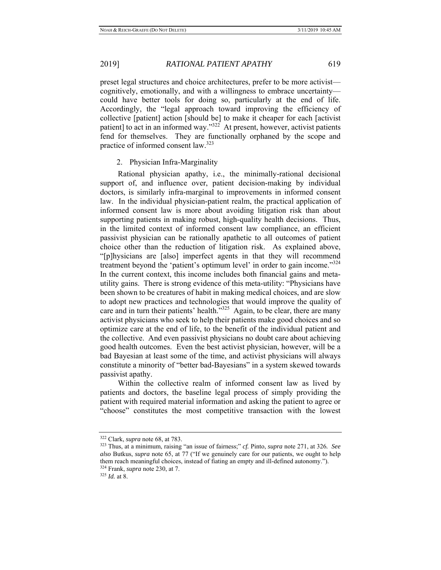preset legal structures and choice architectures, prefer to be more activist cognitively, emotionally, and with a willingness to embrace uncertainty could have better tools for doing so, particularly at the end of life. Accordingly, the "legal approach toward improving the efficiency of collective [patient] action [should be] to make it cheaper for each [activist patient] to act in an informed way."322 At present, however, activist patients fend for themselves. They are functionally orphaned by the scope and practice of informed consent law.<sup>323</sup>

### 2. Physician Infra-Marginality

 Rational physician apathy, i.e., the minimally-rational decisional support of, and influence over, patient decision-making by individual doctors, is similarly infra-marginal to improvements in informed consent law. In the individual physician-patient realm, the practical application of informed consent law is more about avoiding litigation risk than about supporting patients in making robust, high-quality health decisions. Thus, in the limited context of informed consent law compliance, an efficient passivist physician can be rationally apathetic to all outcomes of patient choice other than the reduction of litigation risk. As explained above, "[p]hysicians are [also] imperfect agents in that they will recommend treatment beyond the 'patient's optimum level' in order to gain income."<sup>324</sup> In the current context, this income includes both financial gains and metautility gains. There is strong evidence of this meta-utility: "Physicians have been shown to be creatures of habit in making medical choices, and are slow to adopt new practices and technologies that would improve the quality of care and in turn their patients' health."<sup>325</sup> Again, to be clear, there are many activist physicians who seek to help their patients make good choices and so optimize care at the end of life, to the benefit of the individual patient and the collective. And even passivist physicians no doubt care about achieving good health outcomes. Even the best activist physician, however, will be a bad Bayesian at least some of the time, and activist physicians will always constitute a minority of "better bad-Bayesians" in a system skewed towards passivist apathy.

 Within the collective realm of informed consent law as lived by patients and doctors, the baseline legal process of simply providing the patient with required material information and asking the patient to agree or "choose" constitutes the most competitive transaction with the lowest

<sup>322</sup> Clark, *supra* note 68, at 783. 323 Thus, at a minimum, raising "an issue of fairness;" *cf.* Pinto, *supra* note 271, at 326*. See also* Butkus, *supra* note 65, at 77 ("If we genuinely care for our patients, we ought to help them reach meaningful choices, instead of fiating an empty and ill-defined autonomy.").<br><sup>324</sup> Frank, *supra* note 230, at 7.<br><sup>325</sup> *Id.* at 8.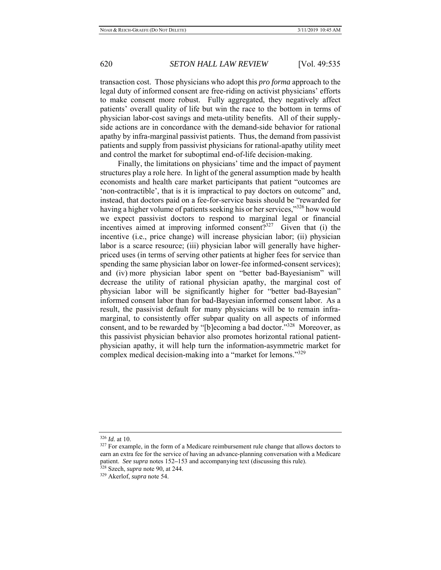transaction cost. Those physicians who adopt this *pro forma* approach to the legal duty of informed consent are free-riding on activist physicians' efforts to make consent more robust. Fully aggregated, they negatively affect patients' overall quality of life but win the race to the bottom in terms of physician labor-cost savings and meta-utility benefits. All of their supplyside actions are in concordance with the demand-side behavior for rational apathy by infra-marginal passivist patients. Thus, the demand from passivist patients and supply from passivist physicians for rational-apathy utility meet and control the market for suboptimal end-of-life decision-making.

 Finally, the limitations on physicians' time and the impact of payment structures play a role here. In light of the general assumption made by health economists and health care market participants that patient "outcomes are 'non-contractible', that is it is impractical to pay doctors on outcome" and, instead, that doctors paid on a fee-for-service basis should be "rewarded for having a higher volume of patients seeking his or her services,"<sup>326</sup> how would we expect passivist doctors to respond to marginal legal or financial incentives aimed at improving informed consent? $327$  Given that (i) the incentive (i.e., price change) will increase physician labor; (ii) physician labor is a scarce resource; (iii) physician labor will generally have higherpriced uses (in terms of serving other patients at higher fees for service than spending the same physician labor on lower-fee informed-consent services); and (iv) more physician labor spent on "better bad-Bayesianism" will decrease the utility of rational physician apathy, the marginal cost of physician labor will be significantly higher for "better bad-Bayesian" informed consent labor than for bad-Bayesian informed consent labor. As a result, the passivist default for many physicians will be to remain inframarginal, to consistently offer subpar quality on all aspects of informed consent, and to be rewarded by "[b]ecoming a bad doctor."<sup>328</sup> Moreover, as this passivist physician behavior also promotes horizontal rational patientphysician apathy, it will help turn the information-asymmetric market for complex medical decision-making into a "market for lemons."<sup>329</sup>

<sup>&</sup>lt;sup>326</sup> *Id.* at 10.<br><sup>327</sup> For example, in the form of a Medicare reimbursement rule change that allows doctors to earn an extra fee for the service of having an advance-planning conversation with a Medicare patient. *See supra* notes 152**–**153 and accompanying text (discussing this rule). 328 Szech, *supra* note 90, at 244. 329 Akerlof, *supra* note 54.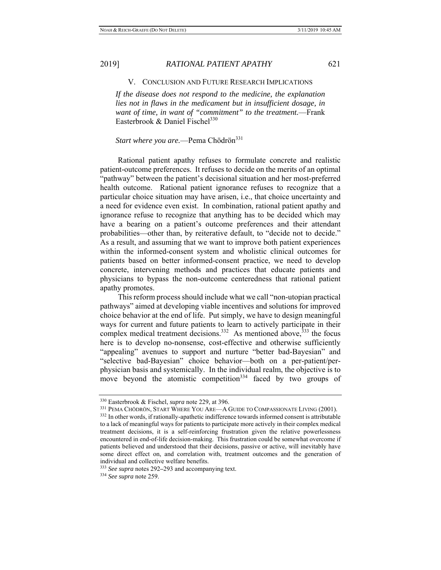V. CONCLUSION AND FUTURE RESEARCH IMPLICATIONS

*If the disease does not respond to the medicine, the explanation lies not in flaws in the medicament but in insufficient dosage, in want of time, in want of "commitment" to the treatment.*—Frank Easterbrook & Daniel Fischel<sup>330</sup>

## *Start where you are.*—Pema Chödrön<sup>331</sup>

 Rational patient apathy refuses to formulate concrete and realistic patient-outcome preferences. It refuses to decide on the merits of an optimal "pathway" between the patient's decisional situation and her most-preferred health outcome. Rational patient ignorance refuses to recognize that a particular choice situation may have arisen, i.e., that choice uncertainty and a need for evidence even exist. In combination, rational patient apathy and ignorance refuse to recognize that anything has to be decided which may have a bearing on a patient's outcome preferences and their attendant probabilities—other than, by reiterative default, to "decide not to decide." As a result, and assuming that we want to improve both patient experiences within the informed-consent system and wholistic clinical outcomes for patients based on better informed-consent practice, we need to develop concrete, intervening methods and practices that educate patients and physicians to bypass the non-outcome centeredness that rational patient apathy promotes.

 This reform process should include what we call "non-utopian practical pathways" aimed at developing viable incentives and solutions for improved choice behavior at the end of life. Put simply, we have to design meaningful ways for current and future patients to learn to actively participate in their complex medical treatment decisions.<sup>332</sup> As mentioned above,<sup>333</sup> the focus here is to develop no-nonsense, cost-effective and otherwise sufficiently "appealing" avenues to support and nurture "better bad-Bayesian" and "selective bad-Bayesian" choice behavior—both on a per-patient/perphysician basis and systemically. In the individual realm, the objective is to move beyond the atomistic competition<sup>334</sup> faced by two groups of

<sup>&</sup>lt;sup>330</sup> Easterbrook & Fischel, *supra* note 229, at 396.<br><sup>331</sup> PEMA CHÖDRÖN, START WHERE YOU ARE—A GUIDE TO COMPASSIONATE LIVING (2001).<br><sup>332</sup> In other words, if rationally-apathetic indifference towards informed consent is to a lack of meaningful ways for patients to participate more actively in their complex medical treatment decisions, it is a self-reinforcing frustration given the relative powerlessness encountered in end-of-life decision-making. This frustration could be somewhat overcome if patients believed and understood that their decisions, passive or active, will inevitably have some direct effect on, and correlation with, treatment outcomes and the generation of

individual and collective welfare benefits. 333 *See supra* notes 292**–**293 and accompanying text. 334 *See supra* note 259.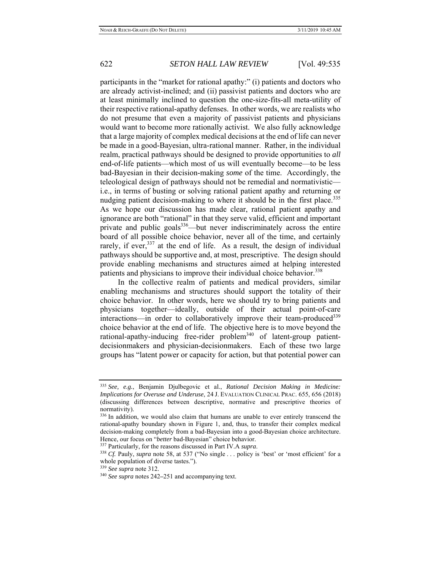participants in the "market for rational apathy:" (i) patients and doctors who are already activist-inclined; and (ii) passivist patients and doctors who are at least minimally inclined to question the one-size-fits-all meta-utility of their respective rational-apathy defenses. In other words, we are realists who do not presume that even a majority of passivist patients and physicians would want to become more rationally activist. We also fully acknowledge that a large majority of complex medical decisions at the end of life can never be made in a good-Bayesian, ultra-rational manner. Rather, in the individual realm, practical pathways should be designed to provide opportunities to *all* end-of-life patients—which most of us will eventually become—to be less bad-Bayesian in their decision-making *some* of the time. Accordingly, the teleological design of pathways should not be remedial and normativistic i.e., in terms of busting or solving rational patient apathy and returning or nudging patient decision-making to where it should be in the first place.<sup>335</sup> As we hope our discussion has made clear, rational patient apathy and ignorance are both "rational" in that they serve valid, efficient and important private and public goals  $336$ —but never indiscriminately across the entire board of all possible choice behavior, never all of the time, and certainly rarely, if ever,  $337$  at the end of life. As a result, the design of individual pathways should be supportive and, at most, prescriptive. The design should provide enabling mechanisms and structures aimed at helping interested patients and physicians to improve their individual choice behavior.<sup>338</sup>

 In the collective realm of patients and medical providers, similar enabling mechanisms and structures should support the totality of their choice behavior. In other words, here we should try to bring patients and physicians together—ideally, outside of their actual point-of-care interactions—in order to collaboratively improve their team-produced<sup>339</sup> choice behavior at the end of life. The objective here is to move beyond the rational-apathy-inducing free-rider problem<sup>340</sup> of latent-group patientdecisionmakers and physician-decisionmakers. Each of these two large groups has "latent power or capacity for action, but that potential power can

<sup>335</sup> *See, e.g.*, Benjamin Djulbegovic et al., *Rational Decision Making in Medicine: Implications for Overuse and Underuse*, 24 J. EVALUATION CLINICAL PRAC. 655, 656 (2018) (discussing differences between descriptive, normative and prescriptive theories of normativity).

<sup>&</sup>lt;sup>336</sup> In addition, we would also claim that humans are unable to ever entirely transcend the rational-apathy boundary shown in Figure 1, and, thus, to transfer their complex medical decision-making completely from a bad-Bayesian into a good-Bayesian choice architecture. Hence, our focus on "*better* bad-Bayesian" choice behavior.<br><sup>337</sup> Particularly, for the reasons discussed in Part IV.A *supra*.<br><sup>338</sup> Cf. Pauly, *supra* note 58, at 537 ("No single ... policy is 'best' or 'most efficient'

whole population of diverse tastes.").

<sup>339</sup> *See supra* note 312. 340 *See supra* notes 242**–**251 and accompanying text.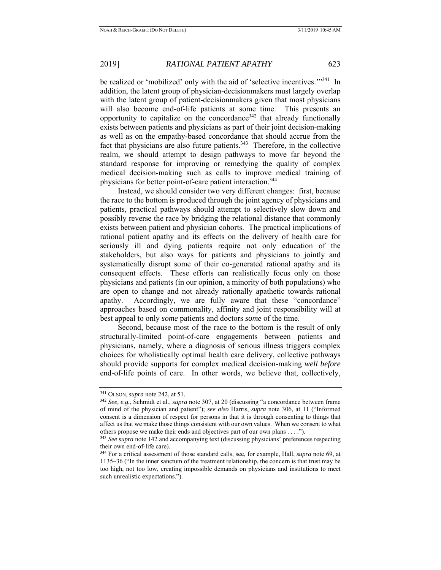be realized or 'mobilized' only with the aid of 'selective incentives.'"<sup>341</sup> In addition, the latent group of physician-decisionmakers must largely overlap with the latent group of patient-decisionmakers given that most physicians will also become end-of-life patients at some time. This presents an opportunity to capitalize on the concordance<sup>342</sup> that already functionally exists between patients and physicians as part of their joint decision-making as well as on the empathy-based concordance that should accrue from the fact that physicians are also future patients. $343$  Therefore, in the collective realm, we should attempt to design pathways to move far beyond the standard response for improving or remedying the quality of complex medical decision-making such as calls to improve medical training of physicians for better point-of-care patient interaction.<sup>344</sup>

 Instead, we should consider two very different changes: first, because the race to the bottom is produced through the joint agency of physicians and patients, practical pathways should attempt to selectively slow down and possibly reverse the race by bridging the relational distance that commonly exists between patient and physician cohorts. The practical implications of rational patient apathy and its effects on the delivery of health care for seriously ill and dying patients require not only education of the stakeholders, but also ways for patients and physicians to jointly and systematically disrupt some of their co-generated rational apathy and its consequent effects. These efforts can realistically focus only on those physicians and patients (in our opinion, a minority of both populations) who are open to change and not already rationally apathetic towards rational apathy. Accordingly, we are fully aware that these "concordance" approaches based on commonality, affinity and joint responsibility will at best appeal to only *some* patients and doctors *some* of the time.

 Second, because most of the race to the bottom is the result of only structurally-limited point-of-care engagements between patients and physicians, namely, where a diagnosis of serious illness triggers complex choices for wholistically optimal health care delivery, collective pathways should provide supports for complex medical decision-making *well before* end-of-life points of care. In other words, we believe that, collectively,

<sup>341</sup> OLSON, *supra* note 242, at 51. 342 *See, e.g.*, Schmidt et al., *supra* note 307, at 20 (discussing "a concordance between frame of mind of the physician and patient"); *see also* Harris, *supra* note 306, at 11 ("Informed consent is a dimension of respect for persons in that it is through consenting to things that affect us that we make those things consistent with our own values. When we consent to what others propose we make their ends and objectives part of our own plans . . . ."). 343 *See supra* note 142 and accompanying text (discussing physicians' preferences respecting

their own end-of-life care).

<sup>344</sup> For a critical assessment of those standard calls, see, for example, Hall, *supra* note 69, at 1135**–**36 ("In the inner sanctum of the treatment relationship, the concern is that trust may be too high, not too low, creating impossible demands on physicians and institutions to meet such unrealistic expectations.").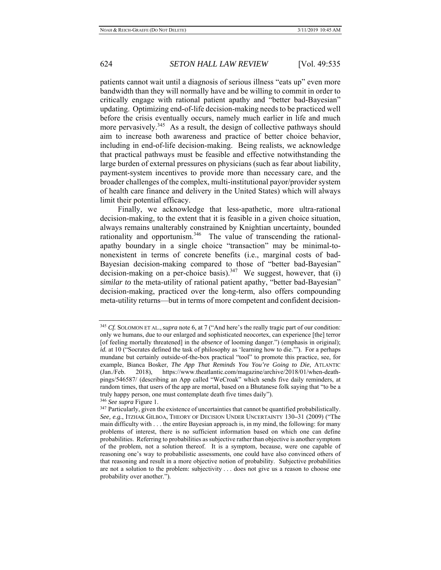patients cannot wait until a diagnosis of serious illness "eats up" even more bandwidth than they will normally have and be willing to commit in order to critically engage with rational patient apathy and "better bad-Bayesian" updating. Optimizing end-of-life decision-making needs to be practiced well before the crisis eventually occurs, namely much earlier in life and much more pervasively.<sup>345</sup> As a result, the design of collective pathways should aim to increase both awareness and practice of better choice behavior, including in end-of-life decision-making. Being realists, we acknowledge that practical pathways must be feasible and effective notwithstanding the large burden of external pressures on physicians (such as fear about liability, payment-system incentives to provide more than necessary care, and the broader challenges of the complex, multi-institutional payor/provider system of health care finance and delivery in the United States) which will always limit their potential efficacy.

 Finally, we acknowledge that less-apathetic, more ultra-rational decision-making, to the extent that it is feasible in a given choice situation, always remains unalterably constrained by Knightian uncertainty, bounded rationality and opportunism.<sup>346</sup> The value of transcending the rationalapathy boundary in a single choice "transaction" may be minimal-tononexistent in terms of concrete benefits (i.e., marginal costs of bad-Bayesian decision-making compared to those of "better bad-Bayesian" decision-making on a per-choice basis).<sup>347</sup> We suggest, however, that (i) *similar to* the meta-utility of rational patient apathy, "better bad-Bayesian" decision-making, practiced over the long-term, also offers compounding meta-utility returns—but in terms of more competent and confident decision-

<sup>345</sup> *Cf.* SOLOMON ET AL.,*supra* note 6, at 7 ("And here's the really tragic part of our condition: only we humans, due to our enlarged and sophisticated neocortex, can experience [the] terror [of feeling mortally threatened] in the *absence* of looming danger.") (emphasis in original); *id.* at 10 ("Socrates defined the task of philosophy as 'learning how to die.""). For a perhaps mundane but certainly outside-of-the-box practical "tool" to promote this practice, see, for example, Bianca Bosker, *The App That Reminds You You're Going to Die*, ATLANTIC (Jan./Feb. 2018), https://www.theatlantic.com/magazine/archive/2018/01/when-deathpings/546587/ (describing an App called "WeCroak" which sends five daily reminders, at random times, that users of the app are mortal, based on a Bhutanese folk saying that "to be a truly happy person, one must contemplate death five times daily").<br><sup>346</sup> *See supra* Figure 1.<br><sup>347</sup> Particularly, given the existence of uncertainties that cannot be quantified probabilistically.

*See, e.g.*, ITZHAK GILBOA, THEORY OF DECISION UNDER UNCERTAINTY 130**–**31 (2009) ("The main difficulty with . . . the entire Bayesian approach is, in my mind, the following: for many problems of interest, there is no sufficient information based on which one can define probabilities. Referring to probabilities as subjective rather than objective is another symptom of the problem, not a solution thereof. It is a symptom, because, were one capable of reasoning one's way to probabilistic assessments, one could have also convinced others of that reasoning and result in a more objective notion of probability. Subjective probabilities are not a solution to the problem: subjectivity . . . does not give us a reason to choose one probability over another.").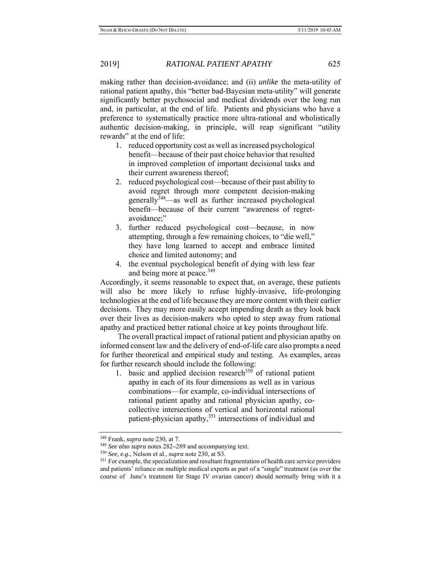making rather than decision-avoidance; and (ii) *unlike* the meta-utility of rational patient apathy, this "better bad-Bayesian meta-utility" will generate significantly better psychosocial and medical dividends over the long run and, in particular, at the end of life. Patients and physicians who have a preference to systematically practice more ultra-rational and wholistically authentic decision-making, in principle, will reap significant "utility rewards" at the end of life:

- 1. reduced opportunity cost as well as increased psychological benefit—because of their past choice behavior that resulted in improved completion of important decisional tasks and their current awareness thereof;
- 2. reduced psychological cost—because of their past ability to avoid regret through more competent decision-making generally<sup>348</sup>—as well as further increased psychological benefit—because of their current "awareness of regretavoidance;"
- 3. further reduced psychological cost—because, in now attempting, through a few remaining choices, to "die well," they have long learned to accept and embrace limited choice and limited autonomy; and
- 4. the eventual psychological benefit of dying with less fear and being more at peace.<sup>349</sup>

Accordingly, it seems reasonable to expect that, on average, these patients will also be more likely to refuse highly-invasive, life-prolonging technologies at the end of life because they are more content with their earlier decisions. They may more easily accept impending death as they look back over their lives as decision-makers who opted to step away from rational apathy and practiced better rational choice at key points throughout life.

 The overall practical impact of rational patient and physician apathy on informed consent law and the delivery of end-of-life care also prompts a need for further theoretical and empirical study and testing. As examples, areas for further research should include the following:

1. basic and applied decision research<sup>350</sup> of rational patient apathy in each of its four dimensions as well as in various combinations—for example, co-individual intersections of rational patient apathy and rational physician apathy, cocollective intersections of vertical and horizontal rational patient-physician apathy,<sup>351</sup> intersections of individual and

<sup>&</sup>lt;sup>348</sup> Frank, *supra* note 230, at 7.<br><sup>349</sup> See also supra notes 282–289 and accompanying text.<br><sup>350</sup> See, e.g., Nelson et al., *supra* note 230, at S3.<br><sup>351</sup> For example, the specialization and resultant fragmentation of and patients' reliance on multiple medical experts as part of a "single" treatment (as over the course of June's treatment for Stage IV ovarian cancer) should normally bring with it a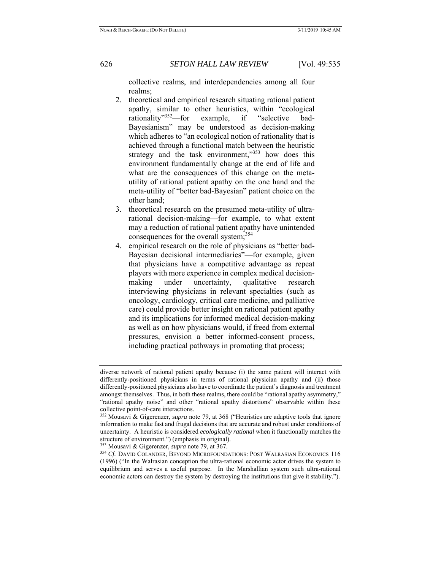collective realms, and interdependencies among all four realms;

- 2. theoretical and empirical research situating rational patient apathy, similar to other heuristics, within "ecological rationality"352—for example, if "selective bad-Bayesianism" may be understood as decision-making which adheres to "an ecological notion of rationality that is achieved through a functional match between the heuristic strategy and the task environment,"<sup>353</sup> how does this environment fundamentally change at the end of life and what are the consequences of this change on the metautility of rational patient apathy on the one hand and the meta-utility of "better bad-Bayesian" patient choice on the other hand;
- 3. theoretical research on the presumed meta-utility of ultrarational decision-making—for example, to what extent may a reduction of rational patient apathy have unintended consequences for the overall system;<sup>354</sup>
- 4. empirical research on the role of physicians as "better bad-Bayesian decisional intermediaries"—for example, given that physicians have a competitive advantage as repeat players with more experience in complex medical decisionmaking under uncertainty, qualitative research interviewing physicians in relevant specialties (such as oncology, cardiology, critical care medicine, and palliative care) could provide better insight on rational patient apathy and its implications for informed medical decision-making as well as on how physicians would, if freed from external pressures, envision a better informed-consent process, including practical pathways in promoting that process;

diverse network of rational patient apathy because (i) the same patient will interact with differently-positioned physicians in terms of rational physician apathy and (ii) those differently-positioned physicians also have to coordinate the patient's diagnosis and treatment amongst themselves. Thus, in both these realms, there could be "rational apathy asymmetry," "rational apathy noise" and other "rational apathy distortions" observable within these collective point-of-care interactions.

<sup>352</sup> Mousavi & Gigerenzer, *supra* note 79, at 368 ("Heuristics are adaptive tools that ignore information to make fast and frugal decisions that are accurate and robust under conditions of uncertainty. A heuristic is considered *ecologically rational* when it functionally matches the structure of environment.") (emphasis in original).<br><sup>353</sup> Mousavi & Gigerenzer, *supra* note 79, at 367.<br><sup>354</sup> *Cf.* DAVID COLANDER, BEYOND MICROFOUNDATIONS: POST WALRASIAN ECONOMICS 116

<sup>(1996) (&</sup>quot;In the Walrasian conception the ultra-rational economic actor drives the system to equilibrium and serves a useful purpose. In the Marshallian system such ultra-rational economic actors can destroy the system by destroying the institutions that give it stability.").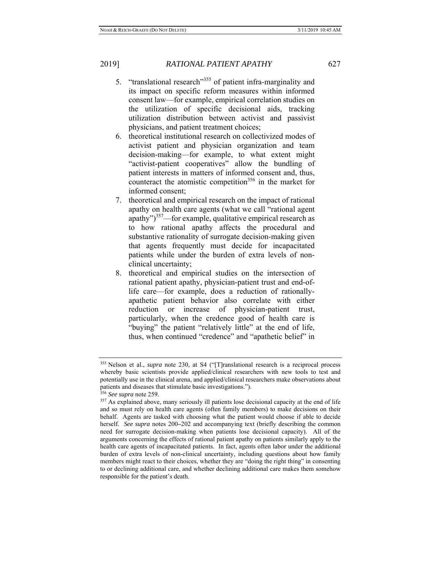- 5. "translational research"<sup>355</sup> of patient infra-marginality and its impact on specific reform measures within informed consent law—for example, empirical correlation studies on the utilization of specific decisional aids, tracking utilization distribution between activist and passivist physicians, and patient treatment choices;
- 6. theoretical institutional research on collectivized modes of activist patient and physician organization and team decision-making—for example, to what extent might "activist-patient cooperatives" allow the bundling of patient interests in matters of informed consent and, thus, counteract the atomistic competition<sup>356</sup> in the market for informed consent;
- 7. theoretical and empirical research on the impact of rational apathy on health care agents (what we call "rational agent apathy") $357$ —for example, qualitative empirical research as to how rational apathy affects the procedural and substantive rationality of surrogate decision-making given that agents frequently must decide for incapacitated patients while under the burden of extra levels of nonclinical uncertainty;
- 8. theoretical and empirical studies on the intersection of rational patient apathy, physician-patient trust and end-oflife care—for example, does a reduction of rationallyapathetic patient behavior also correlate with either reduction or increase of physician-patient trust, particularly, when the credence good of health care is "buying" the patient "relatively little" at the end of life, thus, when continued "credence" and "apathetic belief" in

<sup>355</sup> Nelson et al., *supra* note 230, at S4 ("[T]ranslational research is a reciprocal process whereby basic scientists provide applied/clinical researchers with new tools to test and potentially use in the clinical arena, and applied/clinical researchers make observations about patients and diseases that stimulate basic investigations."). 356 See supra note 259.

<sup>&</sup>lt;sup>357</sup> As explained above, many seriously ill patients lose decisional capacity at the end of life and so must rely on health care agents (often family members) to make decisions on their behalf. Agents are tasked with choosing what the patient would choose if able to decide herself. *See supra* notes 200**–**202 and accompanying text (briefly describing the common need for surrogate decision-making when patients lose decisional capacity). All of the arguments concerning the effects of rational patient apathy on patients similarly apply to the health care agents of incapacitated patients. In fact, agents often labor under the additional burden of extra levels of non-clinical uncertainty, including questions about how family members might react to their choices, whether they are "doing the right thing" in consenting to or declining additional care, and whether declining additional care makes them somehow responsible for the patient's death.